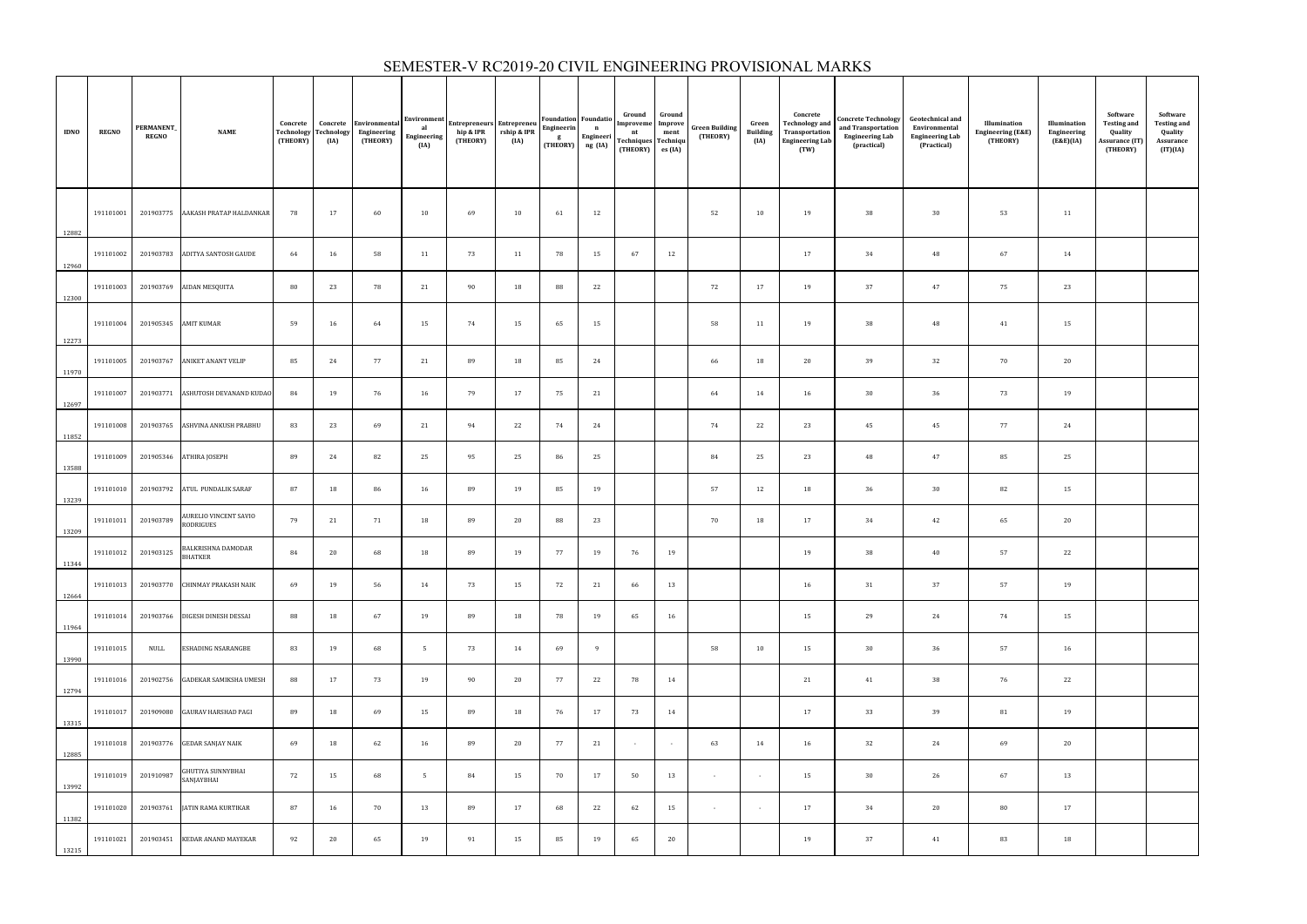| <b>IDNO</b> | <b>REGNO</b> | PERMANENT_<br><b>REGNO</b>     | <b>NAME</b>                                 | Concrete<br><b>Technology</b><br>(THEORY) | Concrete<br><b>Technology</b><br>(IA) | Environmental<br>Engineering<br>(THEORY) | <b>Environment</b><br>al<br>Engineering<br>(IA) | <b>Entrepreneurs Entrepreneu</b><br>hip & IPR<br>(THEORY) | rship & IPR<br>(IA) | <b>Foundation</b> Foundatio<br>Engineerin<br>g<br>(THEORY) ng (IA) | $\mathbf{n}$<br>Engineeri | Ground<br>Improveme<br>nt<br>Techniques Techniqu<br>(THEORY) | Ground<br>Improve<br>ment<br>es (IA) | <b>Green Building</b><br>(THEORY) | Green<br><b>Building</b><br>(IA) | Concrete<br><b>Technology and</b><br>Transportation<br><b>Engineering Lab</b><br>(TW) | <b>Concrete Technology</b><br>and Transportation<br><b>Engineering Lab</b><br>(practical) | <b>Geotechnical and</b><br>Environmental<br><b>Engineering Lab</b><br>(Practical) | Illumination<br><b>Engineering (E&amp;E)</b><br>(THEORY) | Illumination<br>Engineering<br>(E&E)(IA) | Software<br><b>Testing and</b><br>Quality<br><b>Assurance (IT)</b><br>(THEORY) | Software<br><b>Testing and</b><br>Quality<br>Assurance<br>(IT)(IA) |
|-------------|--------------|--------------------------------|---------------------------------------------|-------------------------------------------|---------------------------------------|------------------------------------------|-------------------------------------------------|-----------------------------------------------------------|---------------------|--------------------------------------------------------------------|---------------------------|--------------------------------------------------------------|--------------------------------------|-----------------------------------|----------------------------------|---------------------------------------------------------------------------------------|-------------------------------------------------------------------------------------------|-----------------------------------------------------------------------------------|----------------------------------------------------------|------------------------------------------|--------------------------------------------------------------------------------|--------------------------------------------------------------------|
| 12882       | 191101001    |                                | 201903775 AAKASH PRATAP HALDANKAR           | 78                                        | 17                                    | 60                                       | 10                                              | 69                                                        | 10                  | 61                                                                 | 12                        |                                                              |                                      | 52                                | 10                               | 19                                                                                    | 38                                                                                        | 30                                                                                | 53                                                       | 11                                       |                                                                                |                                                                    |
| 12960       | 191101002    |                                | 201903783 ADITYA SANTOSH GAUDE              | 64                                        | 16                                    | 58                                       | 11                                              | 73                                                        | 11                  | 78                                                                 | 15                        | 67                                                           | 12                                   |                                   |                                  | 17                                                                                    | 34                                                                                        | 48                                                                                | 67                                                       | 14                                       |                                                                                |                                                                    |
| 12300       |              |                                | 191101003 201903769 AIDAN MESQUITA          | 80                                        | 23                                    | 78                                       | 21                                              | 90                                                        | 18                  | 88                                                                 | 22                        |                                                              |                                      | 72                                | 17                               | 19                                                                                    | 37                                                                                        | 47                                                                                | 75                                                       | 23                                       |                                                                                |                                                                    |
| 12273       |              | 191101004 201905345 AMIT KUMAR |                                             | 59                                        | 16                                    | 64                                       | 15                                              | 74                                                        | 15                  | 65                                                                 | 15                        |                                                              |                                      | 58                                | 11                               | 19                                                                                    | 38                                                                                        | 48                                                                                | 41                                                       | 15                                       |                                                                                |                                                                    |
| 11970       | 191101005    |                                | 201903767 ANIKET ANANT VELIP                | 85                                        | 24                                    | 77                                       | 21                                              | 89                                                        | 18                  | 85                                                                 | 24                        |                                                              |                                      | 66                                | 18                               | 20                                                                                    | 39                                                                                        | 32                                                                                | 70                                                       | 20                                       |                                                                                |                                                                    |
| 12697       | 191101007    | 201903771                      | ASHUTOSH DEVANAND KUDAO                     | 84                                        | 19                                    | 76                                       | 16                                              | 79                                                        | 17                  | 75                                                                 | 21                        |                                                              |                                      | 64                                | 14                               | 16                                                                                    | 30                                                                                        | 36                                                                                | 73                                                       | 19                                       |                                                                                |                                                                    |
| 11852       | 191101008    |                                | 201903765 ASHVINA ANKUSH PRABHU             | 83                                        | 23                                    | 69                                       | 21                                              | 94                                                        | 22                  | 74                                                                 | 24                        |                                                              |                                      | 74                                | 22                               | 23                                                                                    | 45                                                                                        | 45                                                                                | 77                                                       | 24                                       |                                                                                |                                                                    |
| 13588       |              |                                | 191101009 201905346 ATHIRA JOSEPH           | 89                                        | 24                                    | 82                                       | 25                                              | 95                                                        | 25                  | 86                                                                 | 25                        |                                                              |                                      | 84                                | 25                               | 23                                                                                    | 48                                                                                        | 47                                                                                | 85                                                       | 25                                       |                                                                                |                                                                    |
| 13239       |              |                                | 191101010  201903792  ATUL PUNDALIK SARAF   | 87                                        | 18                                    | 86                                       | 16                                              | 89                                                        | 19                  | 85                                                                 | 19                        |                                                              |                                      | 57                                | 12                               | 18                                                                                    | 36                                                                                        | 30                                                                                | 82                                                       | 15                                       |                                                                                |                                                                    |
| 13209       |              | 191101011 201903789            | AURELIO VINCENT SAVIO<br>RODRIGUES          | 79                                        | 21                                    | 71                                       | 18                                              | 89                                                        | 20                  | 88                                                                 | 23                        |                                                              |                                      | 70                                | 18                               | 17                                                                                    | 34                                                                                        | 42                                                                                | 65                                                       | 20                                       |                                                                                |                                                                    |
| 11344       |              | 191101012 201903125            | <b>BALKRISHNA DAMODAR</b><br><b>BHATKER</b> | 84                                        | 20                                    | 68                                       | 18                                              | 89                                                        | 19                  | 77                                                                 | 19                        | 76                                                           | 19                                   |                                   |                                  | 19                                                                                    | 38                                                                                        | 40                                                                                | 57                                                       | 22                                       |                                                                                |                                                                    |
| 12664       | 191101013    |                                | 201903770 CHINMAY PRAKASH NAIK              | 69                                        | 19                                    | 56                                       | 14                                              | 73                                                        | 15                  | 72                                                                 | 21                        | 66                                                           | 13                                   |                                   |                                  | 16                                                                                    | 31                                                                                        | 37                                                                                | 57                                                       | 19                                       |                                                                                |                                                                    |
| 11964       | 191101014    |                                | 201903766 DIGESH DINESH DESSAI              | 88                                        | 18                                    | 67                                       | 19                                              | 89                                                        | 18                  | 78                                                                 | 19                        | 65                                                           | 16                                   |                                   |                                  | 15                                                                                    | 29                                                                                        | 24                                                                                | 74                                                       | 15                                       |                                                                                |                                                                    |
| 13990       | 191101015    | NULL                           | <b>ESHADING NSARANGBE</b>                   | 83                                        | 19                                    | 68                                       | 5 <sup>5</sup>                                  | 73                                                        | 14                  | 69                                                                 | 9                         |                                                              |                                      | 58                                | 10                               | 15                                                                                    | 30                                                                                        | 36                                                                                | 57                                                       | 16                                       |                                                                                |                                                                    |
| 12794       | 191101016    |                                | 201902756 GADEKAR SAMIKSHA UMESH            | 88                                        | 17                                    | 73                                       | 19                                              | 90                                                        | 20                  | 77                                                                 | 22                        | 78                                                           | 14                                   |                                   |                                  | 21                                                                                    | 41                                                                                        | 38                                                                                | 76                                                       | 22                                       |                                                                                |                                                                    |
| 13315       | 191101017    |                                | 201909080 GAURAV HARSHAD PAGI               | 89                                        | 18                                    | 69                                       | 15                                              | 89                                                        | 18                  | 76                                                                 | 17                        | 73                                                           | 14                                   |                                   |                                  | 17                                                                                    | 33                                                                                        | 39                                                                                | 81                                                       | 19                                       |                                                                                |                                                                    |
| 12885       | 191101018    |                                | 201903776 GEDAR SANJAY NAIK                 | 69                                        | 18                                    | 62                                       | 16                                              | 89                                                        | 20                  | 77                                                                 | 21                        | $\sim$                                                       | $\sim$ 10 $\pm$                      | 63                                | 14                               | 16                                                                                    | 32                                                                                        | 24                                                                                | 69                                                       | 20                                       |                                                                                |                                                                    |
| 13992       | 191101019    | 201910987                      | GHUTIYA SUNNYBHAI<br>SANJAYBHAI             | 72                                        | 15                                    | 68                                       | $5\overline{5}$                                 | 84                                                        | 15                  | 70                                                                 | 17                        | 50                                                           | 13                                   | $\sim$                            | $\sim$ $-$                       | 15                                                                                    | 30                                                                                        | 26                                                                                | 67                                                       | 13                                       |                                                                                |                                                                    |
| 11382       | 191101020    | 201903761                      | <b>JATIN RAMA KURTIKAR</b>                  | 87                                        | 16                                    | 70                                       | 13                                              | 89                                                        | 17                  | 68                                                                 | 22                        | 62                                                           | 15                                   | $\sim$                            | $\sim$                           | 17                                                                                    | 34                                                                                        | 20                                                                                | 80                                                       | 17                                       |                                                                                |                                                                    |
| 13215       | 191101021    | 201903451                      | <b>KEDAR ANAND MAYEKAR</b>                  | 92                                        | 20                                    | 65                                       | 19                                              | 91                                                        | 15                  | 85                                                                 | 19                        | 65                                                           | 20                                   |                                   |                                  | 19                                                                                    | 37                                                                                        | 41                                                                                | 83                                                       | 18                                       |                                                                                |                                                                    |

### SEMESTER-V RC2019-20 CIVIL ENGINEERING PROVISIONAL MARKS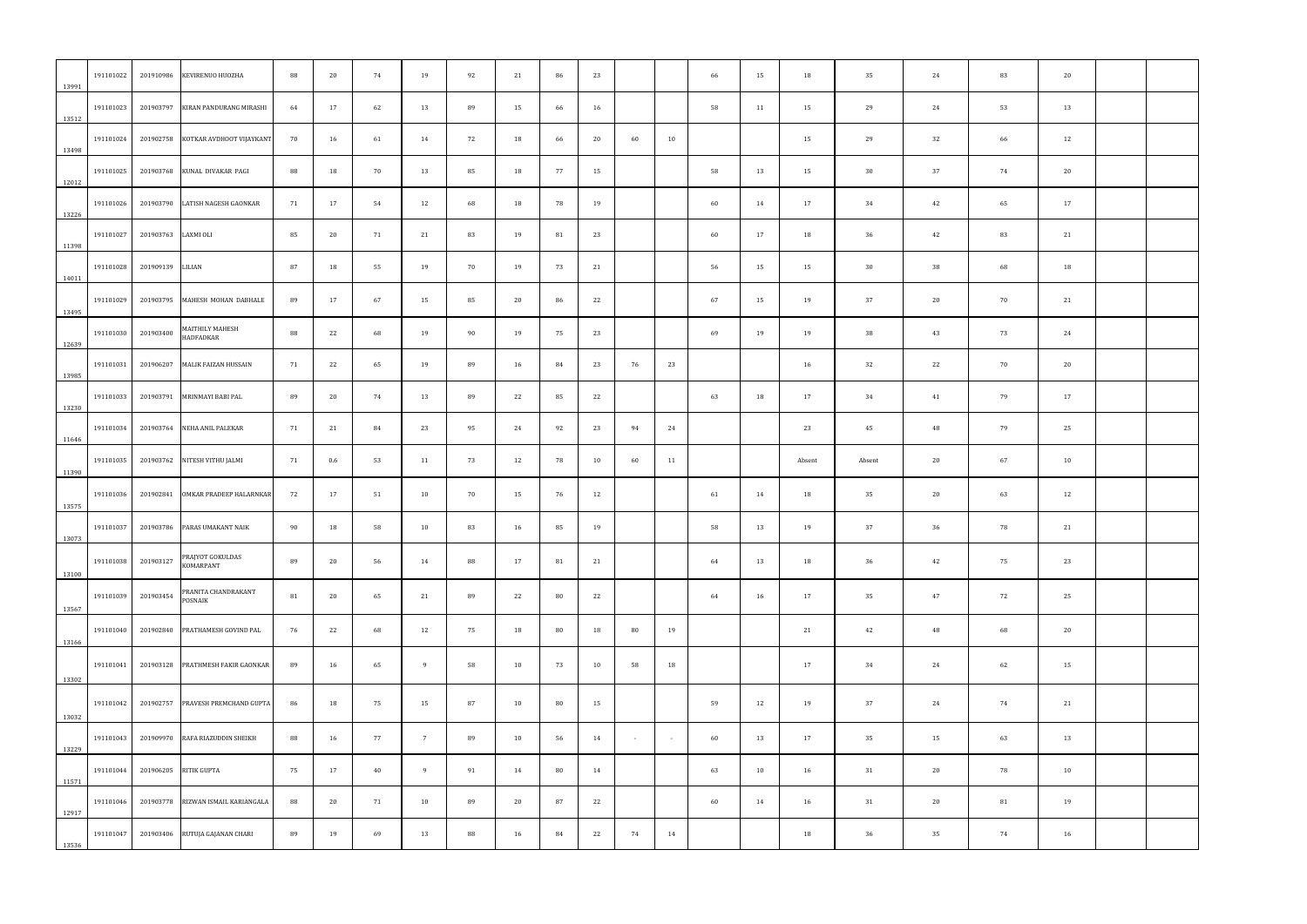| 13991 | 191101022 | 201910986 | KEVIRENUO HUOZHA                  | 88 | 20  | 74 | 19              | 92 | 21 | 86 | 23 |        |                | 66 | 15 | 18     | 35     | 24 | 83 | 20 |  |
|-------|-----------|-----------|-----------------------------------|----|-----|----|-----------------|----|----|----|----|--------|----------------|----|----|--------|--------|----|----|----|--|
| 13512 | 191101023 | 201903797 | KIRAN PANDURANG MIRASHI           | 64 | 17  | 62 | 13              | 89 | 15 | 66 | 16 |        |                | 58 | 11 | 15     | 29     | 24 | 53 | 13 |  |
| 13498 | 191101024 | 201902758 | KOTKAR AVDHOOT VIJAYKANT          | 70 | 16  | 61 | 14              | 72 | 18 | 66 | 20 | 60     | 10             |    |    | 15     | 29     | 32 | 66 | 12 |  |
| 12012 | 191101025 | 201903768 | KUNAL DIVAKAR PAGI                | 88 | 18  | 70 | 13              | 85 | 18 | 77 | 15 |        |                | 58 | 13 | 15     | 30     | 37 | 74 | 20 |  |
| 13226 | 191101026 | 201903790 | LATISH NAGESH GAONKAR             | 71 | 17  | 54 | 12              | 68 | 18 | 78 | 19 |        |                | 60 | 14 | 17     | 34     | 42 | 65 | 17 |  |
| 11398 | 191101027 | 201903763 | LAXMI OLI                         | 85 | 20  | 71 | 21              | 83 | 19 | 81 | 23 |        |                | 60 | 17 | 18     | 36     | 42 | 83 | 21 |  |
| 14011 | 191101028 | 201909139 | LILIAN                            | 87 | 18  | 55 | 19              | 70 | 19 | 73 | 21 |        |                | 56 | 15 | 15     | 30     | 38 | 68 | 18 |  |
| 13495 | 191101029 |           | 201903795 MAHESH MOHAN DABHALE    | 89 | 17  | 67 | 15              | 85 | 20 | 86 | 22 |        |                | 67 | 15 | 19     | 37     | 20 | 70 | 21 |  |
| 12639 | 191101030 | 201903400 | MAITHILY MAHESH<br>HADFADKAR      | 88 | 22  | 68 | 19              | 90 | 19 | 75 | 23 |        |                | 69 | 19 | 19     | 38     | 43 | 73 | 24 |  |
| 13985 | 191101031 | 201906207 | <b>MALIK FAIZAN HUSSAIN</b>       | 71 | 22  | 65 | 19              | 89 | 16 | 84 | 23 | 76     | 23             |    |    | 16     | 32     | 22 | 70 | 20 |  |
| 13230 | 191101033 | 201903791 | MRINMAYI BABI PAL                 | 89 | 20  | 74 | 13              | 89 | 22 | 85 | 22 |        |                | 63 | 18 | 17     | 34     | 41 | 79 | 17 |  |
| 11646 | 191101034 | 201903764 | NEHA ANIL PALEKAR                 | 71 | 21  | 84 | 23              | 95 | 24 | 92 | 23 | 94     | 24             |    |    | 23     | 45     | 48 | 79 | 25 |  |
| 11390 | 191101035 | 201903762 | NITESH VITHU JALMI                | 71 | 0.6 | 53 | 11              | 73 | 12 | 78 | 10 | 60     | 11             |    |    | Absent | Absent | 20 | 67 | 10 |  |
| 13575 | 191101036 |           | 201902841 OMKAR PRADEEP HALARNKAR | 72 | 17  | 51 | 10              | 70 | 15 | 76 | 12 |        |                | 61 | 14 | 18     | 35     | 20 | 63 | 12 |  |
| 13073 | 191101037 | 201903786 | PARAS UMAKANT NAIK                | 90 | 18  | 58 | 10              | 83 | 16 | 85 | 19 |        |                | 58 | 13 | 19     | 37     | 36 | 78 | 21 |  |
| 13100 | 191101038 | 201903127 | PRAJYOT GOKULDAS<br>KOMARPANT     | 89 | 20  | 56 | 14              | 88 | 17 | 81 | 21 |        |                | 64 | 13 | 18     | 36     | 42 | 75 | 23 |  |
|       | 191101039 | 201903454 | PRANITA CHANDRAKANT<br>POSNAIK    | 81 | 20  | 65 | 21              | 89 | 22 | 80 | 22 |        |                | 64 | 16 | 17     | 35     | 47 | 72 | 25 |  |
| 13567 | 191101040 | 201902840 | PRATHAMESH GOVIND PAL             | 76 | 22  | 68 | 12              | 75 | 18 | 80 | 18 | 80     | 19             |    |    | 21     | 42     | 48 | 68 | 20 |  |
| 13166 | 191101041 | 201903128 | PRATHMESH FAKIR GAONKAR           | 89 | 16  | 65 | - 9             | 58 | 10 | 73 | 10 | 58     | 18             |    |    | 17     | 34     | 24 | 62 | 15 |  |
| 13302 | 191101042 | 201902757 | PRAVESH PREMCHAND GUPTA           | 86 | 18  | 75 | 15              | 87 | 10 | 80 | 15 |        |                | 59 | 12 | 19     | 37     | 24 | 74 | 21 |  |
| 13032 |           |           |                                   |    |     |    | $7\overline{ }$ | 89 |    |    |    |        | $\sim 10^{-1}$ |    |    |        |        |    |    |    |  |
| 13229 | 191101043 | 201909970 | RAFA RIAZUDDIN SHEIKH             | 88 | 16  | 77 | - 9             |    | 10 | 56 | 14 | $\sim$ |                | 60 | 13 | 17     | 35     | 15 | 63 | 13 |  |
| 11571 | 191101044 | 201906205 | RITIK GUPTA                       | 75 | 17  | 40 |                 | 91 | 14 | 80 | 14 |        |                | 63 | 10 | 16     | 31     | 20 | 78 | 10 |  |
| 12917 | 191101046 | 201903778 | RIZWAN ISMAIL KARIANGALA          | 88 | 20  | 71 | 10              | 89 | 20 | 87 | 22 |        |                | 60 | 14 | 16     | 31     | 20 | 81 | 19 |  |
| 13536 | 191101047 |           | 201903406 RUTUJA GAJANAN CHARI    | 89 | 19  | 69 | 13              | 88 | 16 | 84 | 22 | 74     | 14             |    |    | 18     | 36     | 35 | 74 | 16 |  |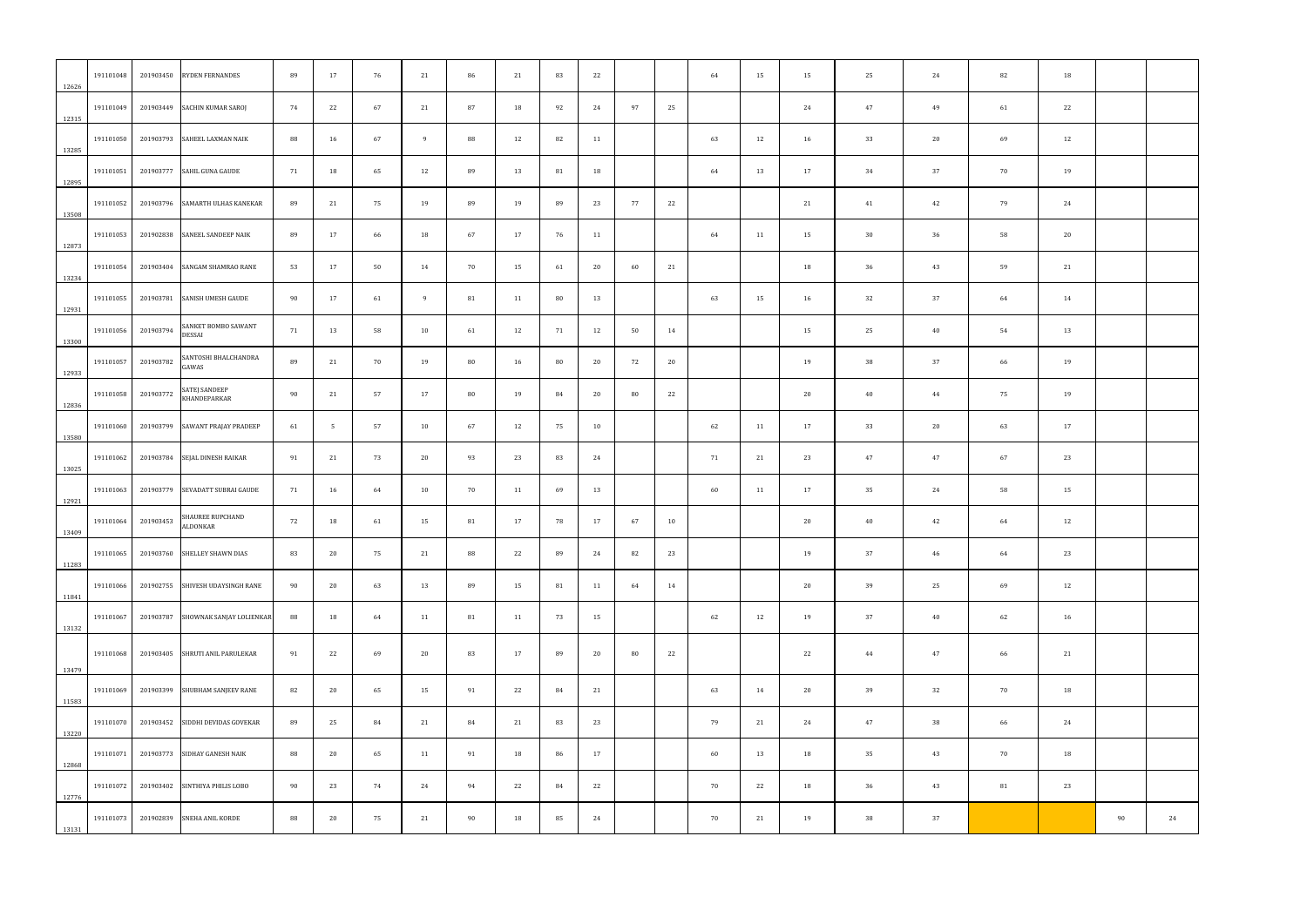| 22<br>12<br>19                                                                                                       |
|----------------------------------------------------------------------------------------------------------------------|
|                                                                                                                      |
|                                                                                                                      |
|                                                                                                                      |
| 24                                                                                                                   |
| 20                                                                                                                   |
| 21                                                                                                                   |
| 14                                                                                                                   |
| 13                                                                                                                   |
| 19                                                                                                                   |
| 19                                                                                                                   |
| 17                                                                                                                   |
| 23                                                                                                                   |
| 15                                                                                                                   |
| 12                                                                                                                   |
| 23                                                                                                                   |
| 12                                                                                                                   |
| 16                                                                                                                   |
| 21                                                                                                                   |
| 18                                                                                                                   |
| 24                                                                                                                   |
| 18                                                                                                                   |
| 23                                                                                                                   |
| 90<br>24                                                                                                             |
| 70<br>79<br>58<br>59<br>64<br>54<br>66<br>75<br>63<br>67<br>58<br>64<br>64<br>69<br>62<br>66<br>70<br>66<br>70<br>81 |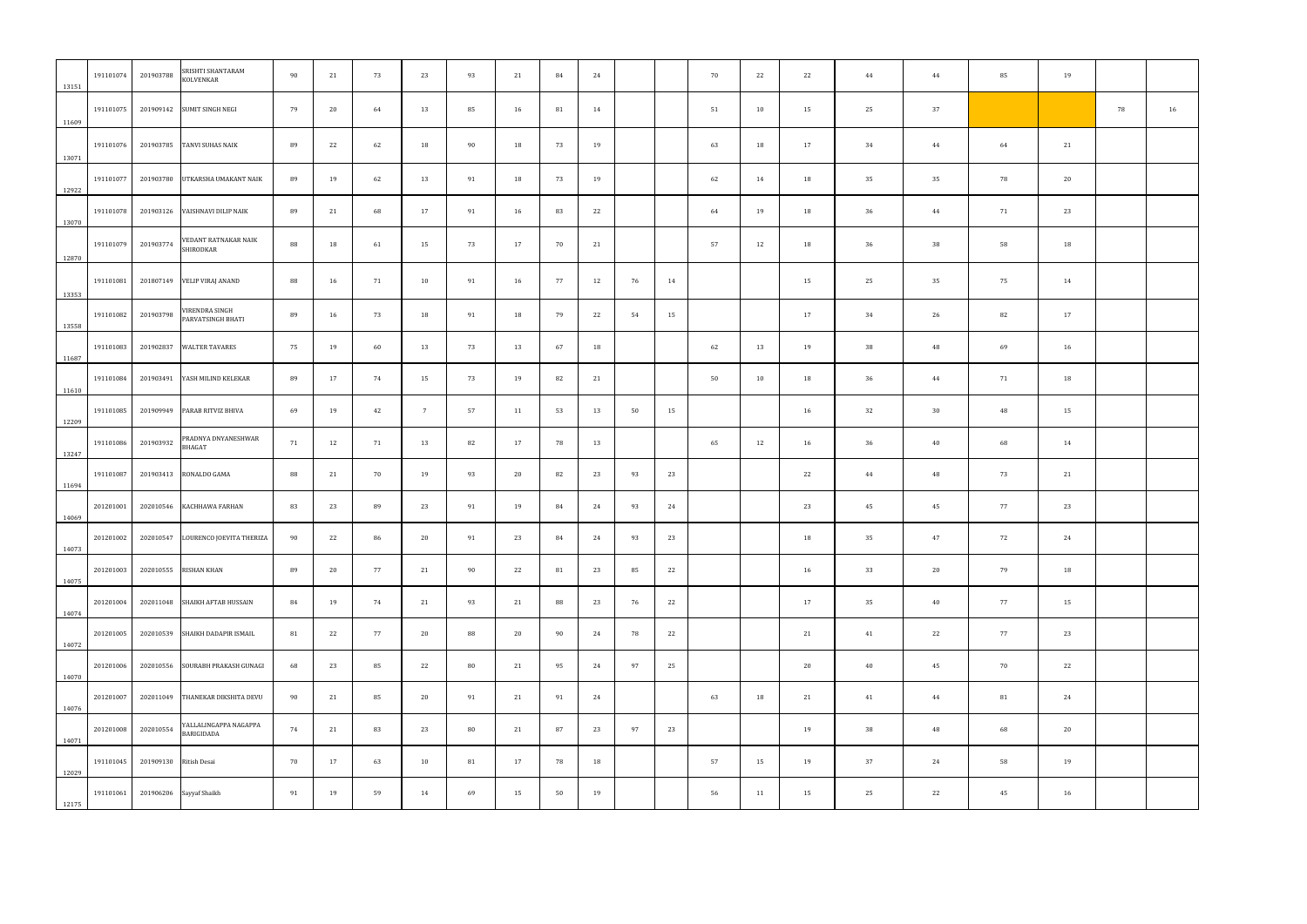| 13151 | 191101074 | 201903788              | SRISHTI SHANTARAM<br>KOLVENKAR      | 90 | 21 | 73 | 23              | 93 | 21 | 84 | 24 |    |    | 70 | 22 | 22 | 44 | 44 | 85 | 19 |    |    |
|-------|-----------|------------------------|-------------------------------------|----|----|----|-----------------|----|----|----|----|----|----|----|----|----|----|----|----|----|----|----|
| 11609 | 191101075 |                        | 201909142 SUMIT SINGH NEGI          | 79 | 20 | 64 | 13              | 85 | 16 | 81 | 14 |    |    | 51 | 10 | 15 | 25 | 37 |    |    | 78 | 16 |
| 13071 | 191101076 | 201903785              | TANVI SUHAS NAIK                    | 89 | 22 | 62 | 18              | 90 | 18 | 73 | 19 |    |    | 63 | 18 | 17 | 34 | 44 | 64 | 21 |    |    |
| 12922 | 191101077 | 201903780              | UTKARSHA UMAKANT NAIK               | 89 | 19 | 62 | 13              | 91 | 18 | 73 | 19 |    |    | 62 | 14 | 18 | 35 | 35 | 78 | 20 |    |    |
| 13070 | 191101078 | 201903126              | VAISHNAVI DILIP NAIK                | 89 | 21 | 68 | 17              | 91 | 16 | 83 | 22 |    |    | 64 | 19 | 18 | 36 | 44 | 71 | 23 |    |    |
| 12870 | 191101079 | 201903774              | VEDANT RATNAKAR NAIK<br>SHIRODKAR   | 88 | 18 | 61 | 15              | 73 | 17 | 70 | 21 |    |    | 57 | 12 | 18 | 36 | 38 | 58 | 18 |    |    |
| 13353 | 191101081 |                        | 201807149 VELIP VIRAJ ANAND         | 88 | 16 | 71 | 10              | 91 | 16 | 77 | 12 | 76 | 14 |    |    | 15 | 25 | 35 | 75 | 14 |    |    |
| 13558 | 191101082 | 201903798              | VIRENDRA SINGH<br>PARVATSINGH BHATI | 89 | 16 | 73 | 18              | 91 | 18 | 79 | 22 | 54 | 15 |    |    | 17 | 34 | 26 | 82 | 17 |    |    |
| 11687 | 191101083 | 201902837              | <b>WALTER TAVARES</b>               | 75 | 19 | 60 | 13              | 73 | 13 | 67 | 18 |    |    | 62 | 13 | 19 | 38 | 48 | 69 | 16 |    |    |
| 11610 | 191101084 |                        | 201903491 YASH MILIND KELEKAR       | 89 | 17 | 74 | 15              | 73 | 19 | 82 | 21 |    |    | 50 | 10 | 18 | 36 | 44 | 71 | 18 |    |    |
| 12209 | 191101085 |                        | 201909949 PARAB RITVIZ BHIVA        | 69 | 19 | 42 | $7\overline{ }$ | 57 | 11 | 53 | 13 | 50 | 15 |    |    | 16 | 32 | 30 | 48 | 15 |    |    |
| 13247 | 191101086 | 201903932              | PRADNYA DNYANESHWAR<br>BHAGAT       | 71 | 12 | 71 | 13              | 82 | 17 | 78 | 13 |    |    | 65 | 12 | 16 | 36 | 40 | 68 | 14 |    |    |
| 11694 | 191101087 | 201903413              | RONALDO GAMA                        | 88 | 21 | 70 | 19              | 93 | 20 | 82 | 23 | 93 | 23 |    |    | 22 | 44 | 48 | 73 | 21 |    |    |
| 14069 | 201201001 | 202010546              | KACHHAWA FARHAN                     | 83 | 23 | 89 | 23              | 91 | 19 | 84 | 24 | 93 | 24 |    |    | 23 | 45 | 45 | 77 | 23 |    |    |
| 14073 | 201201002 |                        | 202010547 LOURENCO JOEVITA THERIZA  | 90 | 22 | 86 | 20              | 91 | 23 | 84 | 24 | 93 | 23 |    |    | 18 | 35 | 47 | 72 | 24 |    |    |
| 14075 | 201201003 | 202010555              | <b>RISHAN KHAN</b>                  | 89 | 20 | 77 | 21              | 90 | 22 | 81 | 23 | 85 | 22 |    |    | 16 | 33 | 20 | 79 | 18 |    |    |
| 14074 | 201201004 |                        | 202011048 SHAIKH AFTAB HUSSAIN      | 84 | 19 | 74 | 21              | 93 | 21 | 88 | 23 | 76 | 22 |    |    | 17 | 35 | 40 | 77 | 15 |    |    |
| 14072 | 201201005 | 202010539              | SHAIKH DADAPIR ISMAIL               | 81 | 22 | 77 | 20              | 88 | 20 | 90 | 24 | 78 | 22 |    |    | 21 | 41 | 22 | 77 | 23 |    |    |
| 14070 | 201201006 | 202010556              | SOURABH PRAKASH GUNAGI              | 68 | 23 | 85 | 22              | 80 | 21 | 95 | 24 | 97 | 25 |    |    | 20 | 40 | 45 | 70 | 22 |    |    |
| 14076 | 201201007 | 202011049              | THANEKAR DIKSHITA DEVU              | 90 | 21 | 85 | 20              | 91 | 21 | 91 | 24 |    |    | 63 | 18 | 21 | 41 | 44 | 81 | 24 |    |    |
| 14071 | 201201008 | 202010554              | YALLALINGAPPA NAGAPPA<br>BARIGIDADA | 74 | 21 | 83 | 23              | 80 | 21 | 87 | 23 | 97 | 23 |    |    | 19 | 38 | 48 | 68 | 20 |    |    |
| 12029 | 191101045 | 201909130 Ritish Desai |                                     | 70 | 17 | 63 | 10              | 81 | 17 | 78 | 18 |    |    | 57 | 15 | 19 | 37 | 24 | 58 | 19 |    |    |
| 12175 | 191101061 | 201906206              | Sayyaf Shaikh                       | 91 | 19 | 59 | 14              | 69 | 15 | 50 | 19 |    |    | 56 | 11 | 15 | 25 | 22 | 45 | 16 |    |    |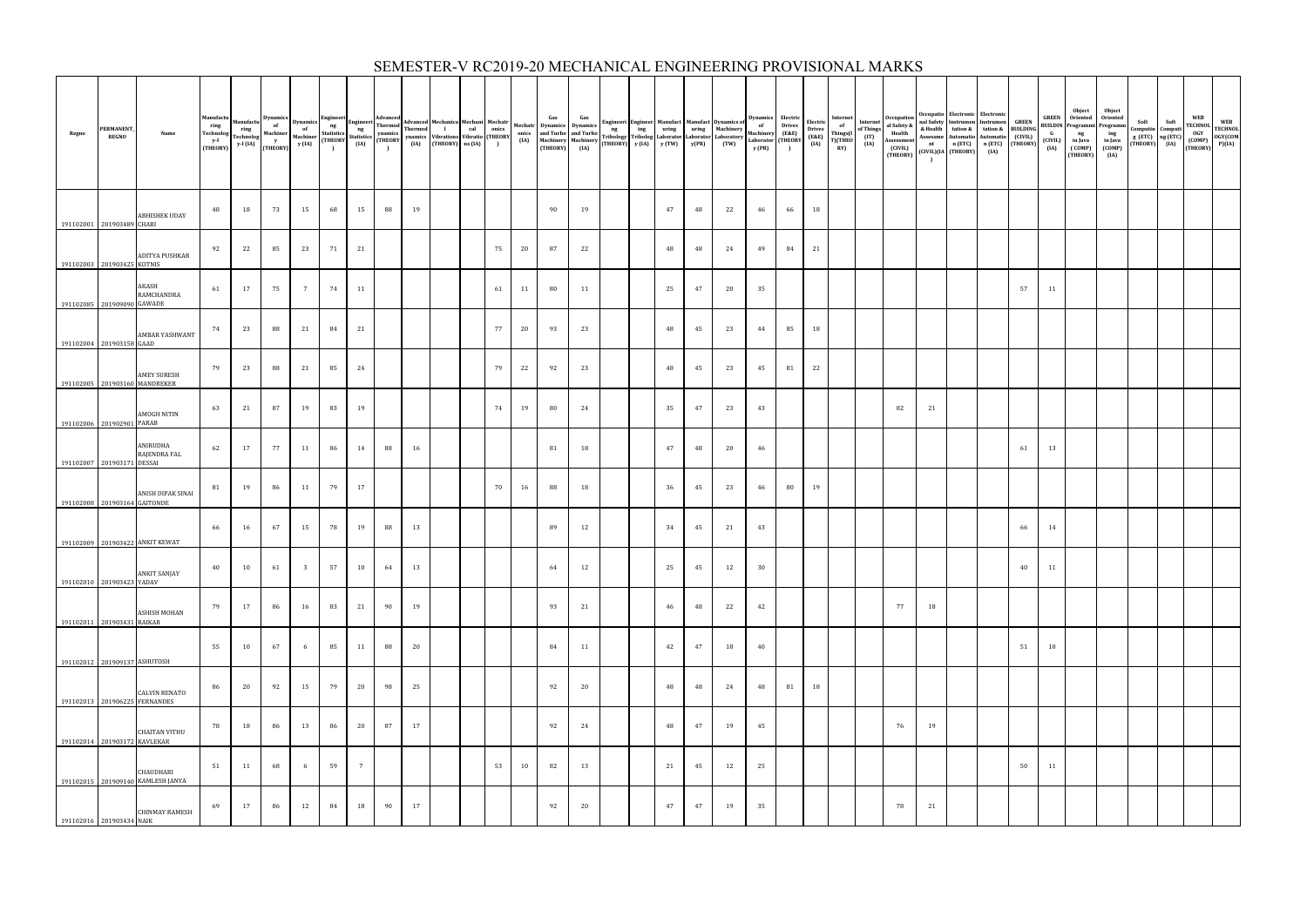| Regno                         | <b>PERMANENT</b><br><b>REGNO</b> | Name                                           | Manufactu<br>$$\,{\rm ring}$$ Technolog<br>$y-I$<br>(THEORY) | Manufactu<br>ring<br>Technolog<br>$y-I (IA)$ |    |                         |       |                 |    |    |  |    |    |    |    |  |    |    |    |    |    |    | Electric Internet<br>Drives of<br>(E&E) Things(I<br>(IA) T)(THEO<br>RY) | Internet<br>of Things<br>(IT)<br>(IA) | Occupation<br>al Safety &<br>Health<br>Assessment<br>(CIVIL)<br>(THEORY) | and Safety<br>and Safety<br>and Safety<br>tation &<br>and Safety<br>tation &<br>automatio<br>Automatio<br>n (ETC)<br>n (ETC)<br>(THEORY)<br>$\Gamma$ | Occupatio Electronic Electronic<br>nt n (ETC)<br>(CIVIL)(IA (THEORY) | n (ETC)<br>(IA) |    |    | Object<br><b>GREEN</b> Oriented<br>BULDIN Programmi Programm<br>G ng ing<br>(CIVIL) in Java in Java<br>(IA) (COMP) (COMP)<br>ng<br>in Java<br>(COMP)<br>(THEORY) | Object<br>Oriented<br>ing<br>in Java<br>(COMP)<br>(IA) | Soft Soft<br>Computin Computi<br>g (ETC) ng (ETC)<br>(THEORY) (IA) | <b>WEB</b><br>WEB<br>TECHNOL<br>OGY<br>COMP)<br>COMP<br>CHEORY)<br>P)(IA) |  |
|-------------------------------|----------------------------------|------------------------------------------------|--------------------------------------------------------------|----------------------------------------------|----|-------------------------|-------|-----------------|----|----|--|----|----|----|----|--|----|----|----|----|----|----|-------------------------------------------------------------------------|---------------------------------------|--------------------------------------------------------------------------|------------------------------------------------------------------------------------------------------------------------------------------------------|----------------------------------------------------------------------|-----------------|----|----|------------------------------------------------------------------------------------------------------------------------------------------------------------------|--------------------------------------------------------|--------------------------------------------------------------------|---------------------------------------------------------------------------|--|
| 191102001 201903489 CHARI     |                                  | <b>ABHISHEK UDAY</b>                           | 48                                                           | 18                                           | 73 | 15                      | 68    | 15              | 88 | 19 |  |    |    | 90 | 19 |  | 47 | 48 | 22 | 46 | 66 | 18 |                                                                         |                                       |                                                                          |                                                                                                                                                      |                                                                      |                 |    |    |                                                                                                                                                                  |                                                        |                                                                    |                                                                           |  |
| 191102003 201903425 KOTNIS    |                                  | ADITYA PUSHKAR                                 | 92                                                           | 22                                           | 85 | 23                      | 71    | 21              |    |    |  | 75 | 20 | 87 | 22 |  | 48 | 48 | 24 | 49 | 84 | 21 |                                                                         |                                       |                                                                          |                                                                                                                                                      |                                                                      |                 |    |    |                                                                                                                                                                  |                                                        |                                                                    |                                                                           |  |
| 191102085 201909090 GAWADE    |                                  | AKASH<br>RAMCHANDRA                            | 61                                                           | 17                                           | 75 | $7\overline{ }$         | 74    | 11              |    |    |  | 61 | 11 | 80 | 11 |  | 25 | 47 | 20 | 35 |    |    |                                                                         |                                       |                                                                          |                                                                                                                                                      |                                                                      |                 | 57 | 11 |                                                                                                                                                                  |                                                        |                                                                    |                                                                           |  |
| 191102004 201903158 GAAD      |                                  | <b>AMBAR YASHWANT</b>                          | 74                                                           | 23                                           | 88 | 21                      | 84    | 21              |    |    |  | 77 | 20 | 93 | 23 |  | 48 | 45 | 23 | 44 | 85 | 18 |                                                                         |                                       |                                                                          |                                                                                                                                                      |                                                                      |                 |    |    |                                                                                                                                                                  |                                                        |                                                                    |                                                                           |  |
| 191102005 201903160 MANDREKER |                                  | <b>AMEY SURESH</b>                             | 79                                                           | 23                                           | 88 | 21                      | 85    | 24              |    |    |  | 79 | 22 | 92 | 23 |  | 48 | 45 | 23 | 45 | 81 | 22 |                                                                         |                                       |                                                                          |                                                                                                                                                      |                                                                      |                 |    |    |                                                                                                                                                                  |                                                        |                                                                    |                                                                           |  |
| 191102006 201902901 PARAB     |                                  | <b>AMOGH NITIN</b>                             | 63                                                           | 21                                           | 87 | 19                      | 83    | 19              |    |    |  | 74 | 19 | 80 | 24 |  | 35 | 47 | 23 | 43 |    |    |                                                                         |                                       | 82                                                                       | 21                                                                                                                                                   |                                                                      |                 |    |    |                                                                                                                                                                  |                                                        |                                                                    |                                                                           |  |
| 191102007 201903171 DESSAI    |                                  | ANIRUDHA<br>RAJENDRA FAL                       | 62                                                           | 17                                           | 77 | 11                      | 86    | 14              | 88 | 16 |  |    |    | 81 | 18 |  | 47 | 48 | 20 | 46 |    |    |                                                                         |                                       |                                                                          |                                                                                                                                                      |                                                                      |                 | 61 | 13 |                                                                                                                                                                  |                                                        |                                                                    |                                                                           |  |
| 191102008 201903164 GAITONDE  |                                  | ANISH DIPAK SINAI                              | 81                                                           | 19                                           | 86 | 11                      | 79    | 17              |    |    |  | 70 | 16 | 88 | 18 |  | 36 | 45 | 23 | 46 | 80 | 19 |                                                                         |                                       |                                                                          |                                                                                                                                                      |                                                                      |                 |    |    |                                                                                                                                                                  |                                                        |                                                                    |                                                                           |  |
|                               |                                  | 191102009 201903422 ANKIT KEWAT                | 66                                                           | 16                                           | 67 | 15                      | 78    | 19              | 88 | 13 |  |    |    | 89 | 12 |  | 34 | 45 | 21 | 43 |    |    |                                                                         |                                       |                                                                          |                                                                                                                                                      |                                                                      |                 | 66 | 14 |                                                                                                                                                                  |                                                        |                                                                    |                                                                           |  |
| 191102010 201903423 YADAV     |                                  | ANKIT SANJAY                                   | 40                                                           | 10                                           | 61 | $\overline{\mathbf{3}}$ | $-57$ | 10              | 64 | 13 |  |    |    | 64 | 12 |  | 25 | 45 | 12 | 30 |    |    |                                                                         |                                       |                                                                          |                                                                                                                                                      |                                                                      |                 | 40 | 11 |                                                                                                                                                                  |                                                        |                                                                    |                                                                           |  |
| 191102011 201903431 RAIKAR    |                                  | ASHISH MOHAN                                   | 79                                                           | 17                                           | 86 | 16                      | 83    | 21              | 90 | 19 |  |    |    | 93 | 21 |  | 46 | 48 | 22 | 42 |    |    |                                                                         |                                       | 77                                                                       | 18                                                                                                                                                   |                                                                      |                 |    |    |                                                                                                                                                                  |                                                        |                                                                    |                                                                           |  |
| 191102012 201909137 ASHUTOSH  |                                  |                                                | 55                                                           | 10                                           | 67 | 6                       | 85    | 11              | 88 | 20 |  |    |    | 84 | 11 |  | 42 | 47 | 18 | 40 |    |    |                                                                         |                                       |                                                                          |                                                                                                                                                      |                                                                      |                 | 51 | 10 |                                                                                                                                                                  |                                                        |                                                                    |                                                                           |  |
| 191102013 201906225 FERNANDES |                                  | <b>CALVIN RENATO</b>                           | 86                                                           | 20                                           | 92 | 15                      | 79    | 20              | 98 | 25 |  |    |    | 92 | 20 |  | 48 | 48 | 24 | 48 | 81 | 18 |                                                                         |                                       |                                                                          |                                                                                                                                                      |                                                                      |                 |    |    |                                                                                                                                                                  |                                                        |                                                                    |                                                                           |  |
| 191102014 201903172 KAVLEKAR  |                                  | <b>CHAITAN VITHU</b>                           | 78                                                           | 18                                           | 86 | 13                      | 86    | 20              | 87 | 17 |  |    |    | 92 | 24 |  | 48 | 47 | 19 | 45 |    |    |                                                                         |                                       | 76                                                                       | 19                                                                                                                                                   |                                                                      |                 |    |    |                                                                                                                                                                  |                                                        |                                                                    |                                                                           |  |
|                               |                                  | CHAUDHARI<br>191102015 201909140 KAMLESH JANYA | 51                                                           | 11                                           | 68 | 6                       | 59    | $7\overline{ }$ |    |    |  | 53 | 10 | 82 | 13 |  | 21 | 45 | 12 | 25 |    |    |                                                                         |                                       |                                                                          |                                                                                                                                                      |                                                                      |                 | 50 | 11 |                                                                                                                                                                  |                                                        |                                                                    |                                                                           |  |
| 191102016 201903434 NAIK      |                                  | <b>CHINMAY RAMESH</b>                          | 69                                                           | 17                                           | 86 | 12                      | 84    | 18              | 90 | 17 |  |    |    | 92 | 20 |  | 47 | 47 | 19 | 35 |    |    |                                                                         |                                       | 78                                                                       | 21                                                                                                                                                   |                                                                      |                 |    |    |                                                                                                                                                                  |                                                        |                                                                    |                                                                           |  |

### SEMESTER-V RC2019-20 MECHANICAL ENGINEERING PROVISIONAL MARKS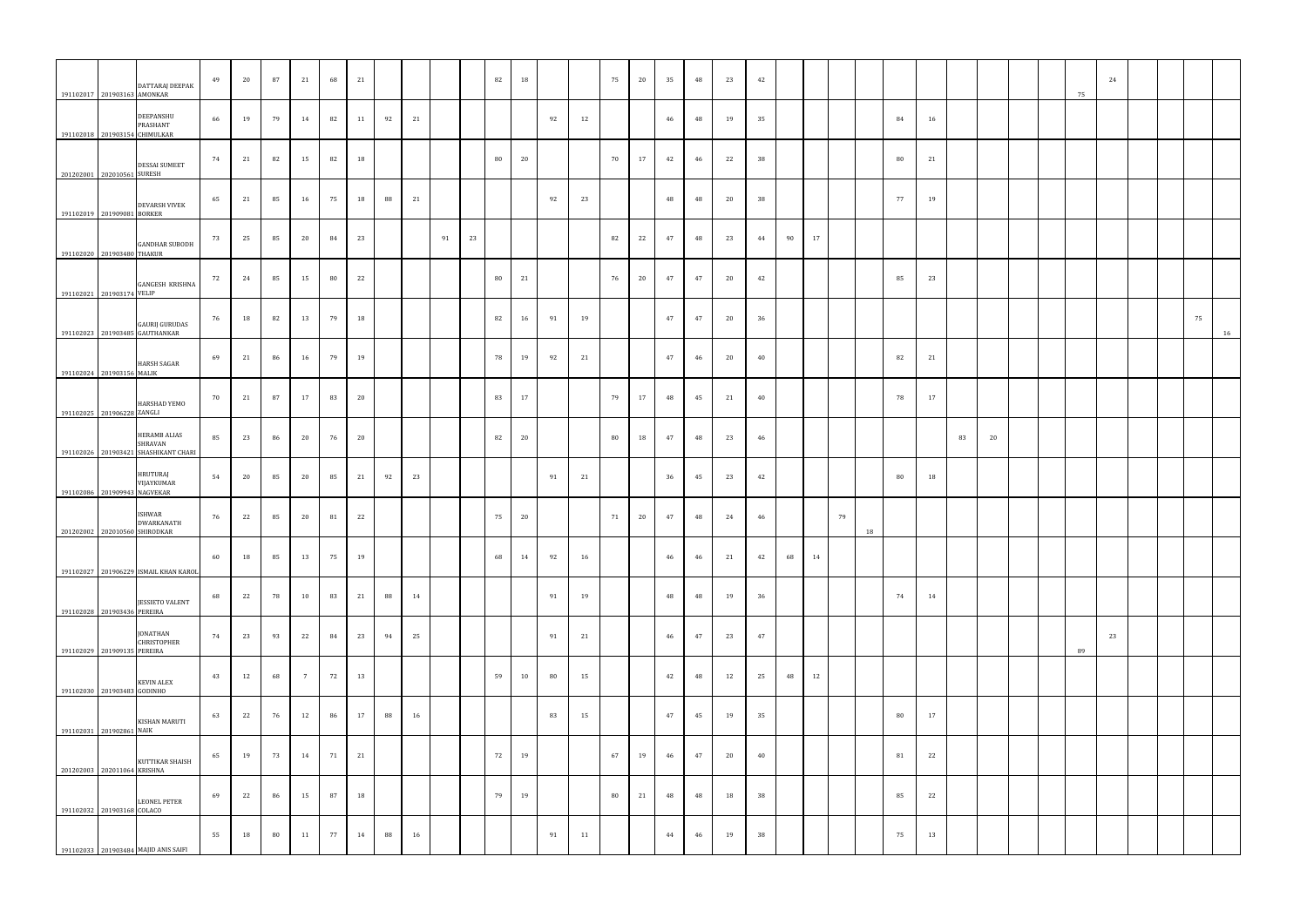| 191102017 201903163 AMONKAR                               | DATTARAJ DEEPAK                                                        | 49 | 20 | 87 | 21              | 68 | 21     |    |    |    |    | 82 | 18 |    |    | 75 | 20 | 35 | 48 | 23 | 42 |    |    |    |    |        |    |    |    |  | 75 | 24 |  |    |    |
|-----------------------------------------------------------|------------------------------------------------------------------------|----|----|----|-----------------|----|--------|----|----|----|----|----|----|----|----|----|----|----|----|----|----|----|----|----|----|--------|----|----|----|--|----|----|--|----|----|
| 191102018 201903154 CHIMULKAR                             | DEEPANSHU<br>PRASHANT                                                  | 66 | 19 | 79 | 14              | 82 | 11     | 92 | 21 |    |    |    |    | 92 | 12 |    |    | 46 | 48 | 19 | 35 |    |    |    |    | 84     | 16 |    |    |  |    |    |  |    |    |
| 201202001 202010561 SURESH                                | <b>DESSAI SUMEET</b>                                                   | 74 | 21 | 82 | 15              | 82 | 18     |    |    |    |    | 80 | 20 |    |    | 70 | 17 | 42 | 46 | 22 | 38 |    |    |    |    | 80     | 21 |    |    |  |    |    |  |    |    |
| 191102019 201909081 BORKER                                | <b>DEVARSH VIVEK</b>                                                   | 65 | 21 | 85 | 16              | 75 | 18     | 88 | 21 |    |    |    |    | 92 | 23 |    |    | 48 | 48 | 20 | 38 |    |    |    |    | 77     | 19 |    |    |  |    |    |  |    |    |
| 191102020 201903480 THAKUR                                | <b>GANDHAR SUBODH</b>                                                  | 73 | 25 | 85 | 20              | 84 | 23     |    |    | 91 | 23 |    |    |    |    | 82 | 22 | 47 | 48 | 23 | 44 | 90 | 17 |    |    |        |    |    |    |  |    |    |  |    |    |
| 191102021 201903174 VELIP                                 | <b>GANGESH KRISHNA</b>                                                 | 72 | 24 | 85 | 15              | 80 | 22     |    |    |    |    | 80 | 21 |    |    | 76 | 20 | 47 | 47 | 20 | 42 |    |    |    |    | 85     | 23 |    |    |  |    |    |  |    |    |
|                                                           | GAURIJ GURUDAS<br>191102023 201903485 GAUTHANKAR                       | 76 | 18 | 82 | 13              | 79 | 18     |    |    |    |    | 82 | 16 | 91 | 19 |    |    | 47 | 47 | 20 | 36 |    |    |    |    |        |    |    |    |  |    |    |  | 75 | 16 |
| 191102024 201903156 MALIK                                 | <b>HARSH SAGAR</b>                                                     | 69 | 21 | 86 | 16              | 79 | 19     |    |    |    |    | 78 | 19 | 92 | 21 |    |    | 47 | 46 | 20 | 40 |    |    |    |    | 82     | 21 |    |    |  |    |    |  |    |    |
| 191102025 201906228 ZANGLI                                | HARSHAD YEMO                                                           | 70 | 21 | 87 | 17              | 83 | $20\,$ |    |    |    |    | 83 | 17 |    |    | 79 | 17 | 48 | 45 | 21 | 40 |    |    |    |    | 78     | 17 |    |    |  |    |    |  |    |    |
|                                                           | <b>HERAMB ALIAS</b><br>SHRAVAN<br>191102026 201903421 SHASHIKANT CHARI | 85 | 23 | 86 | 20              | 76 | 20     |    |    |    |    | 82 | 20 |    |    | 80 | 18 | 47 | 48 | 23 | 46 |    |    |    |    |        |    | 83 | 20 |  |    |    |  |    |    |
| 191102086 201909943 NAGVEKAR                              | HRUTURAJ<br>VIJAYKUMAR                                                 | 54 | 20 | 85 | 20              | 85 | 21     | 92 | 23 |    |    |    |    | 91 | 21 |    |    | 36 | 45 | 23 | 42 |    |    |    |    | 80     | 18 |    |    |  |    |    |  |    |    |
| 201202002 202010560 SHIRODKAR                             | <b>ISHWAR</b><br>DWARKANATH                                            | 76 | 22 | 85 | 20              | 81 | 22     |    |    |    |    | 75 | 20 |    |    | 71 | 20 | 47 | 48 | 24 | 46 |    |    | 79 | 18 |        |    |    |    |  |    |    |  |    |    |
|                                                           | 191102027 201906229 ISMAIL KHAN KAROL                                  | 60 | 18 | 85 | 13              | 75 | 19     |    |    |    |    | 68 | 14 | 92 | 16 |    |    | 46 | 46 | 21 | 42 | 68 | 14 |    |    |        |    |    |    |  |    |    |  |    |    |
| 191102028 201903436 PEREIRA                               | <b>JESSIETO VALENT</b>                                                 | 68 | 22 | 78 | 10              | 83 | 21     | 88 | 14 |    |    |    |    | 91 | 19 |    |    | 48 | 48 | 19 | 36 |    |    |    |    | 74     | 14 |    |    |  |    |    |  |    |    |
| 191102029 201909135 PEREIRA                               | JONATHAN<br>CHRISTOPHER                                                | 74 | 23 | 93 | 22              | 84 | 23     | 94 | 25 |    |    |    |    | 91 | 21 |    |    | 46 | 47 | 23 | 47 |    |    |    |    |        |    |    |    |  | 89 | 23 |  |    |    |
| 191102030 201903483 GODINHO                               | <b>KEVIN ALEX</b>                                                      | 43 | 12 | 68 | $7\overline{ }$ | 72 | 13     |    |    |    |    | 59 | 10 | 80 | 15 |    |    | 42 | 48 | 12 | 25 | 48 | 12 |    |    |        |    |    |    |  |    |    |  |    |    |
| 191102031 201902861 NAIK                                  | KISHAN MARUTI                                                          | 63 | 22 | 76 | 12              | 86 | 17     | 88 | 16 |    |    |    |    | 83 | 15 |    |    | 47 | 45 | 19 | 35 |    |    |    |    | $80\,$ | 17 |    |    |  |    |    |  |    |    |
|                                                           | KUTTIKAR SHAISH                                                        | 65 | 19 | 73 | 14              | 71 | 21     |    |    |    |    | 72 | 19 |    |    | 67 | 19 | 46 | 47 | 20 | 40 |    |    |    |    | 81     | 22 |    |    |  |    |    |  |    |    |
| 201202003 202011064 KRISHNA<br>191102032 201903168 COLACO | LEONEL PETER                                                           | 69 | 22 | 86 | 15              | 87 | 18     |    |    |    |    | 79 | 19 |    |    | 80 | 21 | 48 | 48 | 18 | 38 |    |    |    |    | 85     | 22 |    |    |  |    |    |  |    |    |
|                                                           | 191102033 201903484 MAJID ANIS SAIFI                                   | 55 | 18 | 80 | 11              | 77 | 14     | 88 | 16 |    |    |    |    | 91 | 11 |    |    | 44 | 46 | 19 | 38 |    |    |    |    | 75     | 13 |    |    |  |    |    |  |    |    |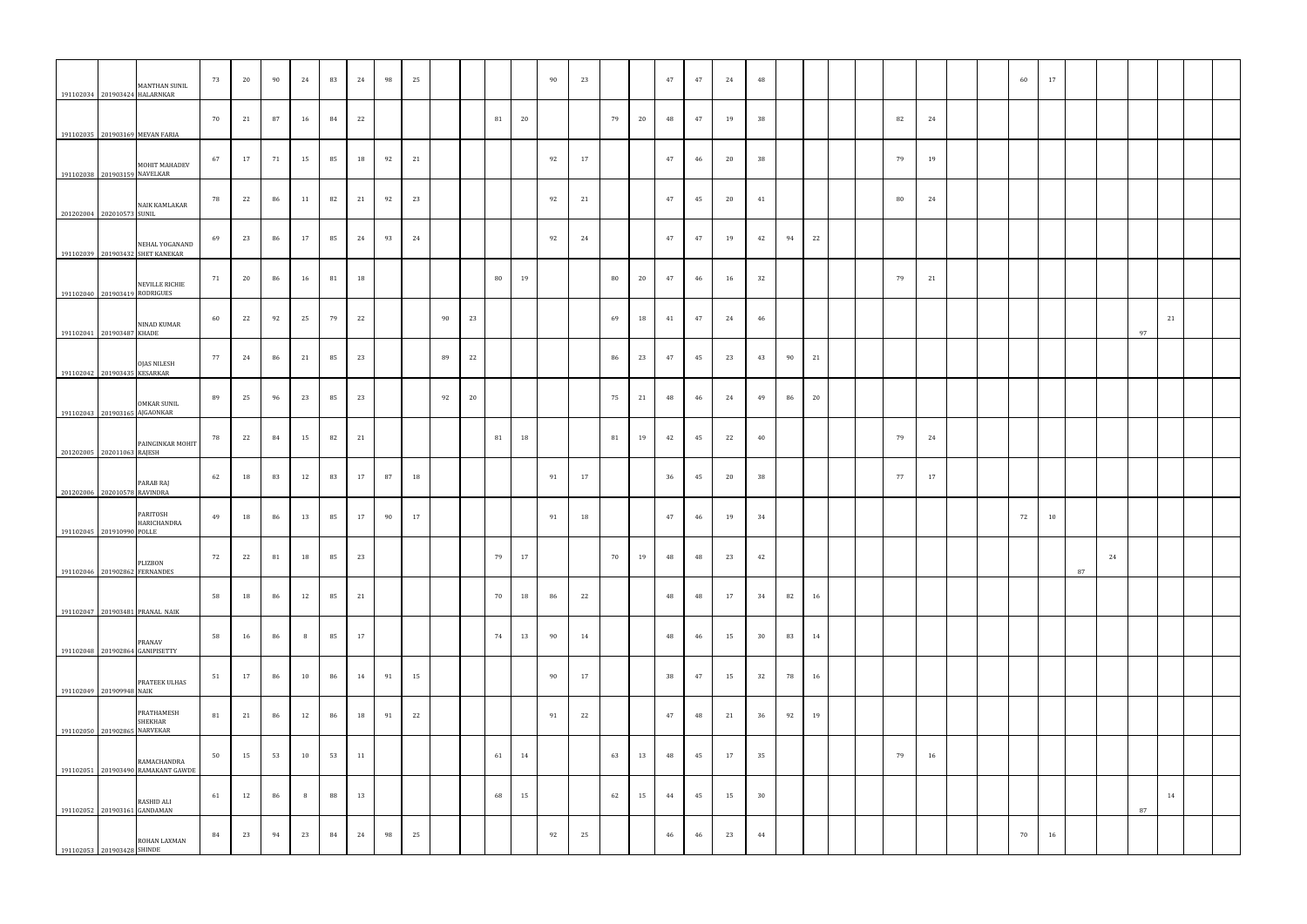|                               | MANTHAN SUNIL<br>191102034 201903424 HALARNKAR     | 73 | 20 | 90 | 24 | 83 | 24 | 98 | 25 |    |    |    |    | 90 | 23 |    |    | 47 | 47 | 24 | 48 |    |    |  |        |    |  | 60 | 17 |    |    |    |    |  |
|-------------------------------|----------------------------------------------------|----|----|----|----|----|----|----|----|----|----|----|----|----|----|----|----|----|----|----|----|----|----|--|--------|----|--|----|----|----|----|----|----|--|
|                               | 191102035 201903169 MEVAN FARIA                    | 70 | 21 | 87 | 16 | 84 | 22 |    |    |    |    | 81 | 20 |    |    | 79 | 20 | 48 | 47 | 19 | 38 |    |    |  | 82     | 24 |  |    |    |    |    |    |    |  |
| 191102038 201903159 NAVELKAR  | MOHIT MAHADEV                                      | 67 | 17 | 71 | 15 | 85 | 18 | 92 | 21 |    |    |    |    | 92 | 17 |    |    | 47 | 46 | 20 | 38 |    |    |  | 79     | 19 |  |    |    |    |    |    |    |  |
| 201202004 202010573 SUNIL     | <b>NAIK KAMLAKAR</b>                               | 78 | 22 | 86 | 11 | 82 | 21 | 92 | 23 |    |    |    |    | 92 | 21 |    |    | 47 | 45 | 20 | 41 |    |    |  | $80\,$ | 24 |  |    |    |    |    |    |    |  |
|                               | NEHAL YOGANAND<br>191102039 201903432 SHET KANEKAR | 69 | 23 | 86 | 17 | 85 | 24 | 93 | 24 |    |    |    |    | 92 | 24 |    |    | 47 | 47 | 19 | 42 | 94 | 22 |  |        |    |  |    |    |    |    |    |    |  |
| 191102040 201903419 RODRIGUES | <b>NEVILLE RICHIE</b>                              | 71 | 20 | 86 | 16 | 81 | 18 |    |    |    |    | 80 | 19 |    |    | 80 | 20 | 47 | 46 | 16 | 32 |    |    |  | 79     | 21 |  |    |    |    |    |    |    |  |
| 191102041 201903487 KHADE     | NINAD KUMAR                                        | 60 | 22 | 92 | 25 | 79 | 22 |    |    | 90 | 23 |    |    |    |    | 69 | 18 | 41 | 47 | 24 | 46 |    |    |  |        |    |  |    |    |    |    | 97 | 21 |  |
| 191102042 201903435 KESARKAR  | <b>OJAS NILESH</b>                                 | 77 | 24 | 86 | 21 | 85 | 23 |    |    | 89 | 22 |    |    |    |    | 86 | 23 | 47 | 45 | 23 | 43 | 90 | 21 |  |        |    |  |    |    |    |    |    |    |  |
|                               | <b>OMKAR SUNIL</b>                                 | 89 | 25 | 96 | 23 | 85 | 23 |    |    | 92 | 20 |    |    |    |    | 75 | 21 | 48 | 46 | 24 | 49 | 86 | 20 |  |        |    |  |    |    |    |    |    |    |  |
| 191102043 201903165 AJGAONKAR | PAINGINKAR MOHIT                                   | 78 | 22 | 84 | 15 | 82 | 21 |    |    |    |    | 81 | 18 |    |    | 81 | 19 | 42 | 45 | 22 | 40 |    |    |  | 79     | 24 |  |    |    |    |    |    |    |  |
| 201202005 202011063 RAJESH    | PARAB RAJ                                          | 62 | 18 | 83 | 12 | 83 | 17 | 87 | 18 |    |    |    |    | 91 | 17 |    |    | 36 | 45 | 20 | 38 |    |    |  | 77     | 17 |  |    |    |    |    |    |    |  |
| 201202006 202010578 RAVINDRA  | PARITOSH<br>HARICHANDRA                            | 49 | 18 | 86 | 13 | 85 | 17 | 90 | 17 |    |    |    |    | 91 | 18 |    |    | 47 | 46 | 19 | 34 |    |    |  |        |    |  | 72 | 10 |    |    |    |    |  |
| 191102045 201910990 POLLE     | PLIZBON                                            | 72 | 22 | 81 | 18 | 85 | 23 |    |    |    |    | 79 | 17 |    |    | 70 | 19 | 48 | 48 | 23 | 42 |    |    |  |        |    |  |    |    |    | 24 |    |    |  |
|                               | 191102046 201902862 FERNANDES                      | 58 | 18 | 86 | 12 | 85 | 21 |    |    |    |    | 70 | 18 | 86 | 22 |    |    | 48 | 48 | 17 | 34 | 82 | 16 |  |        |    |  |    |    | 87 |    |    |    |  |
|                               | 191102047 201903481 PRANAL NAIK<br>PRANAV          | 58 | 16 | 86 | 8  | 85 | 17 |    |    |    |    | 74 | 13 | 90 | 14 |    |    | 48 | 46 | 15 | 30 | 83 | 14 |  |        |    |  |    |    |    |    |    |    |  |
|                               | 191102048 201902864 GANIPISETTY<br>PRATEEK ULHAS   | 51 | 17 | 86 | 10 | 86 | 14 | 91 | 15 |    |    |    |    | 90 | 17 |    |    | 38 | 47 | 15 | 32 | 78 | 16 |  |        |    |  |    |    |    |    |    |    |  |
| 191102049 201909948 NAIK      | PRATHAMESH<br><b>SHEKHAR</b>                       | 81 | 21 | 86 | 12 | 86 | 18 | 91 | 22 |    |    |    |    | 91 | 22 |    |    | 47 | 48 | 21 | 36 | 92 | 19 |  |        |    |  |    |    |    |    |    |    |  |
| 191102050 201902865 NARVEKAR  | RAMACHANDRA                                        | 50 | 15 | 53 | 10 | 53 | 11 |    |    |    |    | 61 | 14 |    |    | 63 | 13 | 48 | 45 | 17 | 35 |    |    |  | 79     | 16 |  |    |    |    |    |    |    |  |
|                               | 191102051 201903490 RAMAKANT GAWDE<br>RASHID ALI   | 61 | 12 | 86 | 8  | 88 | 13 |    |    |    |    | 68 | 15 |    |    | 62 | 15 | 44 | 45 | 15 | 30 |    |    |  |        |    |  |    |    |    |    |    | 14 |  |
| 191102053 201903428 SHINDE    | 191102052 201903161 GANDAMAN<br>ROHAN LAXMAN       | 84 | 23 | 94 | 23 | 84 | 24 | 98 | 25 |    |    |    |    | 92 | 25 |    |    | 46 | 46 | 23 | 44 |    |    |  |        |    |  | 70 | 16 |    |    | 87 |    |  |
|                               |                                                    |    |    |    |    |    |    |    |    |    |    |    |    |    |    |    |    |    |    |    |    |    |    |  |        |    |  |    |    |    |    |    |    |  |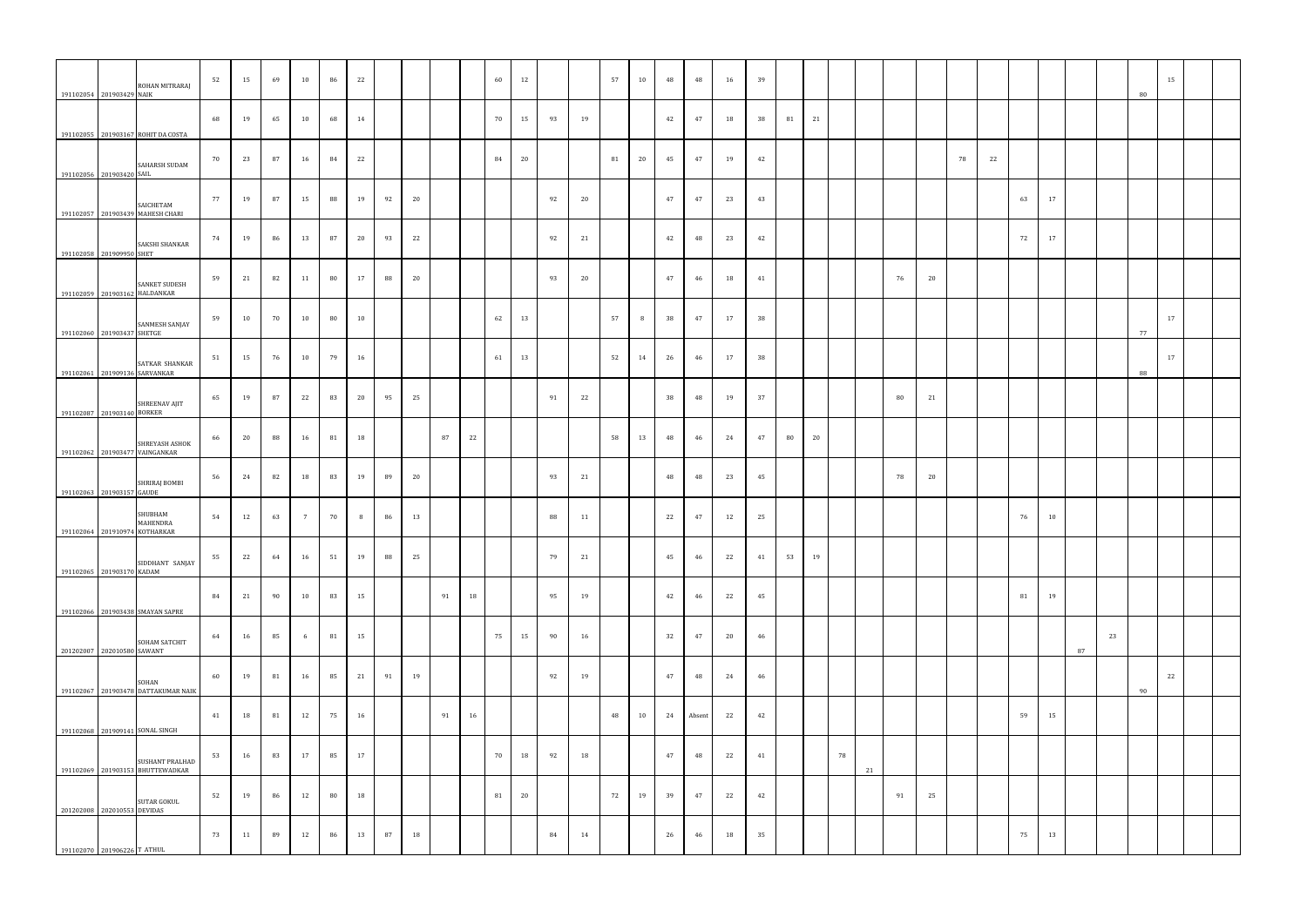| 191102054 201903429 NAIK      | ROHAN MITRARAJ                                      | 52 | 15 | 69 | 10              | 86 | 22 |    |    |    |    | 60 | 12 |    |    | 57 | 10 | 48 | 48     | 16 | 39 |    |    |    |    |    |    |    |    |    |    |    |    | 80 | 15 |  |
|-------------------------------|-----------------------------------------------------|----|----|----|-----------------|----|----|----|----|----|----|----|----|----|----|----|----|----|--------|----|----|----|----|----|----|----|----|----|----|----|----|----|----|----|----|--|
|                               | 191102055 201903167 ROHIT DA COSTA                  | 68 | 19 | 65 | 10              | 68 | 14 |    |    |    |    | 70 | 15 | 93 | 19 |    |    | 42 | 47     | 18 | 38 | 81 | 21 |    |    |    |    |    |    |    |    |    |    |    |    |  |
| 191102056 201903420 SAIL      | SAHARSH SUDAM                                       | 70 | 23 | 87 | 16              | 84 | 22 |    |    |    |    | 84 | 20 |    |    | 81 | 20 | 45 | 47     | 19 | 42 |    |    |    |    |    |    | 78 | 22 |    |    |    |    |    |    |  |
|                               | SAICHETAM<br>191102057 201903439 MAHESH CHARI       | 77 | 19 | 87 | 15              | 88 | 19 | 92 | 20 |    |    |    |    | 92 | 20 |    |    | 47 | 47     | 23 | 43 |    |    |    |    |    |    |    |    | 63 | 17 |    |    |    |    |  |
| 191102058 201909950 SHET      | SAKSHI SHANKAR                                      | 74 | 19 | 86 | 13              | 87 | 20 | 93 | 22 |    |    |    |    | 92 | 21 |    |    | 42 | 48     | 23 | 42 |    |    |    |    |    |    |    |    | 72 | 17 |    |    |    |    |  |
| 191102059 201903162 HALDANKAR | <b>SANKET SUDESH</b>                                | 59 | 21 | 82 | 11              | 80 | 17 | 88 | 20 |    |    |    |    | 93 | 20 |    |    | 47 | 46     | 18 | 41 |    |    |    |    | 76 | 20 |    |    |    |    |    |    |    |    |  |
| 191102060 201903437 SHETGE    | SANMESH SANJAY                                      | 59 | 10 | 70 | 10              | 80 | 10 |    |    |    |    | 62 | 13 |    |    | 57 | 8  | 38 | 47     | 17 | 38 |    |    |    |    |    |    |    |    |    |    |    |    | 77 | 17 |  |
| 191102061 201909136 SARVANKAR | SATKAR SHANKAR                                      | 51 | 15 | 76 | 10              | 79 | 16 |    |    |    |    | 61 | 13 |    |    | 52 | 14 | 26 | 46     | 17 | 38 |    |    |    |    |    |    |    |    |    |    |    |    | 88 | 17 |  |
| 191102087 201903140 BORKER    | SHREENAV AJIT                                       | 65 | 19 | 87 | 22              | 83 | 20 | 95 | 25 |    |    |    |    | 91 | 22 |    |    | 38 | 48     | 19 | 37 |    |    |    |    | 80 | 21 |    |    |    |    |    |    |    |    |  |
|                               | SHREYASH ASHOK<br>191102062 201903477 VAINGANKAR    | 66 | 20 | 88 | 16              | 81 | 18 |    |    | 87 | 22 |    |    |    |    | 58 | 13 | 48 | 46     | 24 | 47 | 80 | 20 |    |    |    |    |    |    |    |    |    |    |    |    |  |
| 191102063 201903157 GAUDE     | SHRIRAJ BOMBI                                       | 56 | 24 | 82 | 18              | 83 | 19 | 89 | 20 |    |    |    |    | 93 | 21 |    |    | 48 | 48     | 23 | 45 |    |    |    |    | 78 | 20 |    |    |    |    |    |    |    |    |  |
| 191102064 201910974 KOTHARKAR | SHUBHAM<br>MAHENDRA                                 | 54 | 12 | 63 | $7\overline{ }$ | 70 | 8  | 86 | 13 |    |    |    |    | 88 | 11 |    |    | 22 | 47     | 12 | 25 |    |    |    |    |    |    |    |    | 76 | 10 |    |    |    |    |  |
| 191102065 201903170 KADAM     | SIDDHANT SANJAY                                     | 55 | 22 | 64 | 16              | 51 | 19 | 88 | 25 |    |    |    |    | 79 | 21 |    |    | 45 | 46     | 22 | 41 | 53 | 19 |    |    |    |    |    |    |    |    |    |    |    |    |  |
|                               | 191102066 201903438 SMAYAN SAPRE                    | 84 | 21 | 90 | 10              | 83 | 15 |    |    | 91 | 18 |    |    | 95 | 19 |    |    | 42 | 46     | 22 | 45 |    |    |    |    |    |    |    |    | 81 | 19 |    |    |    |    |  |
| 201202007 202010580 SAWANT    | SOHAM SATCHIT                                       | 64 | 16 | 85 | 6               | 81 | 15 |    |    |    |    | 75 | 15 | 90 | 16 |    |    | 32 | 47     | 20 | 46 |    |    |    |    |    |    |    |    |    |    | 87 | 23 |    |    |  |
|                               | SOHAN<br>191102067 201903478 DATTAKUMAR NAIK        | 60 | 19 | 81 | 16              | 85 | 21 | 91 | 19 |    |    |    |    | 92 | 19 |    |    | 47 | 48     | 24 | 46 |    |    |    |    |    |    |    |    |    |    |    |    | 90 | 22 |  |
|                               | 191102068 201909141 SONAL SINGH                     | 41 | 18 | 81 | 12              | 75 | 16 |    |    | 91 | 16 |    |    |    |    | 48 | 10 | 24 | Absent | 22 | 42 |    |    |    |    |    |    |    |    | 59 | 15 |    |    |    |    |  |
|                               | SUSHANT PRALHAD<br>191102069 201903153 BHUTTEWADKAR | 53 | 16 | 83 | 17              | 85 | 17 |    |    |    |    | 70 | 18 | 92 | 18 |    |    | 47 | 48     | 22 | 41 |    |    | 78 | 21 |    |    |    |    |    |    |    |    |    |    |  |
| 201202008 202010553 DEVIDAS   | <b>SUTAR GOKUL</b>                                  | 52 | 19 | 86 | 12              | 80 | 18 |    |    |    |    | 81 | 20 |    |    | 72 | 19 | 39 | 47     | 22 | 42 |    |    |    |    | 91 | 25 |    |    |    |    |    |    |    |    |  |
| 191102070 201906226 T ATHUL   |                                                     | 73 | 11 | 89 | 12              | 86 | 13 | 87 | 18 |    |    |    |    | 84 | 14 |    |    | 26 | 46     | 18 | 35 |    |    |    |    |    |    |    |    | 75 | 13 |    |    |    |    |  |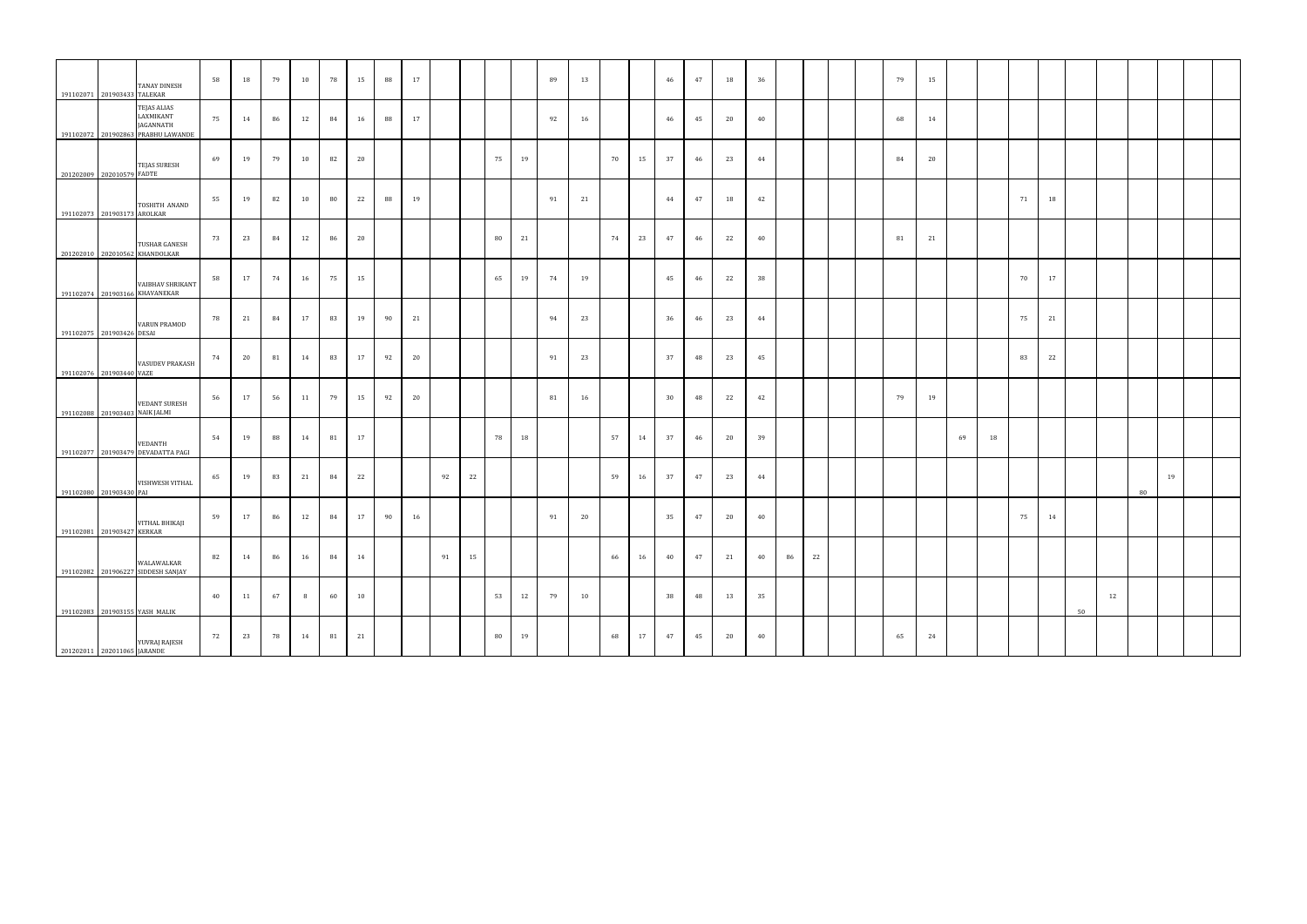|                             | 191102071 201903433 TALEKAR    | TANAY DINESH                                                                | 58 | 18 | 79 | 10 | 78 | 15 | 88 | 17 |    |    |    |    | 89 | 13 |    |    | 46 | 47 | 18 | 36 |    |    |  | 79 | 15 |    |    |    |    |    |    |    |    |  |
|-----------------------------|--------------------------------|-----------------------------------------------------------------------------|----|----|----|----|----|----|----|----|----|----|----|----|----|----|----|----|----|----|----|----|----|----|--|----|----|----|----|----|----|----|----|----|----|--|
|                             |                                | TEJAS ALIAS<br>LAXMIKANT<br>JAGANNATH<br>191102072 201902863 PRABHU LAWANDE | 75 | 14 | 86 | 12 | 84 | 16 | 88 | 17 |    |    |    |    | 92 | 16 |    |    | 46 | 45 | 20 | 40 |    |    |  | 68 | 14 |    |    |    |    |    |    |    |    |  |
|                             | 201202009 202010579 FADTE      | <b>TEJAS SURESH</b>                                                         | 69 | 19 | 79 | 10 | 82 | 20 |    |    |    |    | 75 | 19 |    |    | 70 | 15 | 37 | 46 | 23 | 44 |    |    |  | 84 | 20 |    |    |    |    |    |    |    |    |  |
|                             | 191102073 201903173 AROLKAR    | TOSHITH ANAND                                                               | 55 | 19 | 82 | 10 | 80 | 22 | 88 | 19 |    |    |    |    | 91 | 21 |    |    | 44 | 47 | 18 | 42 |    |    |  |    |    |    |    | 71 | 18 |    |    |    |    |  |
|                             |                                | TUSHAR GANESH<br>201202010 202010562 KHANDOLKAR                             | 73 | 23 | 84 | 12 | 86 | 20 |    |    |    |    | 80 | 21 |    |    | 74 | 23 | 47 | 46 | 22 | 40 |    |    |  | 81 | 21 |    |    |    |    |    |    |    |    |  |
|                             |                                | VAIBHAV SHRIKANT<br>191102074 201903166 KHAVANEKAR                          | 58 | 17 | 74 | 16 | 75 | 15 |    |    |    |    | 65 | 19 | 74 | 19 |    |    | 45 | 46 | 22 | 38 |    |    |  |    |    |    |    | 70 | 17 |    |    |    |    |  |
|                             | 191102075 201903426 DESAI      | VARUN PRAMOD                                                                | 78 | 21 | 84 | 17 | 83 | 19 | 90 | 21 |    |    |    |    | 94 | 23 |    |    | 36 | 46 | 23 | 44 |    |    |  |    |    |    |    | 75 | 21 |    |    |    |    |  |
|                             | 191102076 201903440 VAZE       | <b>VASUDEV PRAKASH</b>                                                      | 74 | 20 | 81 | 14 | 83 | 17 | 92 | 20 |    |    |    |    | 91 | 23 |    |    | 37 | 48 | 23 | 45 |    |    |  |    |    |    |    | 83 | 22 |    |    |    |    |  |
|                             | 191102088 201903403 NAIK JALMI | <b>VEDANT SURESH</b>                                                        | 56 | 17 | 56 | 11 | 79 | 15 | 92 | 20 |    |    |    |    | 81 | 16 |    |    | 30 | 48 | 22 | 42 |    |    |  | 79 | 19 |    |    |    |    |    |    |    |    |  |
|                             |                                | VEDANTH<br>191102077 201903479 DEVADATTA PAGI                               | 54 | 19 | 88 | 14 | 81 | 17 |    |    |    |    | 78 | 18 |    |    | 57 | 14 | 37 | 46 | 20 | 39 |    |    |  |    |    | 69 | 18 |    |    |    |    |    |    |  |
|                             | 191102080 201903430 PAI        | VISHWESH VITHAL                                                             | 65 | 19 | 83 | 21 | 84 | 22 |    |    | 92 | 22 |    |    |    |    | 59 | 16 | 37 | 47 | 23 | 44 |    |    |  |    |    |    |    |    |    |    |    | 80 | 19 |  |
|                             | 191102081 201903427 KERKAR     | VITHAL BHIKAJI                                                              | 59 | 17 | 86 | 12 | 84 | 17 | 90 | 16 |    |    |    |    | 91 | 20 |    |    | 35 | 47 | 20 | 40 |    |    |  |    |    |    |    | 75 | 14 |    |    |    |    |  |
|                             |                                | WALAWALKAR<br>191102082 201906227 SIDDESH SANJAY                            | 82 | 14 | 86 | 16 | 84 | 14 |    |    | 91 | 15 |    |    |    |    | 66 | 16 | 40 | 47 | 21 | 40 | 86 | 22 |  |    |    |    |    |    |    |    |    |    |    |  |
|                             |                                | 191102083 201903155 YASH MALIK                                              | 40 | 11 | 67 | 8  | 60 | 10 |    |    |    |    | 53 | 12 | 79 | 10 |    |    | 38 | 48 | 13 | 35 |    |    |  |    |    |    |    |    |    | 50 | 12 |    |    |  |
| 201202011 202011065 JARANDE |                                | YUVRAJ RAJESH                                                               | 72 | 23 | 78 | 14 | 81 | 21 |    |    |    |    | 80 | 19 |    |    | 68 | 17 | 47 | 45 | 20 | 40 |    |    |  | 65 | 24 |    |    |    |    |    |    |    |    |  |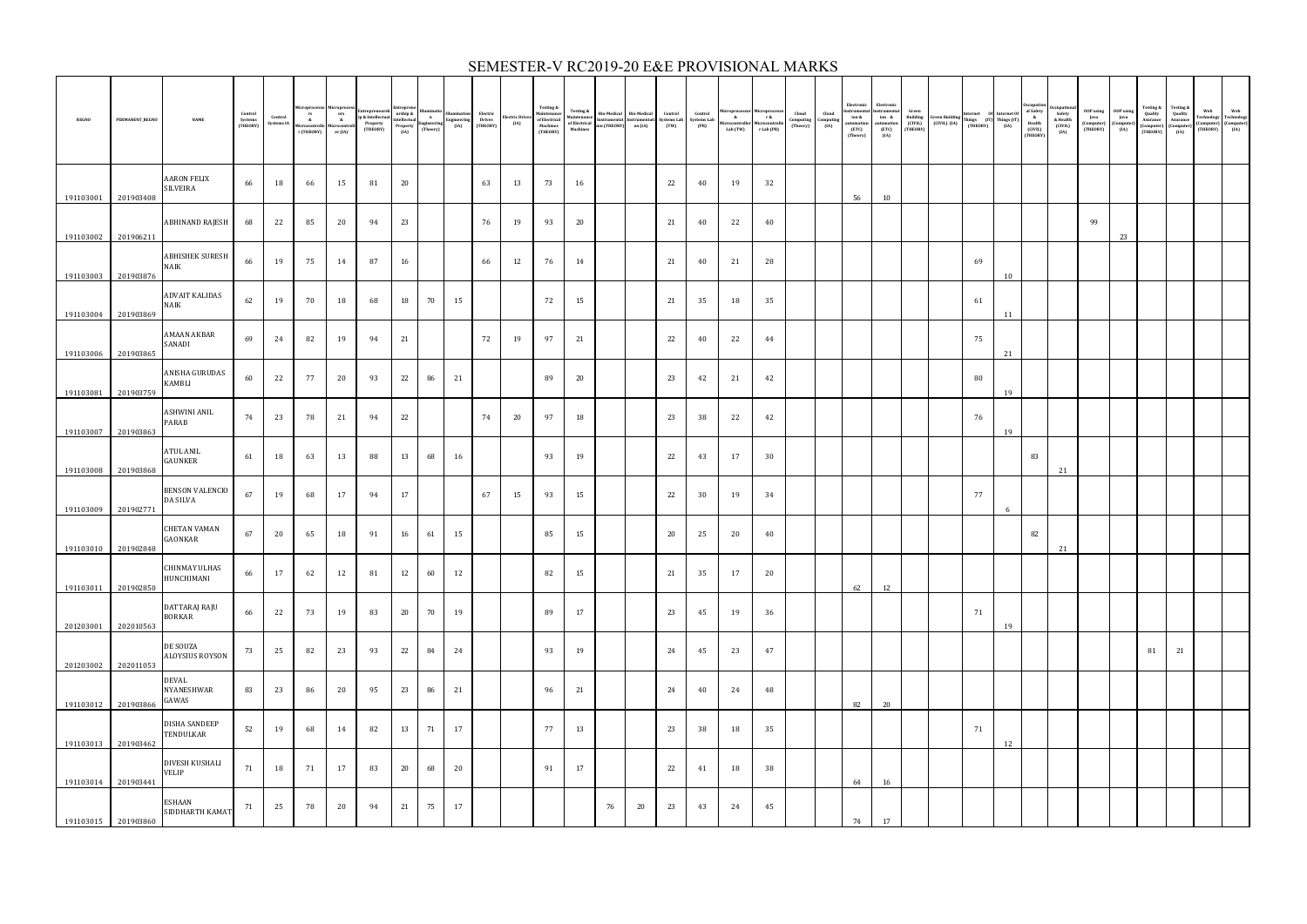| <b>REGNO</b> | PERMANENT_REGNO     | <b>NAME</b>                                | Control<br>Systems<br>(THEORY) | Control<br>Systems IA | rs<br>&<br>Microcontrolle<br>r (THEORY) | Microcontroll<br>er (IA) | MICTOProcess<br>ors<br>ip & Intellectual<br>eroperty<br>Microcontroll<br>Microcontroll<br>(THEORY) | urship &<br>Intellectual<br>Property<br>(IA) | $\mathbf{n}$<br>Engineering<br>(Theory) | lluminatio<br>Engineering<br>(IA) | Electric<br>Drives<br>(THEORY) | Electric Drives<br>(IA) | Testing &<br>Maintenance<br>of Electrical<br>$\mbox{\bf Machines}$<br>(THEORY) | <b>Testing &amp;</b><br><b>laintenance</b><br>of Electrical<br>Machines | ion (THEORY) | Bio-Medical Bio-Medical<br>Instrumentat Instrumentati<br>on (IA) | Control<br>(TW) | Control<br>Systems Lab Systems Lab<br>(PR) | $\mathbf{k}$<br>Microcontroller Microcontroll<br>Lab (TW) | $r$ &<br>r Lab (PR) | Cloud<br>Computing<br>(Theory) | Cloud<br>$Computin$<br>$(IA)$ | Electronic<br>Instrumenta<br>ion &<br>automation<br>(ETC)<br>(Theory) | Electronic<br>strumentat<br>ion &<br>utomation<br>(ETC)<br>(IA) | Green<br>Building<br>(CIVIL)<br>(THEORY) | $\begin{array}{lll} \text{Green Building} & \text{Internet} & \text{Of} & \text{Internet Of} \\ \text{(CIVIL)} & \text{(IA)} & \text{Things} & \text{(IT)} \\ & \text{(THEORY)} & \text{(IA)} & \text{(IA)} \\ \end{array}$ |    |    | ccupatio<br>al Safety<br>&<br>Health<br>(CIVIL)<br>(THEORY) | Safety<br>& Health<br>(CIVIL)<br>(IA) | <b>OOP</b> using<br>Java<br>(Computer)<br>(THEORY) | <b>OOP</b> using<br>Java<br>(Compute)<br>(IA) | Testing &<br>Quality<br>Asurance<br>(Computer)<br>(THEORY) | Testing &<br>Quality<br>Asurance<br>$\begin{array}{c} \textbf{(Computer}\\ \textbf{(IA)} \end{array}$ | Web Web<br>Technology Technology<br>(Computer) (Computer)<br>(THEORY) (IA) |
|--------------|---------------------|--------------------------------------------|--------------------------------|-----------------------|-----------------------------------------|--------------------------|----------------------------------------------------------------------------------------------------|----------------------------------------------|-----------------------------------------|-----------------------------------|--------------------------------|-------------------------|--------------------------------------------------------------------------------|-------------------------------------------------------------------------|--------------|------------------------------------------------------------------|-----------------|--------------------------------------------|-----------------------------------------------------------|---------------------|--------------------------------|-------------------------------|-----------------------------------------------------------------------|-----------------------------------------------------------------|------------------------------------------|-----------------------------------------------------------------------------------------------------------------------------------------------------------------------------------------------------------------------------|----|----|-------------------------------------------------------------|---------------------------------------|----------------------------------------------------|-----------------------------------------------|------------------------------------------------------------|-------------------------------------------------------------------------------------------------------|----------------------------------------------------------------------------|
|              |                     | <b>AARON FELIX</b>                         |                                |                       |                                         |                          |                                                                                                    |                                              |                                         |                                   |                                |                         |                                                                                |                                                                         |              |                                                                  |                 |                                            |                                                           |                     |                                |                               |                                                                       |                                                                 |                                          |                                                                                                                                                                                                                             |    |    |                                                             |                                       |                                                    |                                               |                                                            |                                                                                                       |                                                                            |
| 191103001    | 201903408           | <b>SILVEIRA</b>                            | 66                             | 18                    | 66                                      | 15                       | 81                                                                                                 | 20                                           |                                         |                                   | 63                             | 13                      | 73                                                                             | 16                                                                      |              |                                                                  | 22              | 40                                         | 19                                                        | 32                  |                                |                               | 56                                                                    | 10                                                              |                                          |                                                                                                                                                                                                                             |    |    |                                                             |                                       |                                                    |                                               |                                                            |                                                                                                       |                                                                            |
| 191103002    | 201906211           | ABHINAND RAJESH                            | 68                             | 22                    | 85                                      | 20                       | 94                                                                                                 | 23                                           |                                         |                                   | 76                             | 19                      | 93                                                                             | 20                                                                      |              |                                                                  | 21              | 40                                         | 22                                                        | 40                  |                                |                               |                                                                       |                                                                 |                                          |                                                                                                                                                                                                                             |    |    |                                                             |                                       | 99                                                 | 23                                            |                                                            |                                                                                                       |                                                                            |
| 191103003    | 201903876           | <b>ABHISHEK SURESH</b><br><b>NAIK</b>      | 66                             | 19                    | 75                                      | 14                       | 87                                                                                                 | 16                                           |                                         |                                   | 66                             | 12                      | 76                                                                             | 14                                                                      |              |                                                                  | 21              | 40                                         | 21                                                        | 28                  |                                |                               |                                                                       |                                                                 |                                          |                                                                                                                                                                                                                             | 69 | 10 |                                                             |                                       |                                                    |                                               |                                                            |                                                                                                       |                                                                            |
| 191103004    | 201903869           | <b>ADVAIT KALIDAS</b><br><b>NAIK</b>       | 62                             | 19                    | 70                                      | 18                       | 68                                                                                                 | 18                                           | 70                                      | 15                                |                                |                         | 72                                                                             | 15                                                                      |              |                                                                  | 21              | 35                                         | 18                                                        | 35                  |                                |                               |                                                                       |                                                                 |                                          |                                                                                                                                                                                                                             | 61 | 11 |                                                             |                                       |                                                    |                                               |                                                            |                                                                                                       |                                                                            |
| 191103006    | 201903865           | AMAAN AKBAR<br>SANADI                      | 69                             | 24                    | 82                                      | 19                       | 94                                                                                                 | 21                                           |                                         |                                   | 72                             | 19                      | 97                                                                             | 21                                                                      |              |                                                                  | 22              | 40                                         | 22                                                        | 44                  |                                |                               |                                                                       |                                                                 |                                          |                                                                                                                                                                                                                             | 75 | 21 |                                                             |                                       |                                                    |                                               |                                                            |                                                                                                       |                                                                            |
| 191103081    | 201903759           | ANISHA GURUDAS<br>KAMBLI                   | 60                             | 22                    | 77                                      | 20                       | 93                                                                                                 | 22                                           | 86                                      | 21                                |                                |                         | 89                                                                             | 20                                                                      |              |                                                                  | 23              | 42                                         | 21                                                        | 42                  |                                |                               |                                                                       |                                                                 |                                          |                                                                                                                                                                                                                             | 80 | 19 |                                                             |                                       |                                                    |                                               |                                                            |                                                                                                       |                                                                            |
| 191103007    | 201903863           | <b>ASHWINI ANIL</b><br>PARAB               | 74                             | 23                    | 78                                      | 21                       | 94                                                                                                 | 22                                           |                                         |                                   | 74                             | 20                      | 97                                                                             | 18                                                                      |              |                                                                  | 23              | 38                                         | 22                                                        | 42                  |                                |                               |                                                                       |                                                                 |                                          |                                                                                                                                                                                                                             | 76 | 19 |                                                             |                                       |                                                    |                                               |                                                            |                                                                                                       |                                                                            |
| 191103008    | 201903868           | <b>ATUL ANIL</b><br>GAUNKER                | 61                             | 18                    | 63                                      | 13                       | 88                                                                                                 | 13                                           | 68                                      | 16                                |                                |                         | 93                                                                             | 19                                                                      |              |                                                                  | 22              | 43                                         | 17                                                        | 30                  |                                |                               |                                                                       |                                                                 |                                          |                                                                                                                                                                                                                             |    |    | 83                                                          | 21                                    |                                                    |                                               |                                                            |                                                                                                       |                                                                            |
| 191103009    | 201902771           | <b>BENSON VALENCIO</b><br>DA SILVA         | 67                             | 19                    | 68                                      | 17                       | 94                                                                                                 | 17                                           |                                         |                                   | 67                             | 15                      | 93                                                                             | 15                                                                      |              |                                                                  | 22              | 30                                         | 19                                                        | 34                  |                                |                               |                                                                       |                                                                 |                                          |                                                                                                                                                                                                                             | 77 | 6  |                                                             |                                       |                                                    |                                               |                                                            |                                                                                                       |                                                                            |
| 191103010    | 201902848           | <b>CHETAN VAMAN</b><br>GAONKAR             | 67                             | 20                    | 65                                      | 18                       | 91                                                                                                 | 16                                           | 61                                      | 15                                |                                |                         | 85                                                                             | 15                                                                      |              |                                                                  | 20              | 25                                         | 20                                                        | 40                  |                                |                               |                                                                       |                                                                 |                                          |                                                                                                                                                                                                                             |    |    | 82                                                          | 21                                    |                                                    |                                               |                                                            |                                                                                                       |                                                                            |
| 191103011    | 201902850           | CHINMAY ULHAS<br>HUNCHIMANI                | 66                             | 17                    | 62                                      | 12                       | 81                                                                                                 | 12                                           | 60                                      | 12                                |                                |                         | 82                                                                             | 15                                                                      |              |                                                                  | 21              | 35                                         | 17                                                        | 20                  |                                |                               | 62                                                                    | 12                                                              |                                          |                                                                                                                                                                                                                             |    |    |                                                             |                                       |                                                    |                                               |                                                            |                                                                                                       |                                                                            |
| 201203001    | 202010563           | DATTARAJ RAJU<br><b>BORKAR</b>             | 66                             | 22                    | 73                                      | 19                       | 83                                                                                                 | 20                                           | 70                                      | 19                                |                                |                         | 89                                                                             | 17                                                                      |              |                                                                  | 23              | 45                                         | 19                                                        | 36                  |                                |                               |                                                                       |                                                                 |                                          |                                                                                                                                                                                                                             | 71 | 19 |                                                             |                                       |                                                    |                                               |                                                            |                                                                                                       |                                                                            |
| 201203002    | 202011053           | DE SOUZA<br>ALOYSIUS ROYSON                | 73                             | 25                    | 82                                      | 23                       | 93                                                                                                 | 22                                           | 84                                      | 24                                |                                |                         | 93                                                                             | 19                                                                      |              |                                                                  | 24              | 45                                         | 23                                                        | 47                  |                                |                               |                                                                       |                                                                 |                                          |                                                                                                                                                                                                                             |    |    |                                                             |                                       |                                                    |                                               | 81                                                         | 21                                                                                                    |                                                                            |
|              | 191103012 201903866 | <b>DEVAL</b><br><b>NYANESHWAR</b><br>GAWAS | 83                             | 23                    | 86                                      | 20                       | 95                                                                                                 | 23                                           | 86                                      | 21                                |                                |                         | 96                                                                             | 21                                                                      |              |                                                                  | 24              | 40                                         | 24                                                        | 48                  |                                |                               | 82                                                                    | 20                                                              |                                          |                                                                                                                                                                                                                             |    |    |                                                             |                                       |                                                    |                                               |                                                            |                                                                                                       |                                                                            |
| 191103013    | 201903462           | <b>DISHA SANDEEP</b><br>TENDULKAR          | 52                             | 19                    | 68                                      | 14                       | 82                                                                                                 | 13                                           | 71                                      | 17                                |                                |                         | 77                                                                             | 13                                                                      |              |                                                                  | 23              | 38                                         | 18                                                        | 35                  |                                |                               |                                                                       |                                                                 |                                          |                                                                                                                                                                                                                             | 71 | 12 |                                                             |                                       |                                                    |                                               |                                                            |                                                                                                       |                                                                            |
| 191103014    | 201903441           | DIVESH KUSHALI<br>VELIP                    | 71                             | 18                    | 71                                      | 17                       | 83                                                                                                 | 20                                           | 68                                      | 20                                |                                |                         | 91                                                                             | 17                                                                      |              |                                                                  | 22              | 41                                         | 18                                                        | 38                  |                                |                               | 64                                                                    |                                                                 |                                          |                                                                                                                                                                                                                             |    |    |                                                             |                                       |                                                    |                                               |                                                            |                                                                                                       |                                                                            |
| 191103015    | 201903860           | <b>ESHAAN</b><br>SIDDHARTH KAMAT           | 71                             | 25                    | 78                                      | 20                       | 94                                                                                                 | 21                                           | 75                                      | 17                                |                                |                         |                                                                                |                                                                         | 76           | 20                                                               | 23              | 43                                         | 24                                                        | 45                  |                                |                               | 74                                                                    | 16<br>17                                                        |                                          |                                                                                                                                                                                                                             |    |    |                                                             |                                       |                                                    |                                               |                                                            |                                                                                                       |                                                                            |

### SEMESTER-V RC2019-20 E&E PROVISIONAL MARKS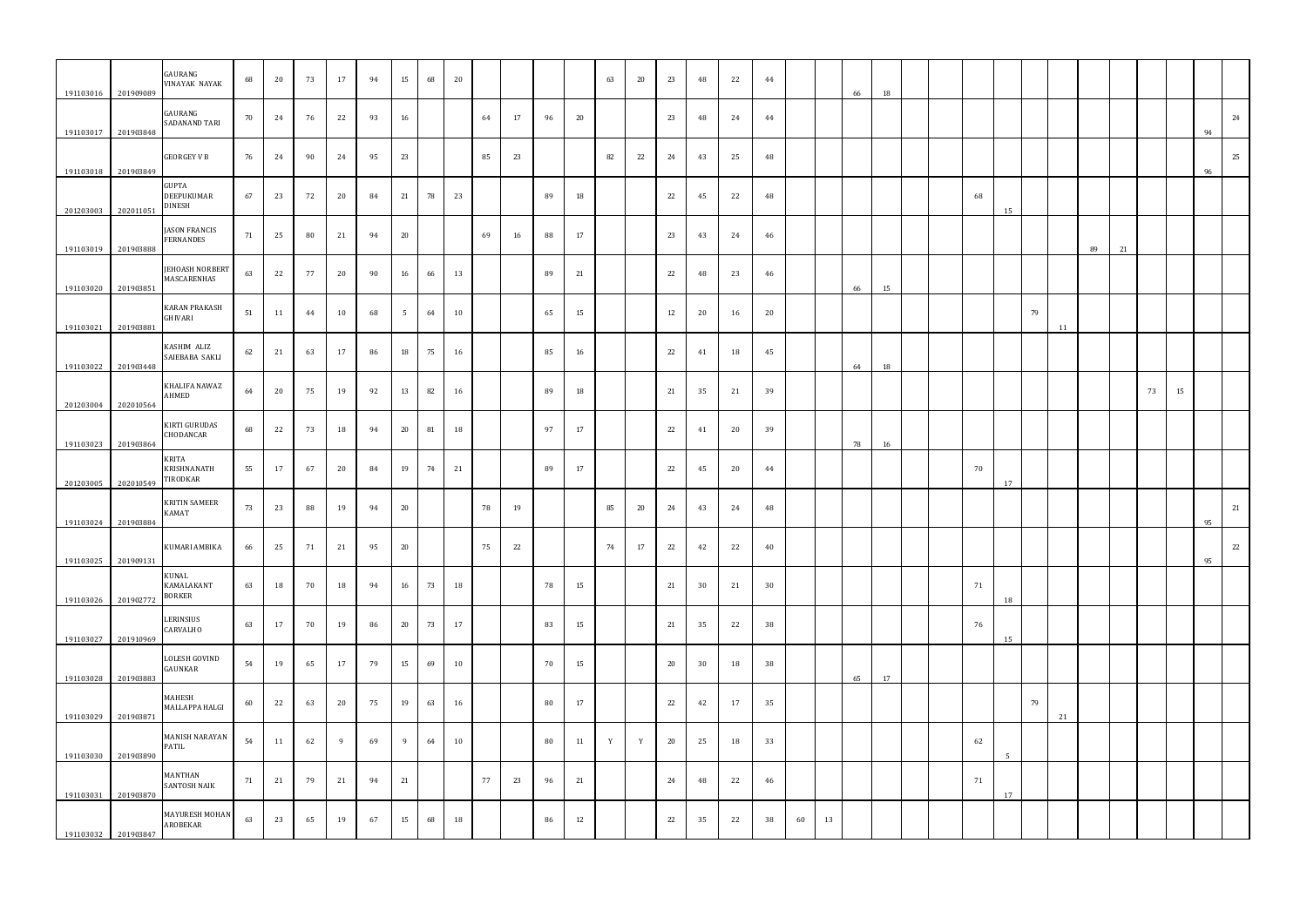| 191103016 | 201909089 | GAURANG<br><b>VINAYAK NAYAK</b>                    | 68 | 20 | 73 | 17 | 94 | 15              | 68 | 20 |    |    |    |    | 63 | 20    | 23 | 48 | 22 | 44     |    |    | 66 | 18 |  |    |                |    |    |    |    |    |    |    |    |
|-----------|-----------|----------------------------------------------------|----|----|----|----|----|-----------------|----|----|----|----|----|----|----|-------|----|----|----|--------|----|----|----|----|--|----|----------------|----|----|----|----|----|----|----|----|
| 191103017 | 201903848 | GAURANG<br>SADANAND TARI                           | 70 | 24 | 76 | 22 | 93 | 16              |    |    | 64 | 17 | 96 | 20 |    |       | 23 | 48 | 24 | 44     |    |    |    |    |  |    |                |    |    |    |    |    |    | 94 | 24 |
| 191103018 | 201903849 | <b>GEORGEY V B</b>                                 | 76 | 24 | 90 | 24 | 95 | 23              |    |    | 85 | 23 |    |    | 82 | 22    | 24 | 43 | 25 | 48     |    |    |    |    |  |    |                |    |    |    |    |    |    | 96 | 25 |
| 201203003 | 202011051 | <b>GUPTA</b><br><b>DEEPUKUMAR</b><br><b>DINESH</b> | 67 | 23 | 72 | 20 | 84 | 21              | 78 | 23 |    |    | 89 | 18 |    |       | 22 | 45 | 22 | 48     |    |    |    |    |  | 68 | 15             |    |    |    |    |    |    |    |    |
| 191103019 | 201903888 | <b>JASON FRANCIS</b><br><b>FERNANDES</b>           | 71 | 25 | 80 | 21 | 94 | 20              |    |    | 69 | 16 | 88 | 17 |    |       | 23 | 43 | 24 | 46     |    |    |    |    |  |    |                |    |    | 89 | 21 |    |    |    |    |
| 191103020 | 201903851 | <b>JEHOASH NORBERT</b><br>MASCARENHAS              | 63 | 22 | 77 | 20 | 90 | 16              | 66 | 13 |    |    | 89 | 21 |    |       | 22 | 48 | 23 | 46     |    |    | 66 | 15 |  |    |                |    |    |    |    |    |    |    |    |
| 191103021 | 201903881 | <b>KARAN PRAKASH</b><br>GHIVARI                    | 51 | 11 | 44 | 10 | 68 | $5\overline{)}$ | 64 | 10 |    |    | 65 | 15 |    |       | 12 | 20 | 16 | 20     |    |    |    |    |  |    |                | 79 | 11 |    |    |    |    |    |    |
| 191103022 | 201903448 | KASHIM ALIZ<br>SAIEBABA SAKLI                      | 62 | 21 | 63 | 17 | 86 | 18              | 75 | 16 |    |    | 85 | 16 |    |       | 22 | 41 | 18 | 45     |    |    | 64 | 18 |  |    |                |    |    |    |    |    |    |    |    |
| 201203004 | 202010564 | KHALIFA NAWAZ<br>AHMED                             | 64 | 20 | 75 | 19 | 92 | 13              | 82 | 16 |    |    | 89 | 18 |    |       | 21 | 35 | 21 | 39     |    |    |    |    |  |    |                |    |    |    |    | 73 | 15 |    |    |
| 191103023 | 201903864 | <b>KIRTI GURUDAS</b><br>CHODANCAR                  | 68 | 22 | 73 | 18 | 94 | 20              | 81 | 18 |    |    | 97 | 17 |    |       | 22 | 41 | 20 | 39     |    |    | 78 | 16 |  |    |                |    |    |    |    |    |    |    |    |
| 201203005 | 202010549 | <b>KRITA</b><br>KRISHNANATH<br>TIRODKAR            | 55 | 17 | 67 | 20 | 84 | 19              | 74 | 21 |    |    | 89 | 17 |    |       | 22 | 45 | 20 | 44     |    |    |    |    |  | 70 | 17             |    |    |    |    |    |    |    |    |
| 191103024 | 201903884 | <b>KRITIN SAMEER</b><br><b>KAMAT</b>               | 73 | 23 | 88 | 19 | 94 | 20              |    |    | 78 | 19 |    |    | 85 | 20    | 24 | 43 | 24 | 48     |    |    |    |    |  |    |                |    |    |    |    |    |    | 95 | 21 |
| 191103025 | 201909131 | KUMARI AMBIKA                                      | 66 | 25 | 71 | 21 | 95 | 20              |    |    | 75 | 22 |    |    |    | 74 17 | 22 | 42 | 22 | $40\,$ |    |    |    |    |  |    |                |    |    |    |    |    |    | 95 | 22 |
| 191103026 | 201902772 | KUNAL<br>KAMALAKANT<br><b>BORKER</b>               | 63 | 18 | 70 | 18 | 94 | 16              | 73 | 18 |    |    | 78 | 15 |    |       | 21 | 30 | 21 | 30     |    |    |    |    |  | 71 | 18             |    |    |    |    |    |    |    |    |
| 191103027 | 201910969 | LERINSIUS<br>CARVALHO                              | 63 | 17 | 70 | 19 | 86 | 20              | 73 | 17 |    |    | 83 | 15 |    |       | 21 | 35 | 22 | 38     |    |    |    |    |  | 76 | 15             |    |    |    |    |    |    |    |    |
| 191103028 | 201903883 | LOLESH GOVIND<br>GAUNKAR                           | 54 | 19 | 65 | 17 | 79 | 15              | 69 | 10 |    |    | 70 | 15 |    |       | 20 | 30 | 18 | 38     |    |    | 65 | 17 |  |    |                |    |    |    |    |    |    |    |    |
| 191103029 | 201903871 | MAHESH<br>MALLAPPA HALGI                           | 60 | 22 | 63 | 20 | 75 | 19              | 63 | 16 |    |    | 80 | 17 |    |       | 22 | 42 | 17 | 35     |    |    |    |    |  |    |                | 79 | 21 |    |    |    |    |    |    |
| 191103030 | 201903890 | MANISH NARAYAN<br>PATIL                            | 54 | 11 | 62 | -9 | 69 | 9               | 64 | 10 |    |    | 80 | 11 | Y  | Y     | 20 | 25 | 18 | 33     |    |    |    |    |  | 62 | $\overline{5}$ |    |    |    |    |    |    |    |    |
| 191103031 | 201903870 | MANTHAN<br><b>SANTOSH NAIK</b>                     | 71 | 21 | 79 | 21 | 94 | 21              |    |    | 77 | 23 | 96 | 21 |    |       | 24 | 48 | 22 | 46     |    |    |    |    |  | 71 | 17             |    |    |    |    |    |    |    |    |
| 191103032 | 201903847 | MAYURESH MOHAN<br>AROBEKAR                         | 63 | 23 | 65 | 19 | 67 | 15              | 68 | 18 |    |    | 86 | 12 |    |       | 22 | 35 | 22 | 38     | 60 | 13 |    |    |  |    |                |    |    |    |    |    |    |    |    |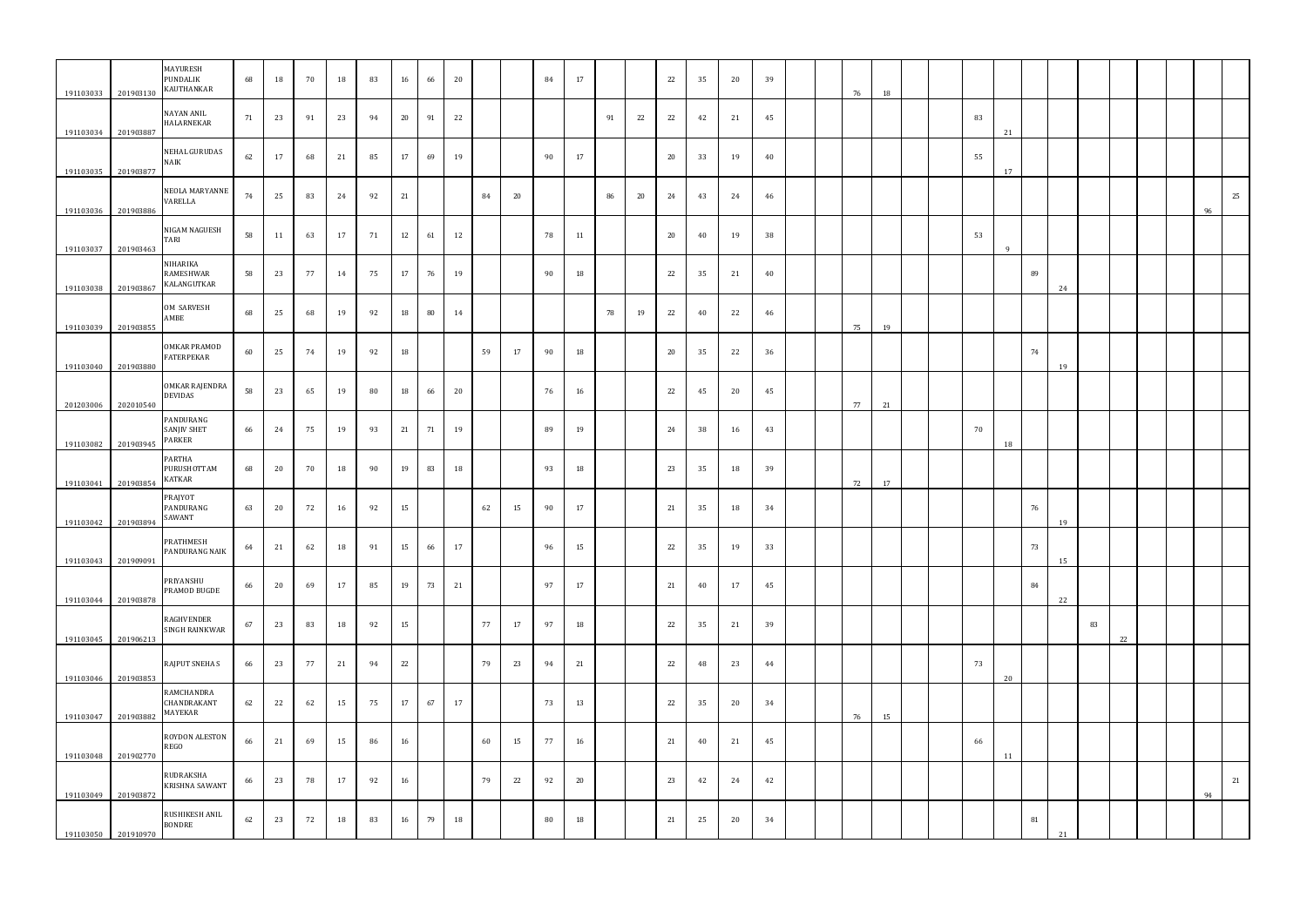| 191103033              | 201903130              | MAYURESH<br>PUNDALIK<br>KAUTHANKAR       | 68 | 18 | 70    | 18 | 83 | 16 | 66 | 20 |    |    | 84 | 17 |    |    | 22 | 35    | 20 | 39 |  | 76 | 18 |  |    |    |    |    |    |    |  |    |    |
|------------------------|------------------------|------------------------------------------|----|----|-------|----|----|----|----|----|----|----|----|----|----|----|----|-------|----|----|--|----|----|--|----|----|----|----|----|----|--|----|----|
| 191103034              | 201903887              | NAYAN ANIL<br><b>HALARNEKAR</b>          | 71 | 23 | 91    | 23 | 94 | 20 | 91 | 22 |    |    |    |    | 91 | 22 | 22 | 42    | 21 | 45 |  |    |    |  | 83 | 21 |    |    |    |    |  |    |    |
| 191103035              | 201903877              | NEHAL GURUDAS<br><b>NAIK</b>             | 62 | 17 | 68    | 21 | 85 | 17 | 69 | 19 |    |    | 90 | 17 |    |    | 20 | 33    | 19 | 40 |  |    |    |  | 55 | 17 |    |    |    |    |  |    |    |
| 191103036              | 201903886              | NEOLA MARYANNE<br>VARELLA                | 74 | 25 | 83    | 24 | 92 | 21 |    |    | 84 | 20 |    |    | 86 | 20 | 24 | 43    | 24 | 46 |  |    |    |  |    |    |    |    |    |    |  | 96 | 25 |
|                        |                        | NIGAM NAGUESH<br>TARI                    | 58 | 11 | 63    | 17 | 71 | 12 | 61 | 12 |    |    | 78 | 11 |    |    | 20 | 40    | 19 | 38 |  |    |    |  | 53 |    |    |    |    |    |  |    |    |
| 191103037              | 201903463              | NIHARIKA<br>RAMESHWAR<br>KALANGUTKAR     | 58 | 23 | 77    | 14 | 75 | 17 | 76 | 19 |    |    | 90 | 18 |    |    | 22 | 35    | 21 | 40 |  |    |    |  |    | q  | 89 |    |    |    |  |    |    |
| 191103038              | 201903867              | OM SARVESH<br>AMBE                       | 68 | 25 | 68    | 19 | 92 | 18 | 80 | 14 |    |    |    |    | 78 | 19 | 22 | 40    | 22 | 46 |  |    |    |  |    |    |    | 24 |    |    |  |    |    |
| 191103039              | 201903855              | <b>OMKAR PRAMOD</b><br><b>FATERPEKAR</b> | 60 | 25 | 74    | 19 | 92 | 18 |    |    | 59 | 17 | 90 | 18 |    |    | 20 | 35    | 22 | 36 |  | 75 | 19 |  |    |    | 74 |    |    |    |  |    |    |
| 191103040              | 201903880              | OMKAR RAJENDRA<br>DEVIDAS                | 58 | 23 | 65    | 19 | 80 | 18 | 66 | 20 |    |    | 76 | 16 |    |    | 22 | 45    | 20 | 45 |  |    |    |  |    |    |    | 19 |    |    |  |    |    |
| 201203006              | 202010540              | PANDURANG<br>SANJIV SHET<br>PARKER       | 66 | 24 | 75    | 19 | 93 | 21 | 71 | 19 |    |    | 89 | 19 |    |    | 24 | 38    | 16 | 43 |  | 77 | 21 |  | 70 |    |    |    |    |    |  |    |    |
| 191103082              | 201903945              | PARTHA<br>PURUSHOTTAM<br>KATKAR          | 68 | 20 | 70    | 18 | 90 | 19 | 83 | 18 |    |    | 93 | 18 |    |    | 23 | 35    | 18 | 39 |  |    |    |  |    | 18 |    |    |    |    |  |    |    |
| 191103041              | 201903854              | PRAJYOT<br>PANDURANG<br>SAWANT           | 63 | 20 | 72    | 16 | 92 | 15 |    |    | 62 | 15 | 90 | 17 |    |    | 21 | 35    | 18 | 34 |  | 72 | 17 |  |    |    | 76 |    |    |    |  |    |    |
| 191103042              | 201903894              | PRATHMESH<br>PANDURANG NAIK              | 64 |    | 21 62 | 18 | 91 | 15 | 66 | 17 |    |    | 96 | 15 |    |    |    | 22 35 | 19 | 33 |  |    |    |  |    |    | 73 | 19 |    |    |  |    |    |
| 191103043              | 201909091              | PRIYANSHU<br>PRAMOD BUGDE                | 66 | 20 | 69    | 17 | 85 | 19 | 73 | 21 |    |    | 97 | 17 |    |    | 21 | 40    | 17 | 45 |  |    |    |  |    |    | 84 | 15 |    |    |  |    |    |
| 191103044              | 201903878              | RAGHVENDER<br>SINGH RAINKWAR             | 67 | 23 | 83    | 18 | 92 | 15 |    |    | 77 | 17 | 97 | 18 |    |    | 22 | 35    | 21 | 39 |  |    |    |  |    |    |    | 22 | 83 |    |  |    |    |
| 191103045              | 201906213              | <b>RAJPUT SNEHA S</b>                    | 66 | 23 | 77    | 21 | 94 | 22 |    |    | 79 | 23 | 94 | 21 |    |    | 22 | 48    | 23 | 44 |  |    |    |  | 73 |    |    |    |    | 22 |  |    |    |
| 191103046              | 201903853              | RAMCHANDRA<br>CHANDRAKANT<br>MAYEKAR     | 62 | 22 | 62    | 15 | 75 | 17 | 67 | 17 |    |    | 73 | 13 |    |    | 22 | 35    | 20 | 34 |  |    |    |  |    | 20 |    |    |    |    |  |    |    |
| 191103047              | 201903882              | ROYDON ALESTON<br>REGO                   | 66 | 21 | 69    | 15 | 86 | 16 |    |    | 60 | 15 | 77 | 16 |    |    | 21 | 40    | 21 | 45 |  | 76 | 15 |  | 66 |    |    |    |    |    |  |    |    |
| 191103048<br>191103049 | 201902770<br>201903872 | RUDRAKSHA<br>KRISHNA SAWANT              | 66 | 23 | 78    | 17 | 92 | 16 |    |    | 79 | 22 | 92 | 20 |    |    | 23 | 42    | 24 | 42 |  |    |    |  |    | 11 |    |    |    |    |  | 94 | 21 |
| 191103050              | 201910970              | RUSHIKESH ANIL<br>BONDRE                 | 62 | 23 | 72    | 18 | 83 | 16 | 79 | 18 |    |    | 80 | 18 |    |    | 21 | 25    | 20 | 34 |  |    |    |  |    |    | 81 | 21 |    |    |  |    |    |
|                        |                        |                                          |    |    |       |    |    |    |    |    |    |    |    |    |    |    |    |       |    |    |  |    |    |  |    |    |    |    |    |    |  |    |    |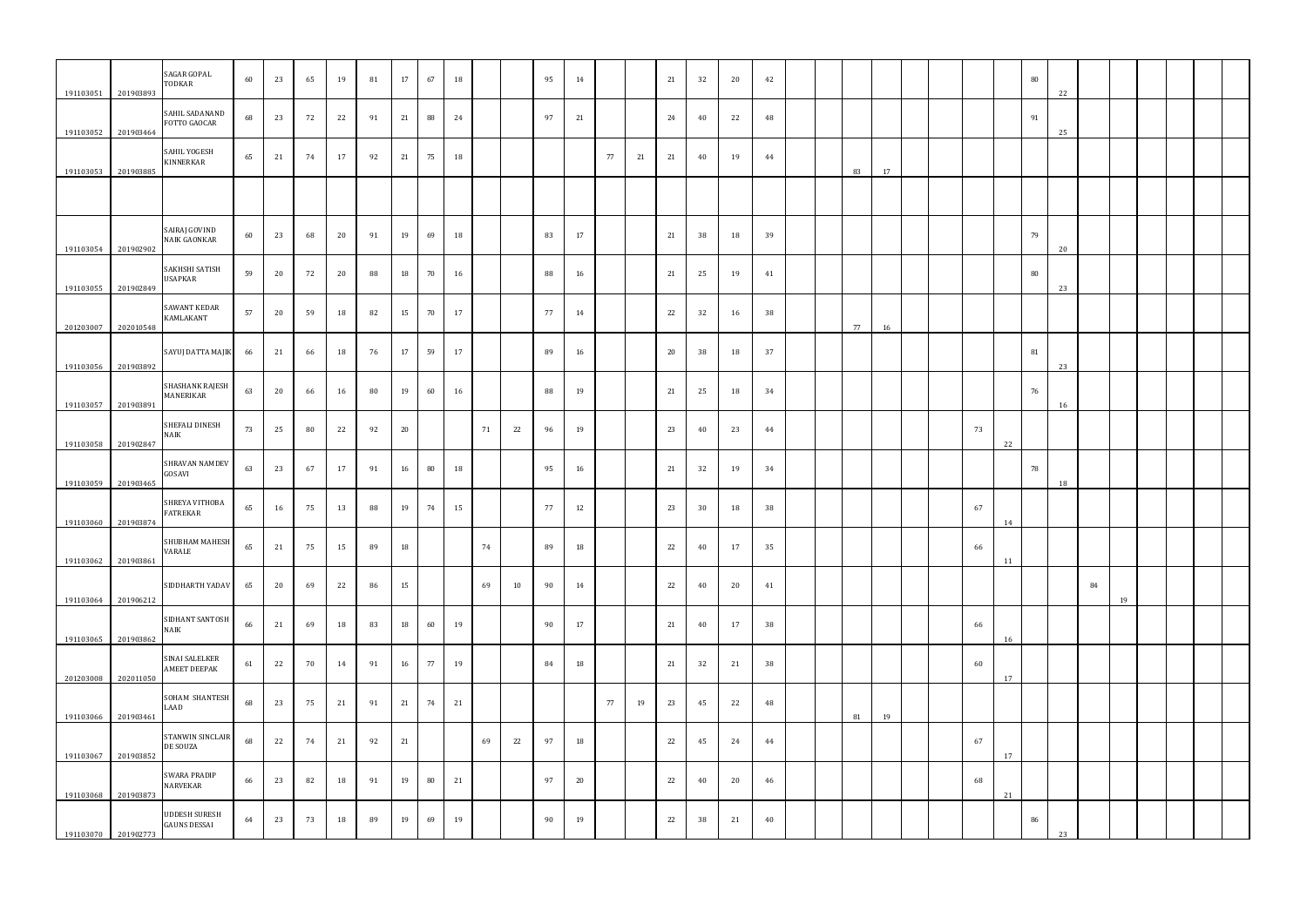| 191103051           | 201903893 | SAGAR GOPAL<br>TODKAR                        | 60 | 23 | 65             | 19 | 81 | 17 | 67 | 18 |    |    | 95 | 14 |    |    | 21 | 32 | 20 | 42 |  |    |    |  |    |    | 80 | 22 |    |    |  |  |
|---------------------|-----------|----------------------------------------------|----|----|----------------|----|----|----|----|----|----|----|----|----|----|----|----|----|----|----|--|----|----|--|----|----|----|----|----|----|--|--|
| 191103052           | 201903464 | SAHIL SADANAND<br>FOTTO GAOCAR               | 68 | 23 | 72             | 22 | 91 | 21 | 88 | 24 |    |    | 97 | 21 |    |    | 24 | 40 | 22 | 48 |  |    |    |  |    |    | 91 | 25 |    |    |  |  |
| 191103053           | 201903885 | SAHIL YOGESH<br><b>KINNERKAR</b>             | 65 | 21 | 74             | 17 | 92 | 21 | 75 | 18 |    |    |    |    | 77 | 21 | 21 | 40 | 19 | 44 |  | 83 | 17 |  |    |    |    |    |    |    |  |  |
|                     |           |                                              |    |    |                |    |    |    |    |    |    |    |    |    |    |    |    |    |    |    |  |    |    |  |    |    |    |    |    |    |  |  |
| 191103054           | 201902902 | SAIRAJ GOVIND<br><b>NAIK GAONKAR</b>         | 60 | 23 | 68             | 20 | 91 | 19 | 69 | 18 |    |    | 83 | 17 |    |    | 21 | 38 | 18 | 39 |  |    |    |  |    |    | 79 | 20 |    |    |  |  |
| 191103055           | 201902849 | SAKHSHI SATISH<br><b>USAPKAR</b>             | 59 | 20 | 72             | 20 | 88 | 18 | 70 | 16 |    |    | 88 | 16 |    |    | 21 | 25 | 19 | 41 |  |    |    |  |    |    | 80 | 23 |    |    |  |  |
| 201203007           | 202010548 | <b>SAWANT KEDAR</b><br>KAMLAKANT             | 57 | 20 | 59             | 18 | 82 | 15 | 70 | 17 |    |    | 77 | 14 |    |    | 22 | 32 | 16 | 38 |  | 77 | 16 |  |    |    |    |    |    |    |  |  |
| 191103056           | 201903892 | SAYUJ DATTA MAJIK                            | 66 | 21 | 66             | 18 | 76 | 17 | 59 | 17 |    |    | 89 | 16 |    |    | 20 | 38 | 18 | 37 |  |    |    |  |    |    | 81 | 23 |    |    |  |  |
| 191103057           | 201903891 | SHASHANK RAJESH<br>MANERIKAR                 | 63 | 20 | 66             | 16 | 80 | 19 | 60 | 16 |    |    | 88 | 19 |    |    | 21 | 25 | 18 | 34 |  |    |    |  |    |    | 76 | 16 |    |    |  |  |
| 191103058           | 201902847 | SHEFALI DINESH<br><b>NAIK</b>                | 73 | 25 | 80             | 22 | 92 | 20 |    |    | 71 | 22 | 96 | 19 |    |    | 23 | 40 | 23 | 44 |  |    |    |  | 73 | 22 |    |    |    |    |  |  |
| 191103059 201903465 |           | SHRAVAN NAMDEV<br>GOSAVI                     | 63 | 23 | 67             | 17 | 91 | 16 | 80 | 18 |    |    | 95 | 16 |    |    | 21 | 32 | 19 | 34 |  |    |    |  |    |    | 78 | 18 |    |    |  |  |
| 191103060           | 201903874 | SHREYA VITHOBA<br><b>FATREKAR</b>            | 65 | 16 | 75             | 13 | 88 | 19 | 74 | 15 |    |    | 77 | 12 |    |    | 23 | 30 | 18 | 38 |  |    |    |  | 67 | 14 |    |    |    |    |  |  |
| 191103062           | 201903861 | SHUBHAM MAHESH<br>VARALE                     |    |    | 65 21 75 15 89 |    |    | 18 |    |    | 74 |    | 89 | 18 |    |    | 22 | 40 | 17 | 35 |  |    |    |  | 66 | 11 |    |    |    |    |  |  |
| 191103064 201906212 |           | SIDDHARTH YADAV                              | 65 | 20 | 69             | 22 | 86 | 15 |    |    | 69 | 10 | 90 | 14 |    |    | 22 | 40 | 20 | 41 |  |    |    |  |    |    |    |    | 84 | 19 |  |  |
| 191103065           | 201903862 | SIDHANT SANTOSH<br><b>NAIK</b>               | 66 | 21 | 69             | 18 | 83 | 18 | 60 | 19 |    |    | 90 | 17 |    |    | 21 | 40 | 17 | 38 |  |    |    |  | 66 | 16 |    |    |    |    |  |  |
| 201203008           | 202011050 | <b>SINAI SALELKER</b><br><b>AMEET DEEPAK</b> | 61 | 22 | 70             | 14 | 91 | 16 | 77 | 19 |    |    | 84 | 18 |    |    | 21 | 32 | 21 | 38 |  |    |    |  | 60 | 17 |    |    |    |    |  |  |
| 191103066           | 201903461 | SOHAM SHANTESH<br>LAAD                       | 68 | 23 | 75             | 21 | 91 | 21 | 74 | 21 |    |    |    |    | 77 | 19 | 23 | 45 | 22 | 48 |  | 81 | 19 |  |    |    |    |    |    |    |  |  |
| 191103067           | 201903852 | STANWIN SINCLAIR<br>DE SOUZA                 | 68 | 22 | 74             | 21 | 92 | 21 |    |    | 69 | 22 | 97 | 18 |    |    | 22 | 45 | 24 | 44 |  |    |    |  | 67 | 17 |    |    |    |    |  |  |
| 191103068           | 201903873 | <b>SWARA PRADIP</b><br>NARVEKAR              | 66 | 23 | 82             | 18 | 91 | 19 | 80 | 21 |    |    | 97 | 20 |    |    | 22 | 40 | 20 | 46 |  |    |    |  | 68 | 21 |    |    |    |    |  |  |
| 191103070 201902773 |           | <b>UDDESH SURESH</b><br><b>GAUNS DESSAI</b>  | 64 | 23 | 73             | 18 | 89 | 19 | 69 | 19 |    |    | 90 | 19 |    |    | 22 | 38 | 21 | 40 |  |    |    |  |    |    | 86 | 23 |    |    |  |  |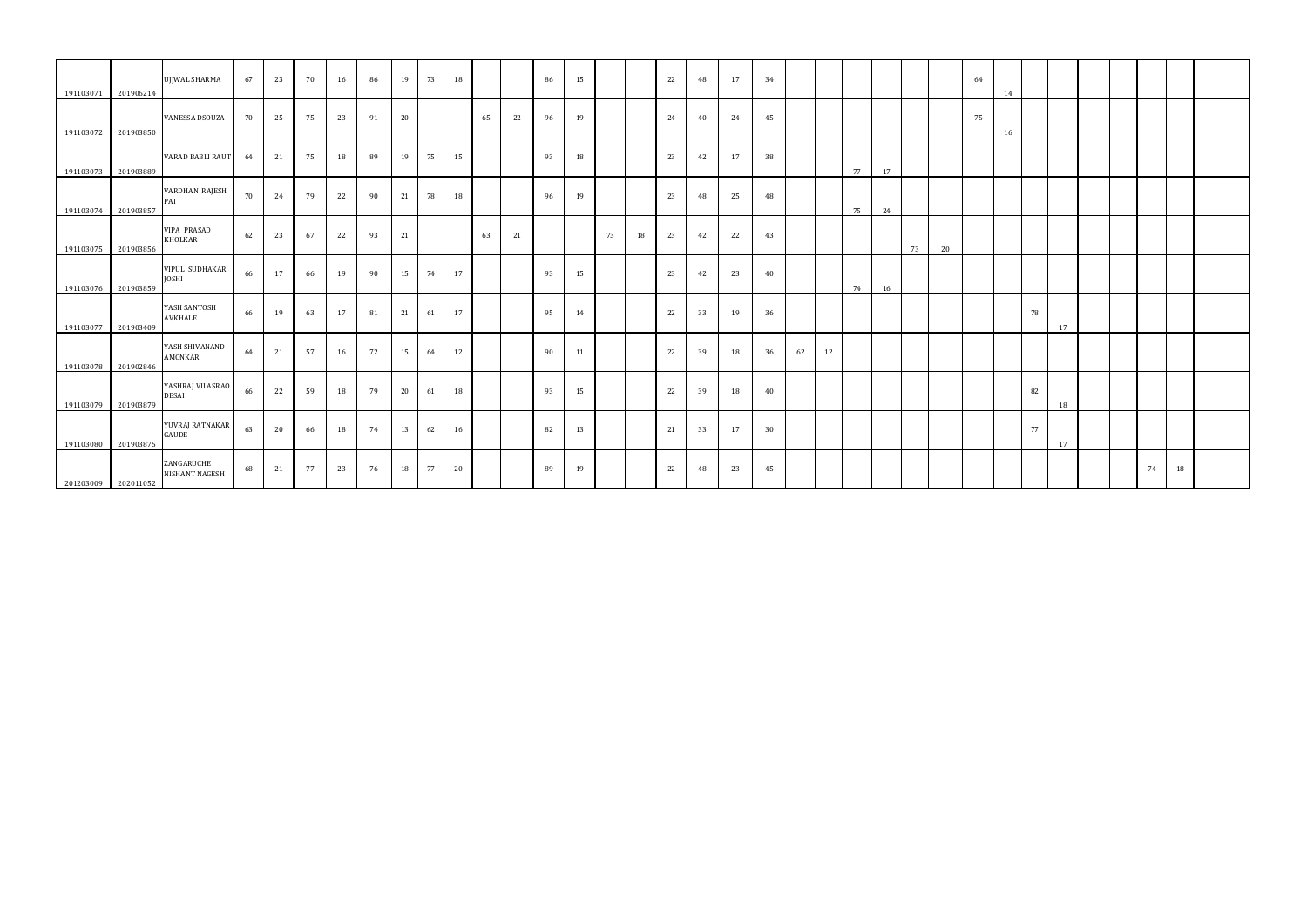| 191103071           | 201906214           | UJJWAL SHARMA                         | 67 | 23 | 70 | 16 | 86 | 19 | 73 | 18 |    |    | 86 | 15 |    |    | 22 | 48 | 17 | 34 |    |    |    |    |    |    | 64 | 14 |    |    |  |    |    |  |
|---------------------|---------------------|---------------------------------------|----|----|----|----|----|----|----|----|----|----|----|----|----|----|----|----|----|----|----|----|----|----|----|----|----|----|----|----|--|----|----|--|
| 191103072           | 201903850           | <b>VANESSA DSOUZA</b>                 | 70 | 25 | 75 | 23 | 91 | 20 |    |    | 65 | 22 | 96 | 19 |    |    | 24 | 40 | 24 | 45 |    |    |    |    |    |    | 75 | 16 |    |    |  |    |    |  |
|                     | 191103073 201903889 | <b>VARAD BABLI RAUT</b>               | 64 | 21 | 75 | 18 | 89 | 19 | 75 | 15 |    |    | 93 | 18 |    |    | 23 | 42 | 17 | 38 |    |    | 77 | 17 |    |    |    |    |    |    |  |    |    |  |
| 191103074           | 201903857           | VARDHAN RAJESH<br>PAI                 | 70 | 24 | 79 | 22 | 90 | 21 | 78 | 18 |    |    | 96 | 19 |    |    | 23 | 48 | 25 | 48 |    |    | 75 | 24 |    |    |    |    |    |    |  |    |    |  |
| 191103075           | 201903856           | <b>VIPA PRASAD</b><br>KHOLKAR         | 62 | 23 | 67 | 22 | 93 | 21 |    |    | 63 | 21 |    |    | 73 | 18 | 23 | 42 | 22 | 43 |    |    |    |    | 73 | 20 |    |    |    |    |  |    |    |  |
| 191103076           | 201903859           | <b>VIPUL SUDHAKAR</b><br><b>JOSHI</b> | 66 | 17 | 66 | 19 | 90 | 15 | 74 | 17 |    |    | 93 | 15 |    |    | 23 | 42 | 23 | 40 |    |    | 74 | 16 |    |    |    |    |    |    |  |    |    |  |
| 191103077 201903409 |                     | YASH SANTOSH<br><b>AVKHALE</b>        | 66 | 19 | 63 | 17 | 81 | 21 | 61 | 17 |    |    | 95 | 14 |    |    | 22 | 33 | 19 | 36 |    |    |    |    |    |    |    |    | 78 | 17 |  |    |    |  |
|                     | 191103078 201902846 | YASH SHIVANAND<br>AMONKAR             | 64 | 21 | 57 | 16 | 72 | 15 | 64 | 12 |    |    | 90 | 11 |    |    | 22 | 39 | 18 | 36 | 62 | 12 |    |    |    |    |    |    |    |    |  |    |    |  |
| 191103079           | 201903879           | YASHRAJ VILASRAO<br><b>DESAI</b>      | 66 | 22 | 59 | 18 | 79 | 20 | 61 | 18 |    |    | 93 | 15 |    |    | 22 | 39 | 18 | 40 |    |    |    |    |    |    |    |    | 82 | 18 |  |    |    |  |
| 191103080           | 201903875           | YUVRAJ RATNAKAR<br><b>GAUDE</b>       | 63 | 20 | 66 | 18 | 74 | 13 | 62 | 16 |    |    | 82 | 13 |    |    | 21 | 33 | 17 | 30 |    |    |    |    |    |    |    |    | 77 | 17 |  |    |    |  |
| 201203009           | 202011052           | ZANGARUCHE<br>NISHANT NAGESH          | 68 | 21 | 77 | 23 | 76 | 18 | 77 | 20 |    |    | 89 | 19 |    |    | 22 | 48 | 23 | 45 |    |    |    |    |    |    |    |    |    |    |  | 74 | 18 |  |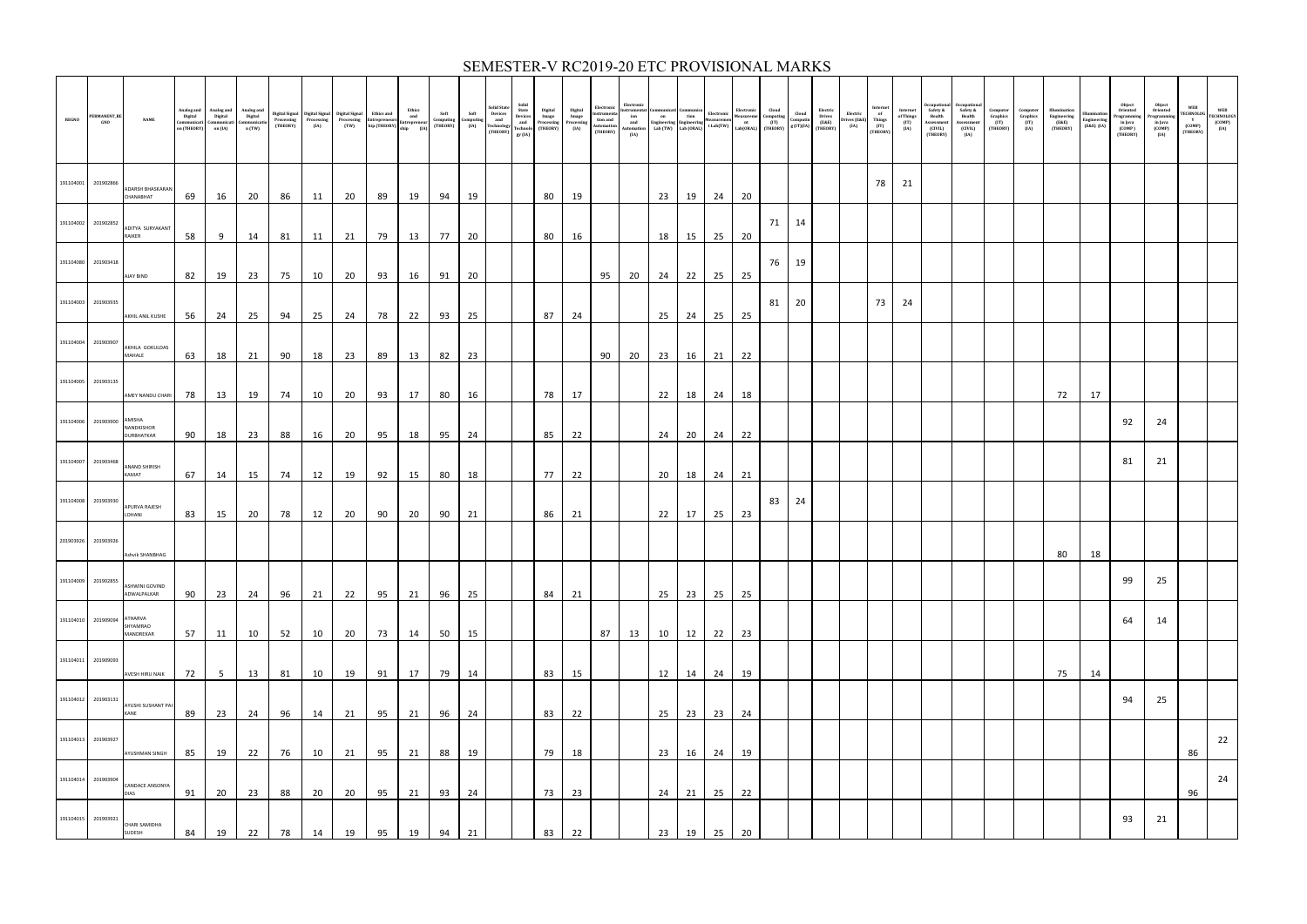| <b>REGNO</b> | PERMANENT_RE<br>GNO | <b>NAME</b>                          | Analog and<br>Digital<br>Communicati<br>on (THEORY) | Analog and<br>Digital<br>Communicati<br>on (IA) | Analog and<br>Digital<br>Communicatio<br>n (TW) |    |    |    |    |       |       | Soft<br>Computing<br>(IA) | Solid State<br>Devices<br>and<br>Technology<br>(THEORY) | Solid<br>State<br>Devices<br>and<br>Technolo<br>gy (IA) | Digital<br>Image<br>Processing<br>(THEORY) | Digital<br>Image<br>Processing<br>(IA) | Electronic<br>Instrumenta<br>tion and<br>Automation<br>(THEORY) | Electronic<br>$\begin{tabular}{ll} Instrumental Communication \\ ion & 0 \\ and \\ and \\ Automation & Lab (TW) \\ Lab (DRAI) \\ \end{tabular} \begin{tabular}{ll} Electronic \\ Inductor \\ and \\ Labi (TW) \\ Lab (DRAI) \\ \end{tabular} \begin{tabular}{ll} Electronic \\ Neasure \\ The source \\ at short \\ Aub (TW) \\ \end{tabular} \begin{tabular}{ll} Electronic \\ Neasure \\ The source \\ at short \\ Aub (DRAI) \\ \end{tabular}$<br>(IA) |    |         |    |           |    | $\begin{array}{c} \text{Cloud} \\ \text{Computing} \\ \text{(IT)} \\ \text{(THEORY)} \end{array} \begin{array}{c} \text{Cloud} \\ \text{Computin} \\ \text{g (IT)(IA)} \end{array}$ | Electric<br>Drives<br>(E&E)<br>(THEORY) | Electric<br>Drives (E&E)<br>(IA) | $\begin{array}{c} {\bf Internet}\\ {\bf of}\\ \end{array}$<br>Things<br>(IT)<br>(THEORY) | Internet<br>of Things<br>(IT)<br>(IA) | <b>ccupationa</b><br>Safety &<br>Health<br>Assessmen<br>(CIVIL)<br>(THEORY) | Occupation<br>Safety &<br>Health<br>Assessment<br>(CIVIL)<br>(IA) | Computer<br>Graphics<br>(IT)<br>(THEORY) | <b>Computer</b><br>Graphics<br>$(TT)$<br>(IA) | Illumination<br>Engineering<br>(E&E)<br>(THEORY) | lluminatio<br>Engineering<br>(E&E) (IA) | Object<br>Oriented<br>rogrammin<br>in Java<br>$\left(\text{COMP}\right)$<br>(THEORY) | Object<br>Oriented<br>rogrammin<br>in Java<br>(COMP)<br>(IA) | WEB<br><b>TECHNOLOG</b><br>Y<br>(COMP)<br>(THEORY) | WEB<br>TECHNOLOGY<br>$\begin{array}{c} \text{(COMP)} \ \text{(IA)} \end{array}$ |
|--------------|---------------------|--------------------------------------|-----------------------------------------------------|-------------------------------------------------|-------------------------------------------------|----|----|----|----|-------|-------|---------------------------|---------------------------------------------------------|---------------------------------------------------------|--------------------------------------------|----------------------------------------|-----------------------------------------------------------------|-----------------------------------------------------------------------------------------------------------------------------------------------------------------------------------------------------------------------------------------------------------------------------------------------------------------------------------------------------------------------------------------------------------------------------------------------------------|----|---------|----|-----------|----|-------------------------------------------------------------------------------------------------------------------------------------------------------------------------------------|-----------------------------------------|----------------------------------|------------------------------------------------------------------------------------------|---------------------------------------|-----------------------------------------------------------------------------|-------------------------------------------------------------------|------------------------------------------|-----------------------------------------------|--------------------------------------------------|-----------------------------------------|--------------------------------------------------------------------------------------|--------------------------------------------------------------|----------------------------------------------------|---------------------------------------------------------------------------------|
| 191104001    | 201902866           | ADARSH BHASKARAN<br>CHANABHAT        | 69                                                  | 16                                              | 20                                              | 86 | 11 | 20 | 89 | 19    | 94    | 19                        |                                                         |                                                         | 80                                         | 19                                     |                                                                 |                                                                                                                                                                                                                                                                                                                                                                                                                                                           |    | 23 19   | 24 | 20        |    |                                                                                                                                                                                     |                                         |                                  | 78                                                                                       | 21                                    |                                                                             |                                                                   |                                          |                                               |                                                  |                                         |                                                                                      |                                                              |                                                    |                                                                                 |
| 191104002    | 201902852           | ADITYA SURYAKANT<br>RAIKER           | 58                                                  | 9                                               | 14                                              | 81 | 11 | 21 | 79 | 13    | 77 20 |                           |                                                         |                                                         | 80                                         | 16                                     |                                                                 |                                                                                                                                                                                                                                                                                                                                                                                                                                                           |    | 18   15 |    | 25 20     |    | 71 14                                                                                                                                                                               |                                         |                                  |                                                                                          |                                       |                                                                             |                                                                   |                                          |                                               |                                                  |                                         |                                                                                      |                                                              |                                                    |                                                                                 |
| 191104080    | 201903418           | AJAY BIND                            | 82                                                  | 19                                              | 23                                              | 75 | 10 | 20 | 93 | 16    | 91    | 20                        |                                                         |                                                         |                                            |                                        | 95                                                              | 20                                                                                                                                                                                                                                                                                                                                                                                                                                                        |    | 24 22   |    | $25$ $25$ | 76 | 19                                                                                                                                                                                  |                                         |                                  |                                                                                          |                                       |                                                                             |                                                                   |                                          |                                               |                                                  |                                         |                                                                                      |                                                              |                                                    |                                                                                 |
| 191104003    | 201903935           | AKHIL ANIL KUSHE                     | 56                                                  | 24                                              | 25                                              | 94 | 25 | 24 | 78 | 22    | 93    | 25                        |                                                         |                                                         | 87                                         | 24                                     |                                                                 |                                                                                                                                                                                                                                                                                                                                                                                                                                                           |    | $25$ 24 |    | $25$ 25   | 81 | 20                                                                                                                                                                                  |                                         |                                  | 73                                                                                       | 24                                    |                                                                             |                                                                   |                                          |                                               |                                                  |                                         |                                                                                      |                                                              |                                                    |                                                                                 |
| 191104004    | 201903907           | AKHILA GOKULDAS<br>MAHALE            | 63                                                  | 18                                              | 21                                              | 90 | 18 | 23 | 89 | 13    | 82    | 23                        |                                                         |                                                         |                                            |                                        | 90                                                              | 20                                                                                                                                                                                                                                                                                                                                                                                                                                                        |    | 23 16   |    | $21$ 22   |    |                                                                                                                                                                                     |                                         |                                  |                                                                                          |                                       |                                                                             |                                                                   |                                          |                                               |                                                  |                                         |                                                                                      |                                                              |                                                    |                                                                                 |
| 191104005    | 201903135           | AMEY NANDU CHARI 78                  |                                                     | 13                                              | 19                                              | 74 | 10 | 20 |    | 93 17 | 80    | 16                        |                                                         |                                                         | 78                                         | 17                                     |                                                                 |                                                                                                                                                                                                                                                                                                                                                                                                                                                           |    | 22 18   |    | 24 18     |    |                                                                                                                                                                                     |                                         |                                  |                                                                                          |                                       |                                                                             |                                                                   |                                          |                                               | 72                                               | 17                                      |                                                                                      |                                                              |                                                    |                                                                                 |
| 191104006    | 201903900 AMISHA    | NANDKISHOR<br>DURBHATKAR             | 90                                                  | 18                                              | 23                                              | 88 | 16 | 20 | 95 | 18    | 95    | 24                        |                                                         |                                                         | 85                                         | 22                                     |                                                                 |                                                                                                                                                                                                                                                                                                                                                                                                                                                           |    | 24 20   |    | 24 22     |    |                                                                                                                                                                                     |                                         |                                  |                                                                                          |                                       |                                                                             |                                                                   |                                          |                                               |                                                  |                                         | 92                                                                                   | 24                                                           |                                                    |                                                                                 |
| 191104007    | 201903468           | ANAND SHIRISH<br>KAMAT               | 67                                                  | 14                                              | 15                                              | 74 | 12 | 19 |    | 92 15 | 80    | 18                        |                                                         |                                                         | 77                                         | 22                                     |                                                                 |                                                                                                                                                                                                                                                                                                                                                                                                                                                           |    | 20   18 |    | 24 21     |    |                                                                                                                                                                                     |                                         |                                  |                                                                                          |                                       |                                                                             |                                                                   |                                          |                                               |                                                  |                                         | 81                                                                                   | 21                                                           |                                                    |                                                                                 |
| 191104008    | 201903930           | APURVA RAJESH<br>LOHANI              | 83                                                  | 15                                              | 20                                              | 78 | 12 | 20 | 90 | 20    | 90    | 21                        |                                                         |                                                         | 86                                         | 21                                     |                                                                 |                                                                                                                                                                                                                                                                                                                                                                                                                                                           |    | 22 17   |    | 25 23     | 83 | 24                                                                                                                                                                                  |                                         |                                  |                                                                                          |                                       |                                                                             |                                                                   |                                          |                                               |                                                  |                                         |                                                                                      |                                                              |                                                    |                                                                                 |
| 201903926    | 201903926           | Ashvik SHANBHAG                      |                                                     |                                                 |                                                 |    |    |    |    |       |       |                           |                                                         |                                                         |                                            |                                        |                                                                 |                                                                                                                                                                                                                                                                                                                                                                                                                                                           |    |         |    |           |    |                                                                                                                                                                                     |                                         |                                  |                                                                                          |                                       |                                                                             |                                                                   |                                          |                                               | 80                                               | 18                                      |                                                                                      |                                                              |                                                    |                                                                                 |
|              | 191104009 201902855 | <b>ASHWINI GOVIND</b><br>ADWALPALKAR | 90                                                  | 23                                              | 24                                              | 96 | 21 | 22 | 95 | 21    | 96    | 25                        |                                                         |                                                         | 84                                         | 21                                     |                                                                 |                                                                                                                                                                                                                                                                                                                                                                                                                                                           |    | 25 23   |    | 25 25     |    |                                                                                                                                                                                     |                                         |                                  |                                                                                          |                                       |                                                                             |                                                                   |                                          |                                               |                                                  |                                         | 99                                                                                   | 25                                                           |                                                    |                                                                                 |
| 191104010    | 201909094           | ATHARVA<br>SHYAMRAO<br>MANDREKAR     | 57                                                  | 11                                              | 10                                              | 52 | 10 | 20 | 73 | 14    | 50    | 15                        |                                                         |                                                         |                                            |                                        | 87                                                              | 13                                                                                                                                                                                                                                                                                                                                                                                                                                                        | 10 | 12      | 22 | 23        |    |                                                                                                                                                                                     |                                         |                                  |                                                                                          |                                       |                                                                             |                                                                   |                                          |                                               |                                                  |                                         | 64                                                                                   | 14                                                           |                                                    |                                                                                 |
| 191104011    | 201909093           | AVESH HIRU NAIK                      | 72                                                  | 5 <sup>5</sup>                                  | 13                                              | 81 | 10 | 19 | 91 | 17    | 79    | 14                        |                                                         |                                                         | 83                                         | 15                                     |                                                                 |                                                                                                                                                                                                                                                                                                                                                                                                                                                           | 12 | 14      | 24 | 19        |    |                                                                                                                                                                                     |                                         |                                  |                                                                                          |                                       |                                                                             |                                                                   |                                          |                                               | 75                                               | 14                                      |                                                                                      |                                                              |                                                    |                                                                                 |
| 191104012    | 201903131           | AYUSHI SUSHANT PAI<br>KANE           | 89                                                  | 23                                              | 24                                              | 96 | 14 | 21 | 95 | 21    | 96    | 24                        |                                                         |                                                         | 83                                         | 22                                     |                                                                 |                                                                                                                                                                                                                                                                                                                                                                                                                                                           | 25 | 23      | 23 | 24        |    |                                                                                                                                                                                     |                                         |                                  |                                                                                          |                                       |                                                                             |                                                                   |                                          |                                               |                                                  |                                         | 94                                                                                   | 25                                                           |                                                    |                                                                                 |
| 191104013    | 201903927           | AYUSHMAN SINGH                       | 85                                                  | 19                                              | 22                                              | 76 | 10 | 21 | 95 | 21    | 88    | 19                        |                                                         |                                                         | 79                                         | 18                                     |                                                                 |                                                                                                                                                                                                                                                                                                                                                                                                                                                           | 23 | 16      | 24 | 19        |    |                                                                                                                                                                                     |                                         |                                  |                                                                                          |                                       |                                                                             |                                                                   |                                          |                                               |                                                  |                                         |                                                                                      |                                                              | 86                                                 | 22                                                                              |
| 191104014    | 201903904           | CANDACE ANSONYA<br><b>DIAS</b>       | 91                                                  | 20                                              | 23                                              | 88 | 20 | 20 | 95 | 21    | 93    | 24                        |                                                         |                                                         | 73                                         | 23                                     |                                                                 |                                                                                                                                                                                                                                                                                                                                                                                                                                                           | 24 | 21      | 25 | 22        |    |                                                                                                                                                                                     |                                         |                                  |                                                                                          |                                       |                                                                             |                                                                   |                                          |                                               |                                                  |                                         |                                                                                      |                                                              | 96                                                 | 24                                                                              |
|              | 191104015 201903921 | CHARI SAMIDHA<br>SUDESH              | 84                                                  | 19                                              | 22                                              | 78 | 14 | 19 | 95 | 19    | 94    | 21                        |                                                         |                                                         | 83                                         | 22                                     |                                                                 |                                                                                                                                                                                                                                                                                                                                                                                                                                                           | 23 | 19      | 25 | 20        |    |                                                                                                                                                                                     |                                         |                                  |                                                                                          |                                       |                                                                             |                                                                   |                                          |                                               |                                                  |                                         | 93                                                                                   | 21                                                           |                                                    |                                                                                 |

### SEMESTER-V RC2019-20 ETC PROVISIONAL MARKS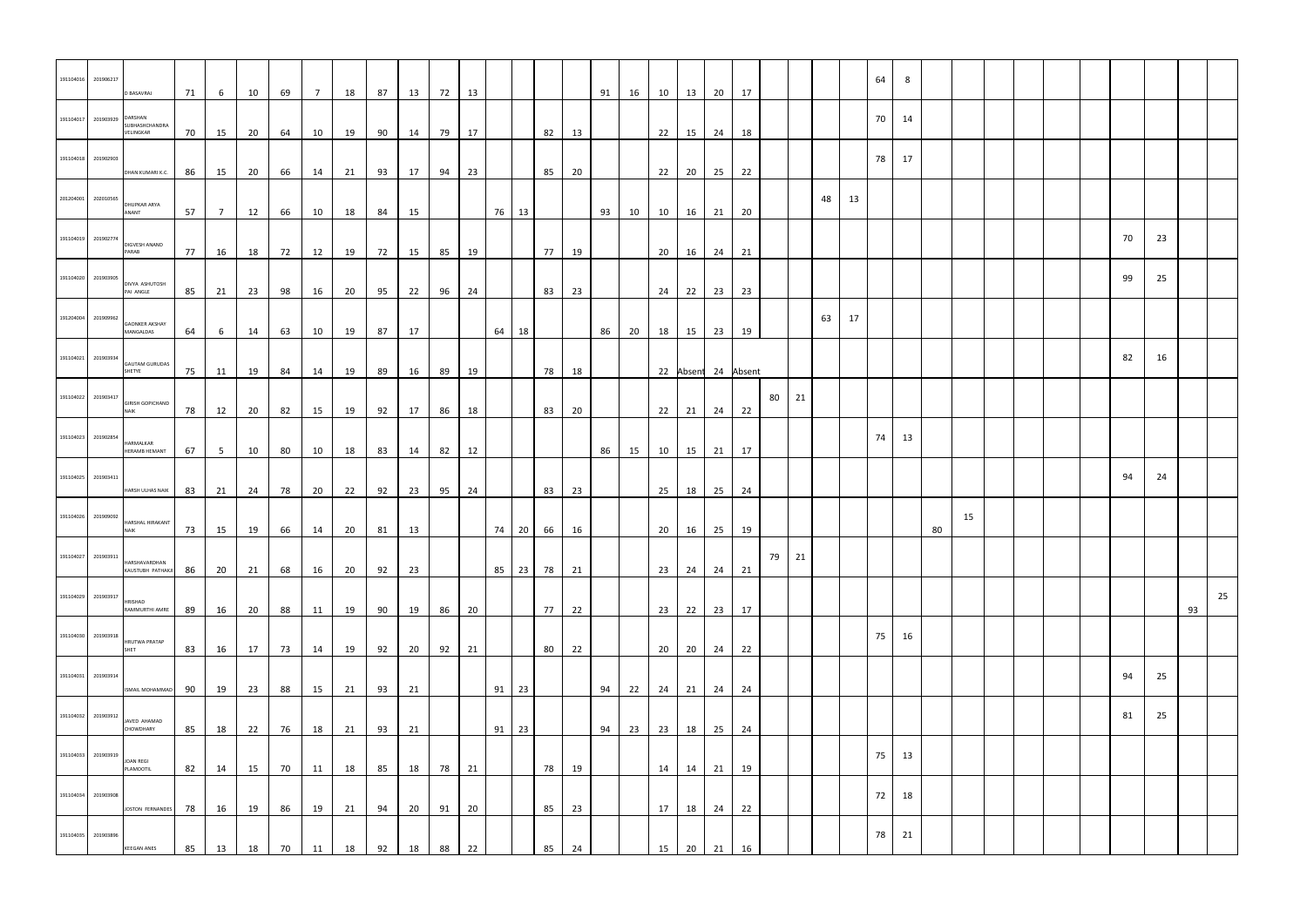| 191104016                   | 201906217 | D BASAVRAJ                              | 71 | 6              | 10 | 69 | 7  | 18 | 87 | 13 | 72 | 13 |         |       |          |    | 91 | 16 | 10 l | 13                | 20    | 17                  |      |       |    |    | 64 | 8  |    |    |  |  |    |    |    |    |
|-----------------------------|-----------|-----------------------------------------|----|----------------|----|----|----|----|----|----|----|----|---------|-------|----------|----|----|----|------|-------------------|-------|---------------------|------|-------|----|----|----|----|----|----|--|--|----|----|----|----|
| 191104017 201903929 DARSHAN |           | SUBHASHCHANDRA<br>VELINGKAR             | 70 | 15             | 20 | 64 | 10 | 19 | 90 | 14 | 79 | 17 |         |       | 82       | 13 |    |    |      | 22 15             | 24 18 |                     |      |       |    |    | 70 | 14 |    |    |  |  |    |    |    |    |
| 191104018 201902903         |           |                                         |    |                |    |    |    |    |    |    |    |    |         |       |          |    |    |    |      |                   |       |                     |      |       |    |    | 78 | 17 |    |    |  |  |    |    |    |    |
| 201204001 202010565         |           | DHAN KUMARI K.C.<br><b>DHUPKAR ARYA</b> | 86 | 15             | 20 | 66 | 14 | 21 | 93 | 17 | 94 | 23 |         |       | 85       | 20 |    |    |      | 22 20             | 25 22 |                     |      |       | 48 | 13 |    |    |    |    |  |  |    |    |    |    |
| 191104019 201902774         |           | ANANT<br>DIGVESH ANAND                  | 57 | $\overline{7}$ | 12 | 66 | 10 | 18 | 84 | 15 |    |    | 76 13   |       |          |    | 93 | 10 |      | 10  16            | 21 20 |                     |      |       |    |    |    |    |    |    |  |  | 70 | 23 |    |    |
| 191104020 201903905         |           | PARAB                                   | 77 | 16             | 18 | 72 | 12 | 19 | 72 | 15 | 85 | 19 |         |       | 77       | 19 |    |    |      | 20 16             | 24 21 |                     |      |       |    |    |    |    |    |    |  |  | 99 | 25 |    |    |
|                             |           | DIVYA ASHUTOSH<br>PAI ANGLE             | 85 | 21             | 23 | 98 | 16 | 20 | 95 | 22 | 96 | 24 |         |       | 83       | 23 |    |    |      | $24$ 22           | 23 23 |                     |      |       |    |    |    |    |    |    |  |  |    |    |    |    |
| 191204004 201909962         |           | <b>GAONKER AKSHAY</b><br>MANGALDAS      | 64 | 6              | 14 | 63 | 10 | 19 | 87 | 17 |    |    | 64 18   |       |          |    | 86 | 20 |      | 18  15            | 23 19 |                     |      |       | 63 | 17 |    |    |    |    |  |  |    |    |    |    |
| 191104021 201903934         |           | <b>GAUTAM GURUDAS</b><br>SHETYE         | 75 | 11             | 19 | 84 | 14 | 19 | 89 | 16 | 89 | 19 |         |       | 78       | 18 |    |    |      |                   |       | 22 Absent 24 Absent |      |       |    |    |    |    |    |    |  |  | 82 | 16 |    |    |
| 191104022 201903417         |           | <b>GIRISH GOPICHAND</b><br><b>NAIK</b>  | 78 | 12             | 20 | 82 | 15 | 19 | 92 | 17 | 86 | 18 |         |       | 83       | 20 |    |    |      | $22 \mid 21 \mid$ | 24 22 |                     | 80 l | 21    |    |    |    |    |    |    |  |  |    |    |    |    |
| 191104023 201902854         |           | HARMALKAR                               |    |                |    |    |    |    |    |    |    |    |         |       |          |    |    |    |      |                   |       |                     |      |       |    |    | 74 | 13 |    |    |  |  |    |    |    |    |
| 191104025 201903411         |           | <b>HERAMB HEMANT</b>                    | 67 | 5 <sub>5</sub> | 10 | 80 | 10 | 18 | 83 | 14 | 82 | 12 |         |       |          |    | 86 | 15 |      | 10 15             | 21 17 |                     |      |       |    |    |    |    |    |    |  |  | 94 | 24 |    |    |
|                             |           | HARSH ULHAS NAIK                        | 83 | 21             | 24 | 78 | 20 | 22 | 92 | 23 | 95 | 24 |         |       | 83       | 23 |    |    | 25   | 18                | 25 24 |                     |      |       |    |    |    |    |    |    |  |  |    |    |    |    |
| 191104026 201909092         |           | HARSHAL HIRAKANT<br><b>NAIK</b>         | 73 | 15             | 19 | 66 | 14 | 20 | 81 | 13 |    |    |         | 74 20 | 66       | 16 |    |    | 20   | 16                | 25    | 19                  |      |       |    |    |    |    | 80 | 15 |  |  |    |    |    |    |
| 191104027 201903911         |           | HARSHAVARDHAN<br>KAUSTUBH PATHAKJI      | 86 | 20             | 21 | 68 | 16 | 20 | 92 | 23 |    |    |         |       | 85 23 78 | 21 |    |    |      | $23 \mid 24 \mid$ | 24 21 |                     |      | 79 21 |    |    |    |    |    |    |  |  |    |    |    |    |
| 191104029 201903917         |           | HRISHAD                                 |    |                |    |    |    |    |    |    |    | 20 |         |       |          | 22 |    |    |      | $23 \mid 22 \mid$ |       |                     |      |       |    |    |    |    |    |    |  |  |    |    | 93 | 25 |
| 191104030 201903918         |           | RAMMURTHI AMRE<br><b>HRUTWA PRATAP</b>  | 89 | 16             | 20 | 88 | 11 | 19 | 90 | 19 | 86 |    |         |       | 77       |    |    |    |      |                   | 23 17 |                     |      |       |    |    | 75 | 16 |    |    |  |  |    |    |    |    |
| 191104031 201903914         |           | SHET                                    | 83 | 16             | 17 | 73 | 14 | 19 | 92 | 20 | 92 | 21 |         |       | 80       | 22 |    |    |      | 20 20             | 24 22 |                     |      |       |    |    |    |    |    |    |  |  | 94 | 25 |    |    |
|                             |           | <b>ISMAIL MOHAMMAD</b>                  | 90 | 19             | 23 | 88 | 15 | 21 | 93 | 21 |    |    | $91$ 23 |       |          |    | 94 | 22 |      | $24$ 21           | 24 24 |                     |      |       |    |    |    |    |    |    |  |  |    |    |    |    |
| 191104032 201903912         |           | JAVED AHAMAD<br>CHOWDHARY               | 85 | 18             | 22 | 76 | 18 | 21 | 93 | 21 |    |    | $91$ 23 |       |          |    | 94 | 23 | 23   | 18                | 25 24 |                     |      |       |    |    |    |    |    |    |  |  | 81 | 25 |    |    |
| 191104033 201903919         |           | <b>JOAN REGI</b><br>PLAMOOTIL           | 82 | 14             | 15 | 70 | 11 | 18 | 85 | 18 | 78 | 21 |         |       | 78       | 19 |    |    | 14   | 14                | 21 19 |                     |      |       |    |    | 75 | 13 |    |    |  |  |    |    |    |    |
| 191104034 201903908         |           | JOSTON FERNANDES                        | 78 | 16             | 19 | 86 | 19 | 21 | 94 | 20 | 91 | 20 |         |       | 85       | 23 |    |    |      | $17$ 18           | 24 22 |                     |      |       |    |    | 72 | 18 |    |    |  |  |    |    |    |    |
| 191104035 201903896         |           | <b>KEEGAN ANES</b>                      | 85 | 13             | 18 | 70 | 11 | 18 | 92 | 18 | 88 | 22 |         |       | 85       | 24 |    |    | 15   | 20                | 21    | 16                  |      |       |    |    | 78 | 21 |    |    |  |  |    |    |    |    |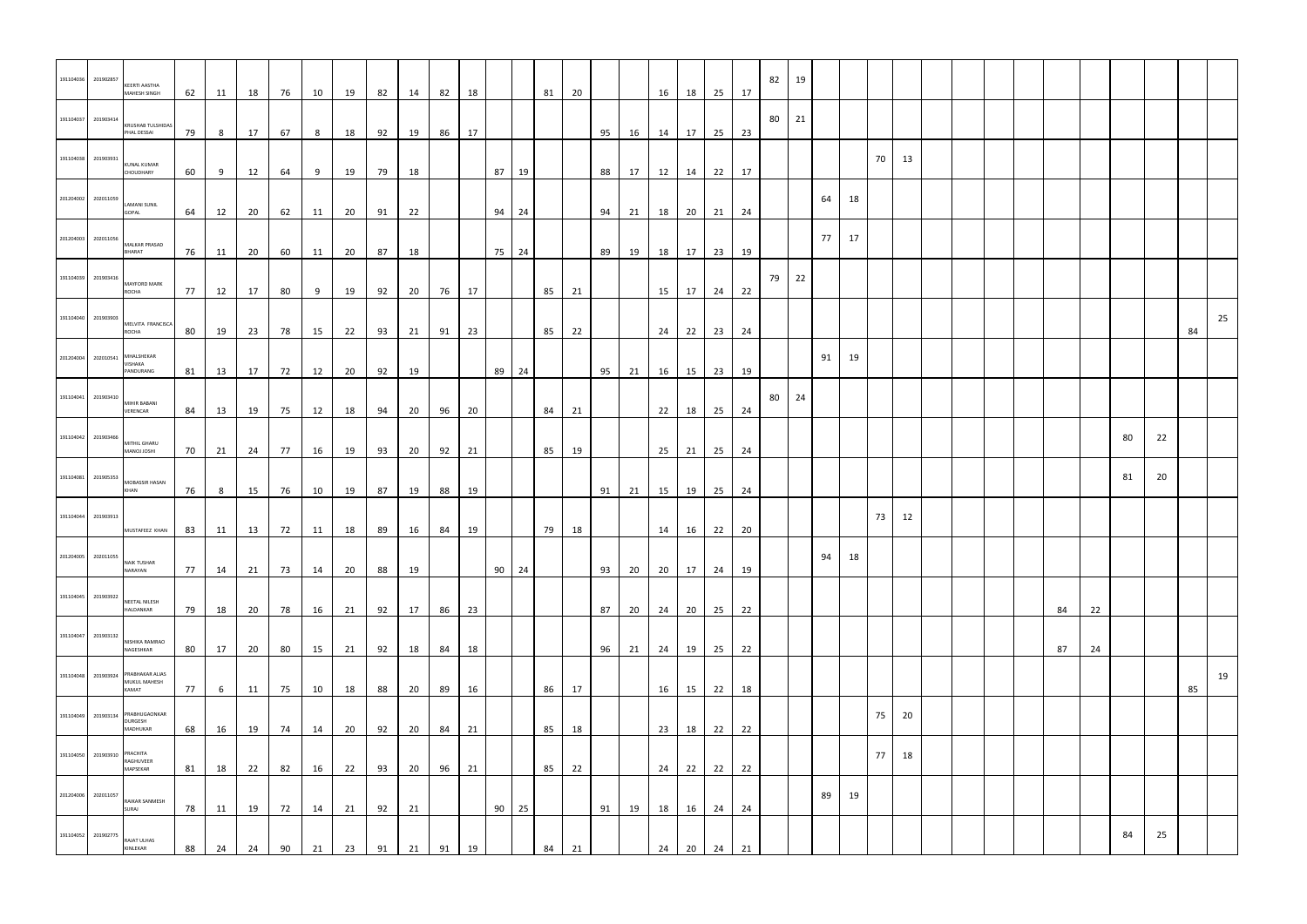| 191104036           | 201902857                    | <b>KEERTI AASTHA</b><br>MAHESH SINGH                         | 62 | 11             | 18    | 76 | 10 | 19 | 82 | 14 | 82    | 18 |              |       | 81 20 |       |    |    |                        | 16 18   | 25 17       |    | 82 | 19 |    |    |    |    |  |  |    |    |    |    |    |    |
|---------------------|------------------------------|--------------------------------------------------------------|----|----------------|-------|----|----|----|----|----|-------|----|--------------|-------|-------|-------|----|----|------------------------|---------|-------------|----|----|----|----|----|----|----|--|--|----|----|----|----|----|----|
| 191104037           | 201903414                    | <b>KRUSHAB TULSHIDAS</b><br>PHAL DESSAI                      | 79 | 8 <sup>8</sup> | 17    | 67 | 8  | 18 | 92 | 19 | 86    | 17 |              |       |       |       | 95 |    | 16   14   17   25   23 |         |             |    | 80 | 21 |    |    |    |    |  |  |    |    |    |    |    |    |
| 191104038           | 201903931                    | <b>KUNAL KUMAR</b><br>CHOUDHARY                              | 60 | 9              | 12    | 64 | 9  | 19 | 79 | 18 |       |    | 87 19        |       |       |       | 88 |    | 17   12   14   22   17 |         |             |    |    |    |    |    | 70 | 13 |  |  |    |    |    |    |    |    |
| 201204002           | 202011059                    | <b>LAMANI SUNIL</b><br>GOPAL                                 | 64 | 12             | 20    | 62 | 11 | 20 | 91 | 22 |       |    | 94 24        |       |       |       | 94 | 21 |                        | 18 20   | 21 24       |    |    |    | 64 | 18 |    |    |  |  |    |    |    |    |    |    |
| 201204003           | 202011056                    | <b>MALKAR PRASAD</b><br><b>BHARAT</b>                        | 76 | 11             | 20    | 60 |    |    | 87 | 18 |       |    |              | 75 24 |       |       | 89 | 19 |                        |         | 23 19       |    |    |    | 77 | 17 |    |    |  |  |    |    |    |    |    |    |
| 191104039           | 201903416                    | <b>MAYFORD MARK</b>                                          |    |                |       |    | 11 | 20 |    |    |       |    |              |       |       |       |    |    |                        | 18 17   |             |    | 79 | 22 |    |    |    |    |  |  |    |    |    |    |    |    |
|                     | 191104040 201903903          | ROCHA<br>MELVITA FRANCISCA                                   | 77 | 12             | 17    | 80 | 9  | 19 | 92 |    | 20 76 | 17 |              |       |       | 85 21 |    |    |                        |         | 15 17 24 22 |    |    |    |    |    |    |    |  |  |    |    |    |    |    | 25 |
| 201204004           | 202010541                    | ROCHA<br>MHALSHEKAR<br>VISHAKA                               | 80 | 19             | 23    | 78 | 15 | 22 | 93 | 21 | 91    | 23 |              |       | 85    | 22    |    |    |                        | $24$ 22 | 23 24       |    |    |    | 91 | 19 |    |    |  |  |    |    |    |    | 84 |    |
| 191104041           | 201903410                    | PANDURANG<br>MIHIR BABANI                                    | 81 | 13             | 17 72 |    | 12 | 20 | 92 | 19 |       |    | 89 24        |       |       |       | 95 | 21 |                        | 16 15   | 23          | 19 | 80 | 24 |    |    |    |    |  |  |    |    |    |    |    |    |
| 191104042           | 201903466                    | VERENCAR<br>MITHIL GHARU                                     | 84 | 13             | 19    | 75 | 12 | 18 | 94 | 20 | 96    | 20 |              |       | 84    | 21    |    |    |                        | 22 18   | 25 24       |    |    |    |    |    |    |    |  |  |    |    | 80 | 22 |    |    |
| 191104081           | 201905353                    | <b>IHZOL LONAM</b><br>MOBASSIR HASAN                         | 70 | 21             | 24    | 77 | 16 | 19 | 93 | 20 | 92    | 21 |              |       | 85    | 19    |    |    |                        |         | 25 21 25 24 |    |    |    |    |    |    |    |  |  |    |    | 81 | 20 |    |    |
| 191104044           | 201903913                    | <b>KHAN</b>                                                  | 76 | 8 <sup>2</sup> | 15    | 76 | 10 | 19 | 87 | 19 | 88    | 19 |              |       |       |       | 91 | 21 |                        | 15  19  | 25 24       |    |    |    |    |    | 73 | 12 |  |  |    |    |    |    |    |    |
|                     |                              | MUSTAFEEZ KHAN                                               | 83 | 11             | 13    | 72 | 11 | 18 | 89 | 16 | 84    | 19 |              |       | 79    | 18    |    |    |                        | $14$ 16 | 22 20       |    |    |    |    |    |    |    |  |  |    |    |    |    |    |    |
| 201204005           | 202011055                    | <b>NAIK TUSHAR</b><br>NARAYAN                                | 77 | 14             | 21    | 73 | 14 | 20 | 88 | 19 |       |    | $90 \mid 24$ |       |       |       | 93 | 20 | 20                     | 17      | 24          | 19 |    |    | 94 | 18 |    |    |  |  |    |    |    |    |    |    |
| 191104045           | 201903922                    | NEETAL NILESH<br>HALDANKAR                                   | 79 | 18             | 20    | 78 | 16 | 21 | 92 | 17 | 86    | 23 |              |       |       |       | 87 | 20 | 24                     | 20      | 25 22       |    |    |    |    |    |    |    |  |  | 84 | 22 |    |    |    |    |
|                     | 191104047 201903132          | NISHIKA RAMRAO<br>NAGESHKAR                                  | 80 | 17             | 20    | 80 | 15 | 21 | 92 | 18 | 84    | 18 |              |       |       |       | 96 | 21 | 24                     | 19      | 25 22       |    |    |    |    |    |    |    |  |  | 87 | 24 |    |    |    |    |
|                     |                              | 191104048 201903924 PRABHAKAR ALIAS<br>MUKUL MAHESH<br>KAMAT | 77 | 6              | 11    | 75 | 10 | 18 | 88 | 20 | 89    | 16 |              |       | 86    | 17    |    |    | 16                     | 15      | 22          | 18 |    |    |    |    |    |    |  |  |    |    |    |    | 85 | 19 |
| 191104049           |                              | 201903134 PRABHUGAONKAR<br><b>DURGESH</b><br>MADHUKAR        | 68 | 16             | 19    | 74 | 14 | 20 | 92 | 20 | 84    | 21 |              |       | 85    | 18    |    |    | 23                     | 18      | 22 22       |    |    |    |    |    | 75 | 20 |  |  |    |    |    |    |    |    |
|                     | 191104050 201903910 PRACHITA | RAGHUVEER<br>MAPSEKAR                                        | 81 | 18             | 22    | 82 | 16 | 22 | 93 | 20 | 96    | 21 |              |       | 85    | 22    |    |    | 24                     | 22      | 22 22       |    |    |    |    |    | 77 | 18 |  |  |    |    |    |    |    |    |
| 201204006 202011057 |                              | RAIKAR SANMESH<br>SURAJ                                      | 78 | 11             | 19    | 72 | 14 | 21 | 92 | 21 |       |    | $90$ 25      |       |       |       | 91 | 19 | 18                     | 16      | 24 24       |    |    |    | 89 | 19 |    |    |  |  |    |    |    |    |    |    |
| 191104052           | 201902775                    | RAJAT ULHAS<br>KINLEKAR                                      | 88 | 24             | 24    | 90 | 21 | 23 | 91 | 21 | 91    | 19 |              |       | 84    | 21    |    |    | 24                     | 20      | 24          | 21 |    |    |    |    |    |    |  |  |    |    | 84 | 25 |    |    |
|                     |                              |                                                              |    |                |       |    |    |    |    |    |       |    |              |       |       |       |    |    |                        |         |             |    |    |    |    |    |    |    |  |  |    |    |    |    |    |    |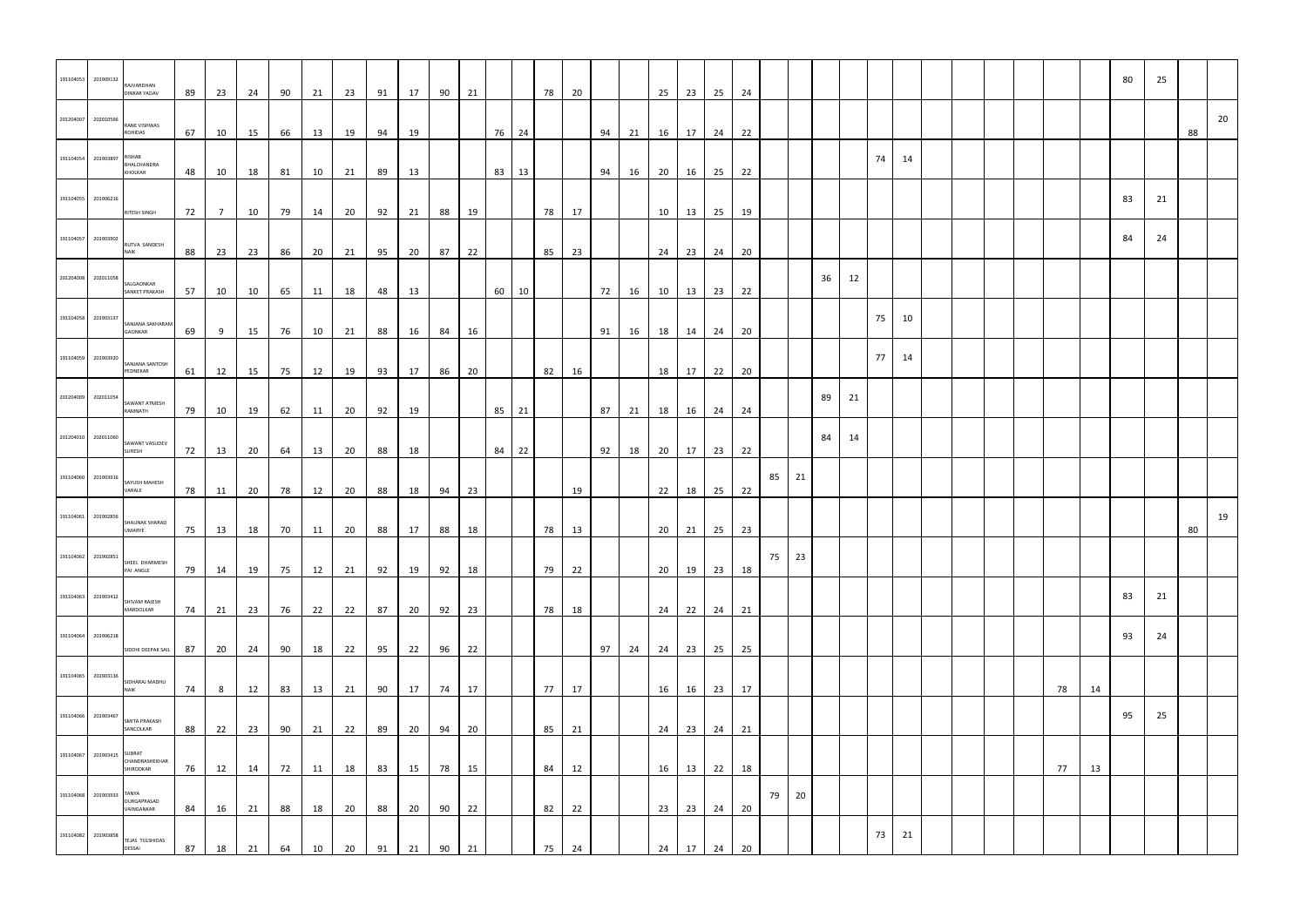| 191104053                  | 201909132           | RAJVARDHAN<br><b>DINKAR YADAV</b>  | 89       | 23             | 24       | 90       | 21 | 23       | 91 | 17 | 90 | 21 |       | 78 | 20 |    |    | 25     | 23                | 25 24       |    |    |       |    |    |    |       |  |  |    |    | 80 | 25 |    |    |
|----------------------------|---------------------|------------------------------------|----------|----------------|----------|----------|----|----------|----|----|----|----|-------|----|----|----|----|--------|-------------------|-------------|----|----|-------|----|----|----|-------|--|--|----|----|----|----|----|----|
| 201204007                  | 202010566           | RANE VISHWAS<br><b>ROHIDAS</b>     | 67       | 10             | 15       | 66       | 13 | 19       | 94 | 19 |    |    | 76 24 |    |    | 94 | 21 | 16 17  |                   | 24 22       |    |    |       |    |    |    |       |  |  |    |    |    |    | 88 | 20 |
| 191104054 201903897 RISHAB |                     | BHALCHANDRA<br>KHOLKAR             | 48       | 10             | 18       | 81       | 10 | 21       | 89 | 13 |    |    | 83 13 |    |    | 94 | 16 | 20 16  |                   | 25 22       |    |    |       |    |    |    | 74 14 |  |  |    |    |    |    |    |    |
| 191104055 201906216        |                     | RITESH SINGH                       | 72       | $\overline{7}$ | 10       | 79       | 14 | 20       | 92 | 21 | 88 | 19 |       | 78 | 17 |    |    | 10     | 13                | 25          | 19 |    |       |    |    |    |       |  |  |    |    | 83 | 21 |    |    |
| 191104057 201903902        |                     | RUTVA SANDESH                      |          |                |          |          |    |          |    |    |    |    |       |    |    |    |    |        |                   |             |    |    |       |    |    |    |       |  |  |    |    | 84 | 24 |    |    |
| 201204008 202011058        |                     | <b>NAIK</b><br>SALGAONKAR          | 88       | 23             | 23       | 86       | 20 | 21       | 95 | 20 | 87 | 22 |       | 85 | 23 |    |    |        | 24 23             | 24 20       |    |    |       | 36 | 12 |    |       |  |  |    |    |    |    |    |    |
|                            | 191104058 201903137 | SANKET PRAKASH<br>SANJANA SAKHARAM | 57       | 10             | 10       | 65       | 11 | 18       | 48 | 13 |    |    | 60 10 |    |    | 72 | 16 |        |                   | 10 13 23 22 |    |    |       |    |    | 75 | 10    |  |  |    |    |    |    |    |    |
|                            | 191104059 201903920 | <b>GAONKAR</b><br>SANJANA SANTOSH  | 69       | 9              | 15       | 76       | 10 | 21       | 88 | 16 | 84 | 16 |       |    |    | 91 | 16 | 18  14 |                   | 24 20       |    |    |       |    |    | 77 | 14    |  |  |    |    |    |    |    |    |
|                            | 201204009 202011054 | PEDNEKAR<br>SAWANT ATMESH          | 61       | 12             | 15       | 75       | 12 | 19       | 93 | 17 | 86 | 20 |       | 82 | 16 |    |    |        | 18 17             | 22 20       |    |    |       | 89 | 21 |    |       |  |  |    |    |    |    |    |    |
|                            | 201204010 202011060 | RAMNATH                            | 79       | 10             | 19       | 62       | 11 | 20       | 92 | 19 |    |    | 85 21 |    |    | 87 | 21 | 18 16  |                   | 24 24       |    |    |       | 84 | 14 |    |       |  |  |    |    |    |    |    |    |
|                            | 191104060 201903916 | SAWANT VASUDEV<br>SURESH           | 72       | 13             | 20       | 64       | 13 | 20       | 88 | 18 |    |    | 84 22 |    |    | 92 | 18 | 20 17  |                   | 23 22       |    | 85 | 21    |    |    |    |       |  |  |    |    |    |    |    |    |
|                            |                     | SAYUSH MAHESH<br>VARALE            | 78       | 11             | 20       | 78       | 12 | 20       | 88 | 18 | 94 | 23 |       |    | 19 |    |    | 22     | 18                | 25 22       |    |    |       |    |    |    |       |  |  |    |    |    |    |    |    |
| 191104061                  | 201902856           | SHAUNAK SHARAD<br><b>UMARYE</b>    | 75       | 13             | 18       | 70       | 11 | 20       | 88 | 17 | 88 | 18 |       | 78 | 13 |    |    |        | $20 \mid 21 \mid$ | 25 23       |    |    |       |    |    |    |       |  |  |    |    |    |    | 80 | 19 |
| 191104062 201902851        |                     | SHEEL DHARMESH<br>PAI ANGLE        | 79       | 14             | 19       | 75       | 12 | 21       | 92 | 19 | 92 | 18 |       | 79 | 22 |    |    | 20     | 19                | 23 18       |    |    | 75 23 |    |    |    |       |  |  |    |    |    |    |    |    |
|                            | 191104063 201903412 | SHIVAM RAJESH<br>MARDOLKAR         | 74       | 21             | 23       | 76       | 22 | 22       | 87 | 20 | 92 | 23 |       | 78 | 18 |    |    |        | 24 22             | 24 21       |    |    |       |    |    |    |       |  |  |    |    | 83 | 21 |    |    |
|                            | 191104064 201906218 | SIDDHI DEEPAK SAIL                 | 87       | 20             | 24       | 90       | 18 | 22       | 95 | 22 | 96 | 22 |       |    |    | 97 | 24 | 24     | 23                | 25 25       |    |    |       |    |    |    |       |  |  |    |    | 93 | 24 |    |    |
|                            | 191104065 201903136 | SIDHARAJ MADHU<br><b>NAIK</b>      | 74       | 8 <sup>8</sup> | 12       | 83       | 13 | 21       | 90 | 17 | 74 | 17 |       | 77 | 17 |    |    | 16     | 16                | 23 17       |    |    |       |    |    |    |       |  |  | 78 | 14 |    |    |    |    |
|                            | 191104066 201903467 | SMITA PRAKASH<br>SANCOLKAR         | 88       | 22             | 23       | 90       | 21 | 22       | 89 | 20 | 94 | 20 |       | 85 | 21 |    |    | 24     | 23                | 24 21       |    |    |       |    |    |    |       |  |  |    |    | 95 | 25 |    |    |
| 191104067                  | 201903415 SUBRAT    | CHANDRASHEKHAR<br>SHIRODKAR        | 76       | 12             | 14       | 72       | 11 | 18       | 83 | 15 | 78 | 15 |       | 84 | 12 |    |    | 16     | 13                | 22          | 18 |    |       |    |    |    |       |  |  | 77 | 13 |    |    |    |    |
| 191104068 201903933 TANYA  |                     | DURGAPRASAD<br>VAINGANKAR          |          |                |          |          | 18 |          | 88 | 20 | 90 | 22 |       | 82 | 22 |    |    | 23     | 23                | 24 20       |    | 79 | 20    |    |    |    |       |  |  |    |    |    |    |    |    |
|                            | 191104082 201903858 | TEJAS TULSHIDAS<br><b>DESSAI</b>   | 84<br>87 | 16<br>18       | 21<br>21 | 88<br>64 | 10 | 20<br>20 | 91 | 21 | 90 | 21 |       | 75 | 24 |    |    | 24     | 17                | 24 20       |    |    |       |    |    | 73 | 21    |  |  |    |    |    |    |    |    |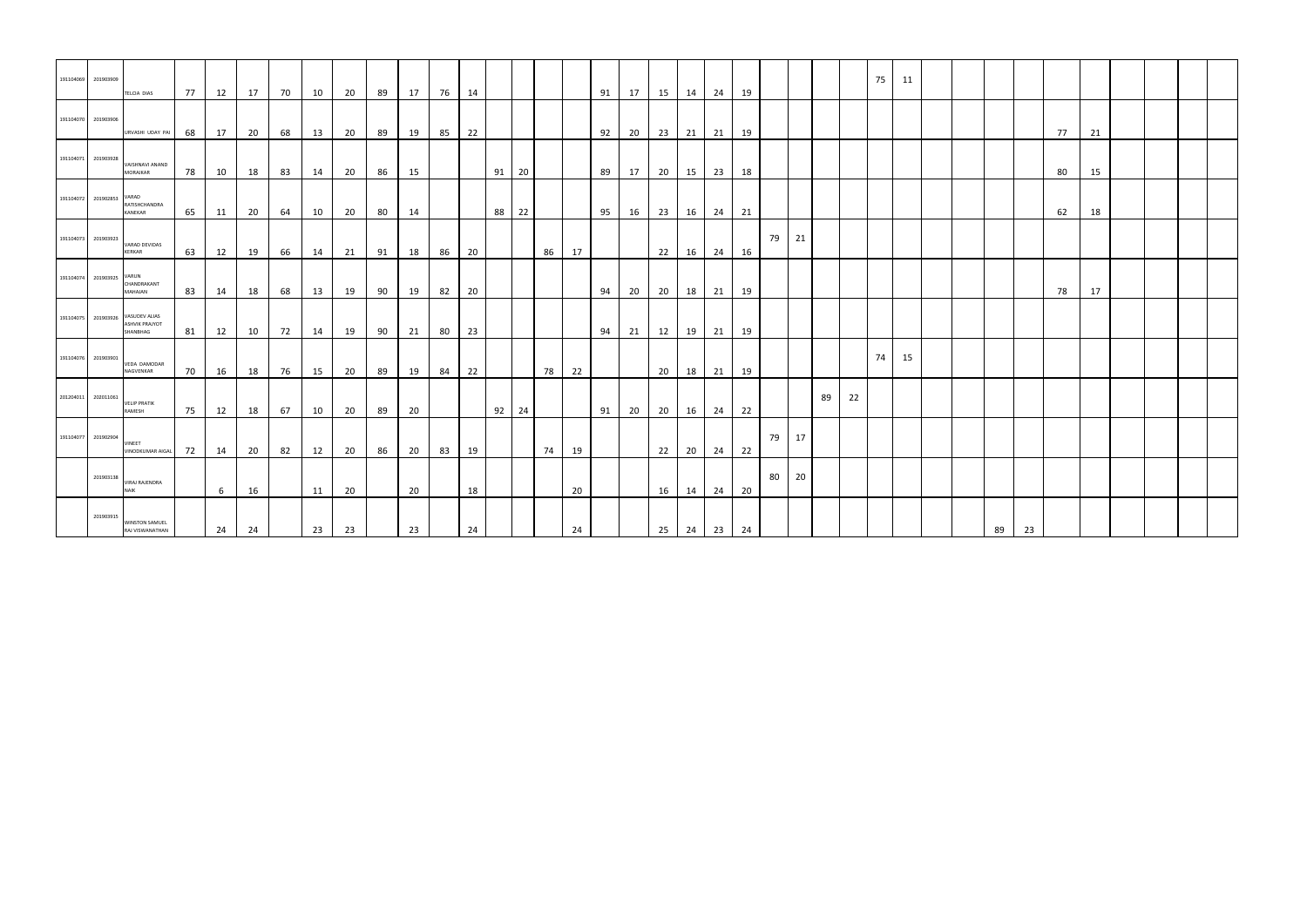| 191104069           | 201903909       | TELCIA DIAS                                        | 77 | 12 | 17 | 70 | 10 | 20 | 89 | 17 | 76 | 14 |       |    |    | 91 | 17 |    | 15  14  24  19    |       |    |       |    |    |    | 75 | 11 |  |    |    |    |    |  |  |
|---------------------|-----------------|----------------------------------------------------|----|----|----|----|----|----|----|----|----|----|-------|----|----|----|----|----|-------------------|-------|----|-------|----|----|----|----|----|--|----|----|----|----|--|--|
| 191104070 201903906 |                 | URVASHI UDAY PAI                                   | 68 | 17 | 20 | 68 | 13 | 20 | 89 | 19 | 85 | 22 |       |    |    | 92 | 20 |    | 23 21 21 19       |       |    |       |    |    |    |    |    |  |    |    | 77 | 21 |  |  |
| 191104071 201903928 |                 | VAISHNAVI ANAND<br>MORAJKAR                        | 78 | 10 | 18 | 83 | 14 | 20 | 86 | 15 |    |    | 91 20 |    |    | 89 | 17 |    | 20   15   23   18 |       |    |       |    |    |    |    |    |  |    |    | 80 | 15 |  |  |
| 191104072           | 201902853 VARAD | RATISHCHANDRA<br>KANEKAR                           | 65 | 11 | 20 | 64 | 10 | 20 | 80 | 14 |    |    | 88 22 |    |    | 95 | 16 |    | 23 16 24 21       |       |    |       |    |    |    |    |    |  |    |    | 62 | 18 |  |  |
| 191104073           | 201903923       | VARAD DEVIDAS<br><b>KERKAR</b>                     | 63 | 12 | 19 | 66 | 14 | 21 | 91 | 18 | 86 | 20 |       | 86 | 17 |    |    |    | $22 \mid 16 \mid$ | 24 16 |    | 79 21 |    |    |    |    |    |  |    |    |    |    |  |  |
| 191104074           | 201903925 VARUN | CHANDRAKANT<br>MAHAJAN                             | 83 | 14 | 18 | 68 | 13 | 19 | 90 | 19 | 82 | 20 |       |    |    | 94 | 20 |    | 20   18   21   19 |       |    |       |    |    |    |    |    |  |    |    | 78 | 17 |  |  |
| 191104075           | 201903926       | VASUDEV ALIAS<br><b>ASHVIK PRAJYOT</b><br>SHANBHAG | 81 | 12 | 10 | 72 | 14 | 19 | 90 | 21 | 80 | 23 |       |    |    | 94 | 21 |    | 12   19   21   19 |       |    |       |    |    |    |    |    |  |    |    |    |    |  |  |
| 191104076           | 201903901       | <b>VEDA DAMODAR</b><br>NAGVENKAR                   | 70 | 16 | 18 | 76 | 15 | 20 | 89 | 19 | 84 | 22 |       | 78 | 22 |    |    |    | 20 18 21 19       |       |    |       |    |    |    | 74 | 15 |  |    |    |    |    |  |  |
| 201204011           | 202011061       | <b>VELIP PRATIK</b><br>RAMESH                      | 75 | 12 | 18 | 67 | 10 | 20 | 89 | 20 |    |    | 92 24 |    |    | 91 | 20 |    | 20 16 24 22       |       |    |       |    | 89 | 22 |    |    |  |    |    |    |    |  |  |
| 191104077           | 201902904       | <b>VINEET</b><br><b>VINODKUMAR AIGAL</b>           | 72 | 14 | 20 | 82 | 12 | 20 | 86 | 20 | 83 | 19 |       | 74 | 19 |    |    |    | $22 \mid 20 \mid$ | 24 22 |    | 79 17 |    |    |    |    |    |  |    |    |    |    |  |  |
|                     | 201903138       | <b>VIRAJ RAJENDRA</b><br><b>NAIK</b>               |    | 6  | 16 |    | 11 | 20 |    | 20 |    | 18 |       |    | 20 |    |    |    | 16 14 24 20       |       |    | 80    | 20 |    |    |    |    |  |    |    |    |    |  |  |
|                     | 201903915       | <b>WINSTON SAMUEL</b><br>RAJ VISWANATHAN           |    | 24 | 24 |    | 23 | 23 |    | 23 |    | 24 |       |    | 24 |    |    | 25 | 24                | 23    | 24 |       |    |    |    |    |    |  | 89 | 23 |    |    |  |  |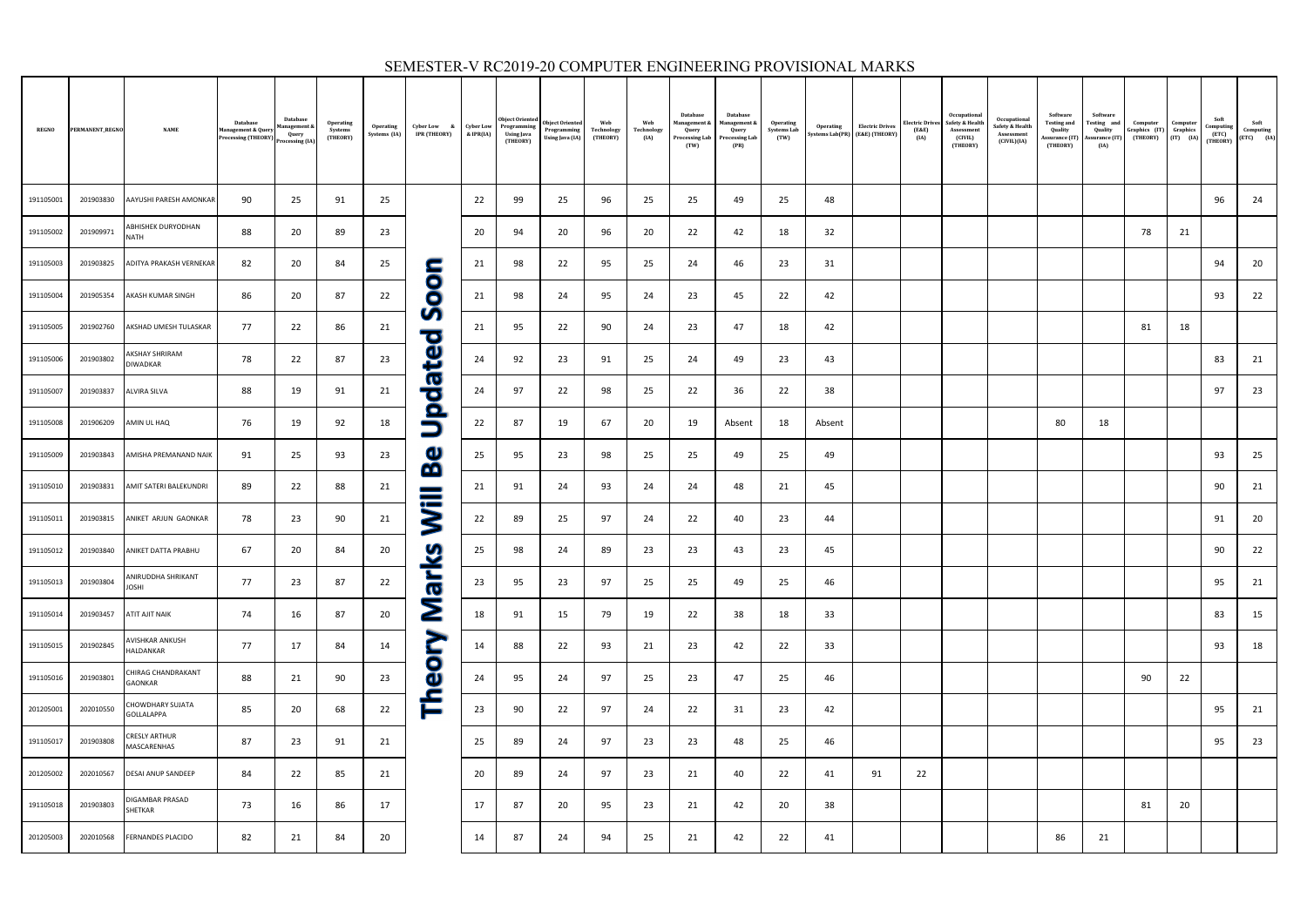| <b>REGNO</b> | PERMANENT_REGNO | <b>NAME</b>                        | Database<br><b>Management &amp; Quer</b><br><b>Processing (THEORY)</b> | Database<br>lanagement &<br>Query<br>Processing (IA) | <b>Operating</b><br>Systems<br>(THEORY) | Operating<br>Systems (IA) | Cyber Low &<br>IPR (THEORY)              | <b>Cyber Low</b><br>& IPR(IA) | Object Oriented<br>Programming<br>Using Java<br>(THEORY) | <b>Object Oriented</b><br>Programming<br>Using Java (IA) | Web<br>Technology<br>(THEORY) | Web<br>Technology<br>(IA) | Database<br>Management &<br>Query<br>Processing Lab<br>(TW) | Database<br>Management &<br>Query<br>Processing Lab<br>(PR) | Operating<br><b>Systems Lab</b><br>(TW) |        | <b>Operating Electric Drives</b><br>Systems Lab(PR) (E&E) (THEORY | (E&E)<br>(IA) | Occupational<br>Electric Drives Safety & Health<br>Assessment<br>(CIVIL)<br>(THEORY) | Occupational<br>Safety & Health<br>Assessment<br>(CIVIL)(IA) | Software<br><b>Testing and</b><br>Quality<br>Assurance (IT)<br>(THEORY) | Software<br>Testing and<br>Quality<br>Assurance (IT)<br>(IA) | Computer<br>Graphics (IT)<br>(THEORY) | Computer<br>Graphics<br>$(IT)$ $(IA)$ | Soft<br>Computing<br>(ETC)<br>(THEORY) | Soft<br>Computing<br>$(ETC)$ $(IA)$ |
|--------------|-----------------|------------------------------------|------------------------------------------------------------------------|------------------------------------------------------|-----------------------------------------|---------------------------|------------------------------------------|-------------------------------|----------------------------------------------------------|----------------------------------------------------------|-------------------------------|---------------------------|-------------------------------------------------------------|-------------------------------------------------------------|-----------------------------------------|--------|-------------------------------------------------------------------|---------------|--------------------------------------------------------------------------------------|--------------------------------------------------------------|-------------------------------------------------------------------------|--------------------------------------------------------------|---------------------------------------|---------------------------------------|----------------------------------------|-------------------------------------|
| 191105001    | 201903830       | AAYUSHI PARESH AMONKAR             | 90                                                                     | 25                                                   | 91                                      | 25                        |                                          | 22                            | 99                                                       | 25                                                       | 96                            | 25                        | 25                                                          | 49                                                          | 25                                      | 48     |                                                                   |               |                                                                                      |                                                              |                                                                         |                                                              |                                       |                                       | 96                                     | 24                                  |
| 191105002    | 201909971       | ABHISHEK DURYODHAN<br><b>NATH</b>  | 88                                                                     | 20                                                   | 89                                      | 23                        |                                          | 20                            | 94                                                       | 20                                                       | 96                            | 20                        | 22                                                          | 42                                                          | 18                                      | 32     |                                                                   |               |                                                                                      |                                                              |                                                                         |                                                              | 78                                    | 21                                    |                                        |                                     |
| 191105003    | 201903825       | ADITYA PRAKASH VERNEKAR            | 82                                                                     | 20                                                   | 84                                      | 25                        | <u>с</u>                                 | 21                            | 98                                                       | 22                                                       | 95                            | 25                        | 24                                                          | 46                                                          | 23                                      | 31     |                                                                   |               |                                                                                      |                                                              |                                                                         |                                                              |                                       |                                       | 94                                     | 20                                  |
| 191105004    | 201905354       | AKASH KUMAR SINGH                  | 86                                                                     | 20                                                   | 87                                      | 22                        | 00                                       | 21                            | 98                                                       | 24                                                       | 95                            | 24                        | 23                                                          | 45                                                          | 22                                      | 42     |                                                                   |               |                                                                                      |                                                              |                                                                         |                                                              |                                       |                                       | 93                                     | 22                                  |
| 191105005    | 201902760       | AKSHAD UMESH TULASKAR              | 77                                                                     | 22                                                   | 86                                      | 21                        | Ū                                        | 21                            | 95                                                       | 22                                                       | 90                            | 24                        | 23                                                          | 47                                                          | 18                                      | 42     |                                                                   |               |                                                                                      |                                                              |                                                                         |                                                              | 81                                    | 18                                    |                                        |                                     |
| 191105006    | 201903802       | AKSHAY SHRIRAM<br>DIWADKAR         | 78                                                                     | 22                                                   | 87                                      | 23                        | poted                                    | 24                            | 92                                                       | 23                                                       | 91                            | 25                        | 24                                                          | 49                                                          | 23                                      | 43     |                                                                   |               |                                                                                      |                                                              |                                                                         |                                                              |                                       |                                       | 83                                     | 21                                  |
| 191105007    | 201903837       | <b>ALVIRA SILVA</b>                | 88                                                                     | 19                                                   | 91                                      | 21                        |                                          | 24                            | 97                                                       | 22                                                       | 98                            | 25                        | 22                                                          | 36                                                          | 22                                      | 38     |                                                                   |               |                                                                                      |                                                              |                                                                         |                                                              |                                       |                                       | 97                                     | 23                                  |
| 191105008    | 201906209       | AMIN UL HAQ                        | 76                                                                     | 19                                                   | 92                                      | 18                        | $\Box$                                   | 22                            | 87                                                       | 19                                                       | 67                            | 20                        | 19                                                          | Absent                                                      | 18                                      | Absent |                                                                   |               |                                                                                      |                                                              | 80                                                                      | 18                                                           |                                       |                                       |                                        |                                     |
| 191105009    | 201903843       | AMISHA PREMANAND NAIK              | 91                                                                     | 25                                                   | 93                                      | 23                        | $\mathbf \omega$<br>$\tilde{\mathbf{p}}$ | 25                            | 95                                                       | 23                                                       | 98                            | 25                        | 25                                                          | 49                                                          | 25                                      | 49     |                                                                   |               |                                                                                      |                                                              |                                                                         |                                                              |                                       |                                       | 93                                     | 25                                  |
| 191105010    | 201903831       | AMIT SATERI BALEKUNDRI             | 89                                                                     | 22                                                   | 88                                      | 21                        |                                          | 21                            | 91                                                       | 24                                                       | 93                            | 24                        | 24                                                          | 48                                                          | 21                                      | 45     |                                                                   |               |                                                                                      |                                                              |                                                                         |                                                              |                                       |                                       | 90                                     | 21                                  |
| 191105011    | 201903815       | ANIKET ARJUN GAONKAR               | 78                                                                     | 23                                                   | 90                                      | 21                        | <b>SE</b>                                | 22                            | 89                                                       | 25                                                       | 97                            | 24                        | 22                                                          | 40                                                          | 23                                      | 44     |                                                                   |               |                                                                                      |                                                              |                                                                         |                                                              |                                       |                                       | 91                                     | 20                                  |
| 191105012    | 201903840       | ANIKET DATTA PRABHU                | 67                                                                     | 20                                                   | 84                                      | 20                        | <u>ଓ</u>                                 | 25                            | 98                                                       | 24                                                       | 89                            | 23                        | 23                                                          | 43                                                          | 23                                      | 45     |                                                                   |               |                                                                                      |                                                              |                                                                         |                                                              |                                       |                                       | 90                                     | 22                                  |
| 191105013    | 201903804       | ANIRUDDHA SHRIKANT<br><b>JOSHI</b> | 77                                                                     | 23                                                   | 87                                      | 22                        | صة<br>$\boldsymbol{\sigma}$              | 23                            | 95                                                       | 23                                                       | 97                            | 25                        | 25                                                          | 49                                                          | 25                                      | 46     |                                                                   |               |                                                                                      |                                                              |                                                                         |                                                              |                                       |                                       | 95                                     | 21                                  |
| 191105014    | 201903457       | ATIT AJIT NAIK                     | 74                                                                     | 16                                                   | 87                                      | 20                        | Σ                                        | 18                            | 91                                                       | 15                                                       | 79                            | 19                        | 22                                                          | 38                                                          | 18                                      | 33     |                                                                   |               |                                                                                      |                                                              |                                                                         |                                                              |                                       |                                       | 83                                     | 15                                  |
| 191105015    | 201902845       | AVISHKAR ANKUSH<br>HALDANKAR       | 77                                                                     | 17                                                   | 84                                      | 14                        | Š                                        | 14                            | 88                                                       | 22                                                       | 93                            | 21                        | 23                                                          | 42                                                          | 22                                      | 33     |                                                                   |               |                                                                                      |                                                              |                                                                         |                                                              |                                       |                                       | 93                                     | 18                                  |
| 191105016    | 201903801       | CHIRAG CHANDRAKANT<br>GAONKAR      | 88                                                                     | 21                                                   | 90                                      | 23                        | $\mathbf 0$<br>$\mathbf \omega$          | 24                            | 95                                                       | 24                                                       | 97                            | 25                        | 23                                                          | 47                                                          | 25                                      | 46     |                                                                   |               |                                                                                      |                                                              |                                                                         |                                                              | 90                                    | 22                                    |                                        |                                     |
| 201205001    | 202010550       | CHOWDHARY SUJATA<br>GOLLALAPPA     | 85                                                                     | 20                                                   | 68                                      | 22                        | Ě                                        | 23                            | 90                                                       | 22                                                       | 97                            | 24                        | 22                                                          | 31                                                          | 23                                      | 42     |                                                                   |               |                                                                                      |                                                              |                                                                         |                                                              |                                       |                                       | 95                                     | 21                                  |
| 191105017    | 201903808       | CRESLY ARTHUR<br>MASCARENHAS       | 87                                                                     | 23                                                   | 91                                      | 21                        |                                          | 25                            | 89                                                       | 24                                                       | 97                            | 23                        | 23                                                          | 48                                                          | 25                                      | 46     |                                                                   |               |                                                                                      |                                                              |                                                                         |                                                              |                                       |                                       | 95                                     | 23                                  |
| 201205002    | 202010567       | <b>DESAI ANUP SANDEEP</b>          | 84                                                                     | 22                                                   | 85                                      | 21                        |                                          | 20                            | 89                                                       | 24                                                       | 97                            | 23                        | 21                                                          | 40                                                          | 22                                      | 41     | 91                                                                | 22            |                                                                                      |                                                              |                                                                         |                                                              |                                       |                                       |                                        |                                     |
| 191105018    | 201903803       | DIGAMBAR PRASAD<br>SHETKAR         | 73                                                                     | 16                                                   | 86                                      | 17                        |                                          | 17                            | 87                                                       | 20                                                       | 95                            | 23                        | 21                                                          | 42                                                          | 20                                      | 38     |                                                                   |               |                                                                                      |                                                              |                                                                         |                                                              | 81                                    | 20                                    |                                        |                                     |
| 201205003    | 202010568       | <b>FERNANDES PLACIDO</b>           | 82                                                                     | 21                                                   | 84                                      | 20                        |                                          | 14                            | 87                                                       | 24                                                       | 94                            | 25                        | 21                                                          | 42                                                          | 22                                      | 41     |                                                                   |               |                                                                                      |                                                              | 86                                                                      | 21                                                           |                                       |                                       |                                        |                                     |

### SEMESTER-V RC2019-20 COMPUTER ENGINEERING PROVISIONAL MARKS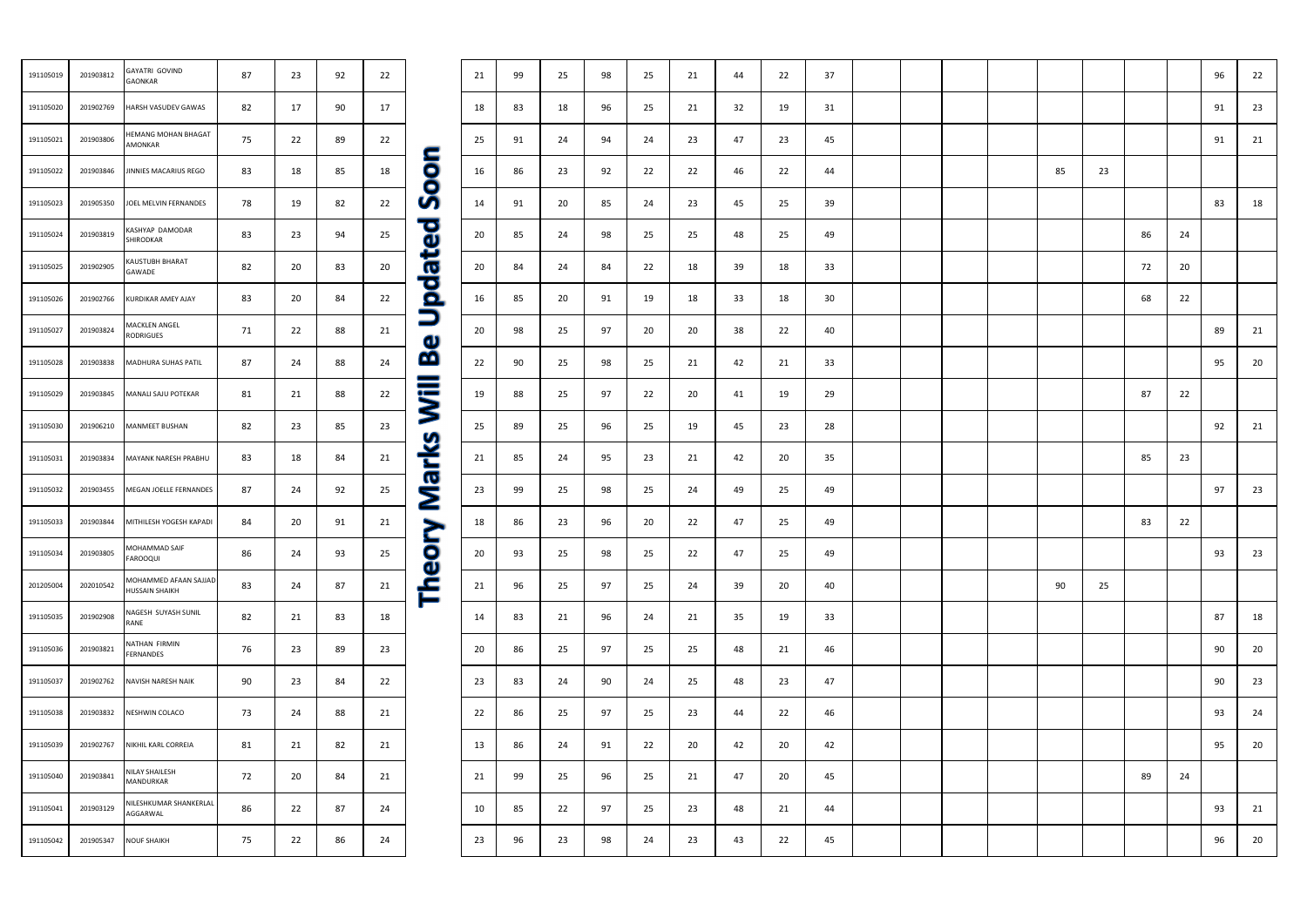| 191105019 | 201903812 | <b>GAYATRI GOVIND</b><br><b>GAONKAR</b>        | 87 | 23 | 92 | 22 |  |
|-----------|-----------|------------------------------------------------|----|----|----|----|--|
| 191105020 | 201902769 | HARSH VASUDEV GAWAS                            | 82 | 17 | 90 | 17 |  |
| 191105021 | 201903806 | <b>HEMANG MOHAN BHAGAT</b><br>AMONKAR          | 75 | 22 | 89 | 22 |  |
| 191105022 | 201903846 | JINNIES MACARIUS REGO                          | 83 | 18 | 85 | 18 |  |
| 191105023 | 201905350 | JOEL MELVIN FERNANDES                          | 78 | 19 | 82 | 22 |  |
| 191105024 | 201903819 | KASHYAP DAMODAR<br>SHIRODKAR                   | 83 | 23 | 94 | 25 |  |
| 191105025 | 201902905 | KAUSTUBH BHARAT<br>GAWADE                      | 82 | 20 | 83 | 20 |  |
| 191105026 | 201902766 | KURDIKAR AMEY AJAY                             | 83 | 20 | 84 | 22 |  |
| 191105027 | 201903824 | <b>MACKLEN ANGEL</b><br><b>RODRIGUES</b>       | 71 | 22 | 88 | 21 |  |
| 191105028 | 201903838 | MADHURA SUHAS PATIL                            | 87 | 24 | 88 | 24 |  |
| 191105029 | 201903845 | MANALI SAJU POTEKAR                            | 81 | 21 | 88 | 22 |  |
| 191105030 | 201906210 | MANMEET BUSHAN                                 | 82 | 23 | 85 | 23 |  |
| 191105031 | 201903834 | MAYANK NARESH PRABHU                           | 83 | 18 | 84 | 21 |  |
| 191105032 | 201903455 | MEGAN JOELLE FERNANDES                         | 87 | 24 | 92 | 25 |  |
| 191105033 | 201903844 | MITHILESH YOGESH KAPADI                        | 84 | 20 | 91 | 21 |  |
| 191105034 | 201903805 | MOHAMMAD SAIF<br><b>FAROOQUI</b>               | 86 | 24 | 93 | 25 |  |
| 201205004 | 202010542 | MOHAMMED AFAAN SAJJAD<br><b>HUSSAIN SHAIKH</b> | 83 | 24 | 87 | 21 |  |
| 191105035 | 201902908 | NAGESH SUYASH SUNIL<br>RANE                    | 82 | 21 | 83 | 18 |  |
| 191105036 | 201903821 | NATHAN FIRMIN<br>FERNANDES                     | 76 | 23 | 89 | 23 |  |
| 191105037 | 201902762 | NAVISH NARESH NAIK                             | 90 | 23 | 84 | 22 |  |
| 191105038 | 201903832 | NESHWIN COLACO                                 | 73 | 24 | 88 | 21 |  |
| 191105039 | 201902767 | NIKHIL KARL CORREIA                            | 81 | 21 | 82 | 21 |  |
| 191105040 | 201903841 | NILAY SHAILESH<br>MANDURKAR                    | 72 | 20 | 84 | 21 |  |
| 191105041 | 201903129 | NILESHKUMAR SHANKERLAL<br>AGGARWAL             | 86 | 22 | 87 | 24 |  |
| 191105042 | 201905347 | <b>NOUF SHAIKH</b>                             | 75 | 22 | 86 | 24 |  |
|           |           |                                                |    |    |    |    |  |

# GAONKAR | 87 | 23 | 92 | 22 | 1 | 99 | 25 | 98 | 25 | 21 | 44 | 22 | 37 | 1 | | | | | | | | | | | | | | | | 96 | 22<br>GAONKAR 191105020 201902769 HARSHVASUDEV GAWAS | 82 | 17 | 90 | 17 | 18 | 83 | 18 | 96 | 25 | 21 | 32 | 19 | 31 | | | | | | | | | | | | | | | 91 | 23 AMONKAR 75 22 89 22 25 91 24 94 24 23 47 23 45 91 21 191105022 201903846 JINNIES MACARIUS REGO | 83 | 18 | 85 | 18 | 18 | 16 | 86 | 23 | 92 | 22 | 24 | 22 | 44 | | | | | 85 | 23 191105023 | 201905350 |JOELMELVIN FERNANDES | 78 | 19 | 82 | 22 | 77 | 14 | 91 | 20 | 85 | 24 | 23 | 45 | 25 | 39 | | | | | | | | | | | | | | | | 83 | 18 SHIRODKAR | 83 | 23 | 94 | 25 | 20 | 85 | 24 | 98 | 25 | 25 | 48 | 25 | 49 | | | | | | | 86 | 24 GAWADE | 82 | 20 | 83 | 20 | 20 | 84 | 24 | 84 | 22 | 18 | 39 | 18 | 33 | | | | | | | | | | | | | | 72 | 20 191105026 201902766 KURDIKAR AMEY AJAY | 83 | 20 | 84 | 22 | ○ | 16 | 85 | 20 | 91 | 19 | 18 | 33 | 18 | 30 | | | | | | | | 68 | 22 RODRIGUES 71 22 88 21 20 98 25 97 20 20 38 22 40 89 21 191105028 201903838 |MADHURA SUHAS PATIL | 87 | 24 | 88 | 24 | 21 | 92 | 98 | 25 | 25 | 21 | 42 | 21 | 33 | | | | | | | | | | | | | | | 95 | 20 191105029 201903845 MANALI SAJU POTEKAR | 81 | 21 | 88 | 22 | 19 | 88 | 25 | 97 | 22 | 20 | 41 | 19 | 29 | | | | | | | | 87 | 22 191105030 201906210 MANMEET BUSHAN 82 23 85 23 25 89 25 96 25 19 45 23 28 92 21 191105031 201903834 MAYANK NARESH PRABHU 83 | 18 | 84 | 21 | 32 | 23 | 23 | 23 | 23 | 23 | 25 | 21 | 85 | 23 | 191105032 201903455 MEGAN JOELLE FERNANDES | 87 | 24 | 92 | 25 | 23 | 99 | 25 | 98 | 25 | 24 | 49 | 25 | 49 | 1 | | | | | | | | | | | | | | 97 | 23 191105033 201903844 MITHILESH YOGESH KAPADI 84 | 20 | 91 | 21 | Se | 28 | 96 | 20 | 22 | 47 | 25 | 49 | | | | | | | | | | | | 83 | 22 FAROOQUI 86 24 93 25 20 93 25 98 25 22 47 25 49 93 23 HUSSAIN SHAIKH 83 24 87 21 21 96 25 97 25 24 39 20 40 | | | | | | 90 25 RANE 82 21 83 18 14 83 21 96 24 21 35 19 33 87 18 FERNANDES 76 23 89 23 20 86 25 97 25 25 48 21 46 90 20 191105037 201902762 NAVISH NARESH NAIK 90 23 84 22 23 83 24 90 24 25 48 23 47 90 23 191105038 201903832 NESHWIN COLACO 73 24 88 21 22 86 25 97 25 23 44 22 46 93 24 191105039 201902767 NIKHILKARLCORREIA | 81 | 21 | 82 | 21 | 13 | 86 | 24 | 91 | 22 | 20 | 42 | 20 | 42 | | | | | | | | | | | | | | | 95 | 20 MANDURKAR | 72 | 20 | 84 | 21 | 91 | 99 | 25 | 96 | 25 | 21 | 47 | 20 | 45 | | | | | | | | | 89 | 24<br>MANDURKAR | 72 | 20 | 84 | 21 | 91 | 99 | 25 | 96 | 25 | 21 | 47 | 20 | 45 | | | | | | | NEESINGUNAN STANNENEAL 86 22 87 24 10 85 22 97 25 23 48 21 44 1 1 1 1 1 1 1 93 21 191105042 201905347 NOUF SHAIKH | 75 | 22 | 86 | 24 | 23 | 98 | 23 | 98 | 23 | 43 | 22 | 45 | | | | | | | | | | | | | | | 96 | 20

|    |    |        |    | 96 | 22         |
|----|----|--------|----|----|------------|
|    |    |        |    | 91 | 23         |
|    |    |        |    | 91 | ${\bf 21}$ |
| 85 | 23 |        |    |    |            |
|    |    |        |    | 83 | 18         |
|    |    | 86     | 24 |    |            |
|    |    | $72\,$ | 20 |    |            |
|    |    | 68     | 22 |    |            |
|    |    |        |    | 89 | 21         |
|    |    |        |    | 95 | 20         |
|    |    | 87     | 22 |    |            |
|    |    |        |    | 92 | ${\bf 21}$ |
|    |    | 85     | 23 |    |            |
|    |    |        |    | 97 | 23         |
|    |    | 83     | 22 |    |            |
|    |    |        |    | 93 | 23         |
| 90 | 25 |        |    |    |            |
|    |    |        |    | 87 | 18         |
|    |    |        |    | 90 | $20\,$     |
|    |    |        |    | 90 | 23         |
|    |    |        |    | 93 | 24         |
|    |    |        |    | 95 | 20         |
|    |    | 89     | 24 |    |            |
|    |    |        |    | 93 | 21         |
|    |    |        |    | 96 | $20\,$     |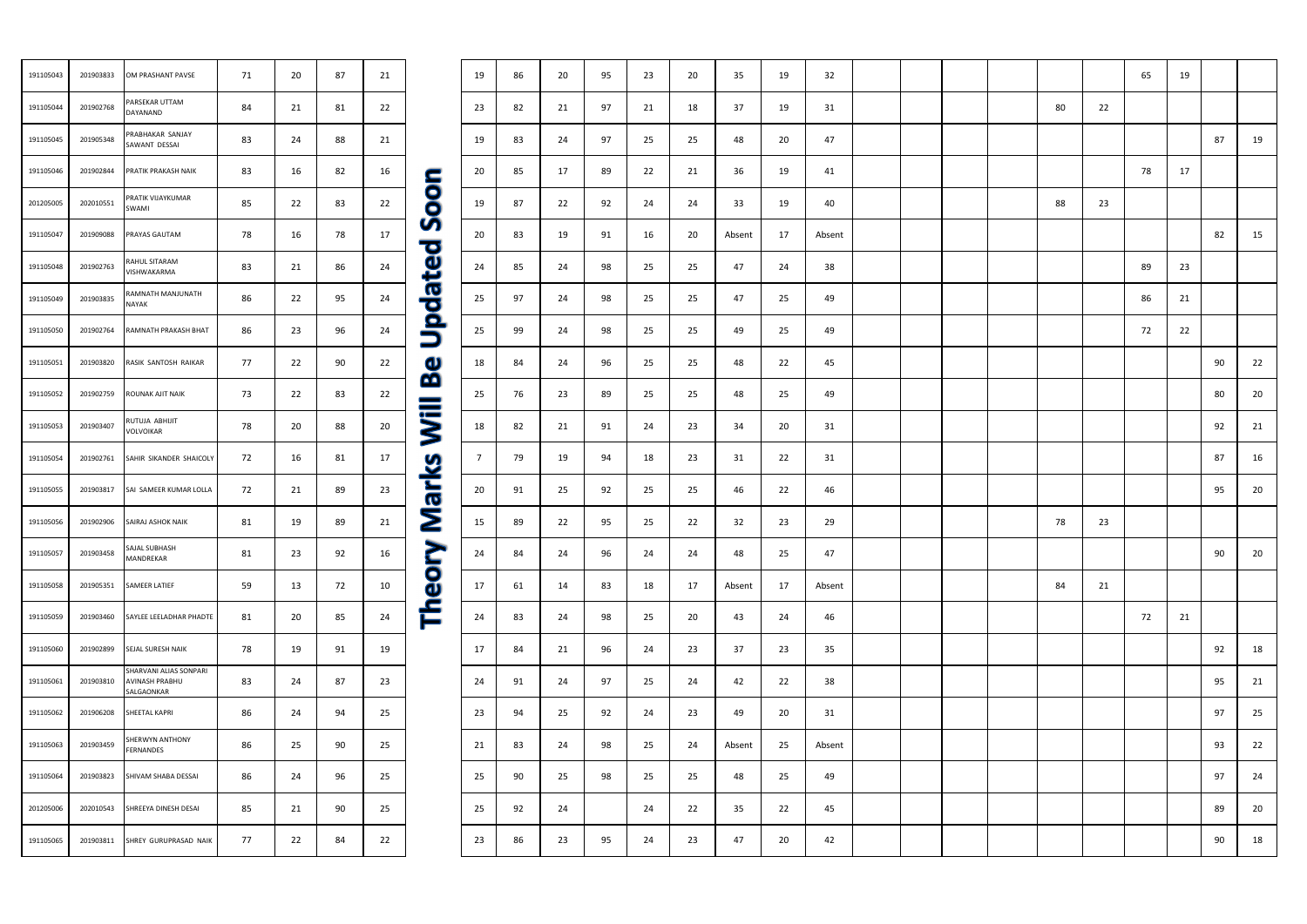| 191105043 | 201903833 | OM PRASHANT PAVSE                                      | 71 | 20 | 87 | 21 |
|-----------|-----------|--------------------------------------------------------|----|----|----|----|
| 191105044 | 201902768 | PARSEKAR UTTAM<br>DAYANAND                             | 84 | 21 | 81 | 22 |
| 191105045 | 201905348 | PRABHAKAR SANJAY<br>SAWANT DESSAI                      | 83 | 24 | 88 | 21 |
| 191105046 | 201902844 | PRATIK PRAKASH NAIK                                    | 83 | 16 | 82 | 16 |
| 201205005 | 202010551 | PRATIK VIJAYKUMAR<br>SWAMI                             | 85 | 22 | 83 | 22 |
| 191105047 | 201909088 | PRAYAS GAUTAM                                          | 78 | 16 | 78 | 17 |
| 191105048 | 201902763 | RAHUL SITARAM<br>VISHWAKARMA                           | 83 | 21 | 86 | 24 |
| 191105049 | 201903835 | RAMNATH MANJUNATH<br><b>NAYAK</b>                      | 86 | 22 | 95 | 24 |
| 191105050 | 201902764 | RAMNATH PRAKASH BHAT                                   | 86 | 23 | 96 | 24 |
| 191105051 | 201903820 | RASIK SANTOSH RAIKAR                                   | 77 | 22 | 90 | 22 |
| 191105052 | 201902759 | ROUNAK AJIT NAIK                                       | 73 | 22 | 83 | 22 |
| 191105053 | 201903407 | RUTUJA ABHIJIT<br>VOLVOIKAR                            | 78 | 20 | 88 | 20 |
| 191105054 | 201902761 | SAHIR SIKANDER SHAICOLY                                | 72 | 16 | 81 | 17 |
| 191105055 | 201903817 | SAI SAMEER KUMAR LOLLA                                 | 72 | 21 | 89 | 23 |
| 191105056 | 201902906 | SAIRAJ ASHOK NAIK                                      | 81 | 19 | 89 | 21 |
| 191105057 | 201903458 | SAJAL SUBHASH<br>MANDREKAR                             | 81 | 23 | 92 | 16 |
| 191105058 | 201905351 | SAMEER LATIEF                                          | 59 | 13 | 72 | 10 |
| 191105059 | 201903460 | SAYLEE LEELADHAR PHADTE                                | 81 | 20 | 85 | 24 |
| 191105060 | 201902899 | SEJAL SURESH NAIK                                      | 78 | 19 | 91 | 19 |
| 191105061 | 201903810 | SHARVANI ALIAS SONPARI<br>AVINASH PRABHU<br>SALGAONKAR | 83 | 24 | 87 | 23 |
| 191105062 | 201906208 | SHEETAL KAPRI                                          | 86 | 24 | 94 | 25 |
| 191105063 | 201903459 | SHERWYN ANTHONY<br><b>FERNANDES</b>                    | 86 | 25 | 90 | 25 |
| 191105064 | 201903823 | SHIVAM SHABA DESSAI                                    | 86 | 24 | 96 | 25 |
| 201205006 | 202010543 | SHREEYA DINESH DESAI                                   | 85 | 21 | 90 | 25 |
| 191105065 | 201903811 | SHREY GURUPRASAD NAIK                                  | 77 | 22 | 84 | 22 |

## 191105043 201903833 OMPRASHANTPAVSE | 71 | 20 | 87 | 21 | | 19 | 86 | 20 | 95 | 23 | 20 | 35 | 19 | 32 | | | | | | | | 65 | 19 DAYANAND 84 21 81 22 23 82 21 97 21 18 37 19 31 80 22 SAWANT DESSAI 83 24 88 21 19 83 24 97 25 25 48 20 47 87 19 191105046 201902844 PRATIK PRAKASH NAIK | 83 | 16 | 82 | 16 | 82 | 20 | 85 | 17 | 89 | 22 | 21 | 36 | 19 | 41 | | | | | | | | | | | | | 78 | 17 SWAMI | 85 | 22 | 83 | 22 | 19 | 87 | 22 | 92 | 24 | 24 | 33 | 19 | 40 | | | | | 88 | 23<br>SWAMI 191105047 201909088 PRAYAS GAUTAM 78 16 78 17 20 83 19 91 16 20 Absent 17 Absent 82 15 VISHWAKARMA | 83 | 21 | 86 | 24 | 24 | 85 | 24 | 98 | 25 | 25 | 47 | 24 | 38 | | | | | | | | | | | | | | | 89 | 23<br>VISHWAKARMA NAYAK || 86 | 22 | 95 | 24 | 25 | 97 | 24 | 98 | 25 | 25 | 47 | 25 | 49 | | | | | | | 86 | 21<br>NAYAK 191105050 201902764 RAMNATHPRAKASHBHAT | 86 | 23 | 96 | 24 | 35 | 99 | 24 | 98 | 25 | 25 | 49 | 25 | 49 | | | | | | | | | | | | | 72 | 22 191105051 201903820 RASIK SANTOSH RAIKAR | 77 | 22 | 90 | 22 | 18 | 84 | 24 | 96 | 25 | 25 | 48 | 22 | 45 | | | | | | | | | | | | | | | 90 | 22 191105052 201902759 ROUNAKAJITNAIK | 73 | 22 | 83 | 22 | \_ | 25 | 76 | 23 | 89 | 25 | 48 | 25 | 49 | | | | | | | | | | | | | | | | 80 | 20 VOLVOIKAR 78 20 88 20 18 82 21 91 24 23 34 20 31 92 21 7 79 19 94 18 23 31 22 31 87 16 191105055 201903817 SAI SAI SAMEER KUMAR LOLLA 72 21 89 23 20 20 91 25 92 25 25 46 22 46 21 1 1 1 1 95 20 191105056 201902906 SAIRAJASHOKNAIK | 81 | 19 | 89 | 21 | 22 | 89 | 22 | 95 | 22 | 32 | 23 | 29 | | | | 78 | 23 MANDREKAR 81 23 92 16 24 84 24 96 24 24 48 25 47 90 20 191105058 201905351 SAMEER LATIEF 59 13 72 10 17 61 14 83 18 17 Absent 17 Absent 84 21 191105059 201903460 SAYLEE LEELADHAR PHADTE 81 | 20 | 85 | 24 | 24 | 83 | 24 | 98 | 25 | 20 | 43 | 24 | 46 | | | | | | | | | | | | | 72 | 21 191105060 201902899 SEJALSURESHNAIK | 78 | 19 | 91 | 19 | 17 | 84 | 21 | 96 | 24 | 23 | 37 | 23 | 35 | | | | | | | | | | | | | | | 92 | 18 83 24 87 23 24 91 24 97 25 24 42 22 38 95 21 191105062 201906208 SHEETAL KAPRI | 86 | 24 | 94 | 25 | 93 | 94 | 25 | 92 | 24 | 23 | 49 | 20 | 31 | | | | | | | | | | | | | | | | 97 | 25 FERNANDES 86 25 90 25 21 83 24 98 25 24 Absent 25 Absent 93 22 191105064 201903823 SHIVAM SHABA DESSAI 86 24 96 25 25 90 25 98 25 25 48 25 49 97 24 201205006 202010543 SHREEYA DINESH DESAI 85 21 90 25 25 92 24 24 22 35 22 45 89 20 191105065 201903811 SHREY GURUPRASAD NAIK 77 22 84 22 23 86 23 95 24 23 47 20 42 90 18

|    |    | 65         | 19 |    |    |
|----|----|------------|----|----|----|
| 80 | 22 |            |    |    |    |
|    |    |            |    | 87 | 19 |
|    |    | ${\bf 78}$ | 17 |    |    |
| 88 | 23 |            |    |    |    |
|    |    |            |    | 82 | 15 |
|    |    | 89         | 23 |    |    |
|    |    | 86         | 21 |    |    |
|    |    | $72\,$     | 22 |    |    |
|    |    |            |    | 90 | 22 |
|    |    |            |    | 80 | 20 |
|    |    |            |    | 92 | 21 |
|    |    |            |    | 87 | 16 |
|    |    |            |    | 95 | 20 |
| 78 | 23 |            |    |    |    |
|    |    |            |    | 90 | 20 |
| 84 | 21 |            |    |    |    |
|    |    | $72\,$     | 21 |    |    |
|    |    |            |    | 92 | 18 |
|    |    |            |    | 95 | 21 |
|    |    |            |    | 97 | 25 |
|    |    |            |    | 93 | 22 |
|    |    |            |    | 97 | 24 |
|    |    |            |    | 89 | 20 |
|    |    |            |    | 90 | 18 |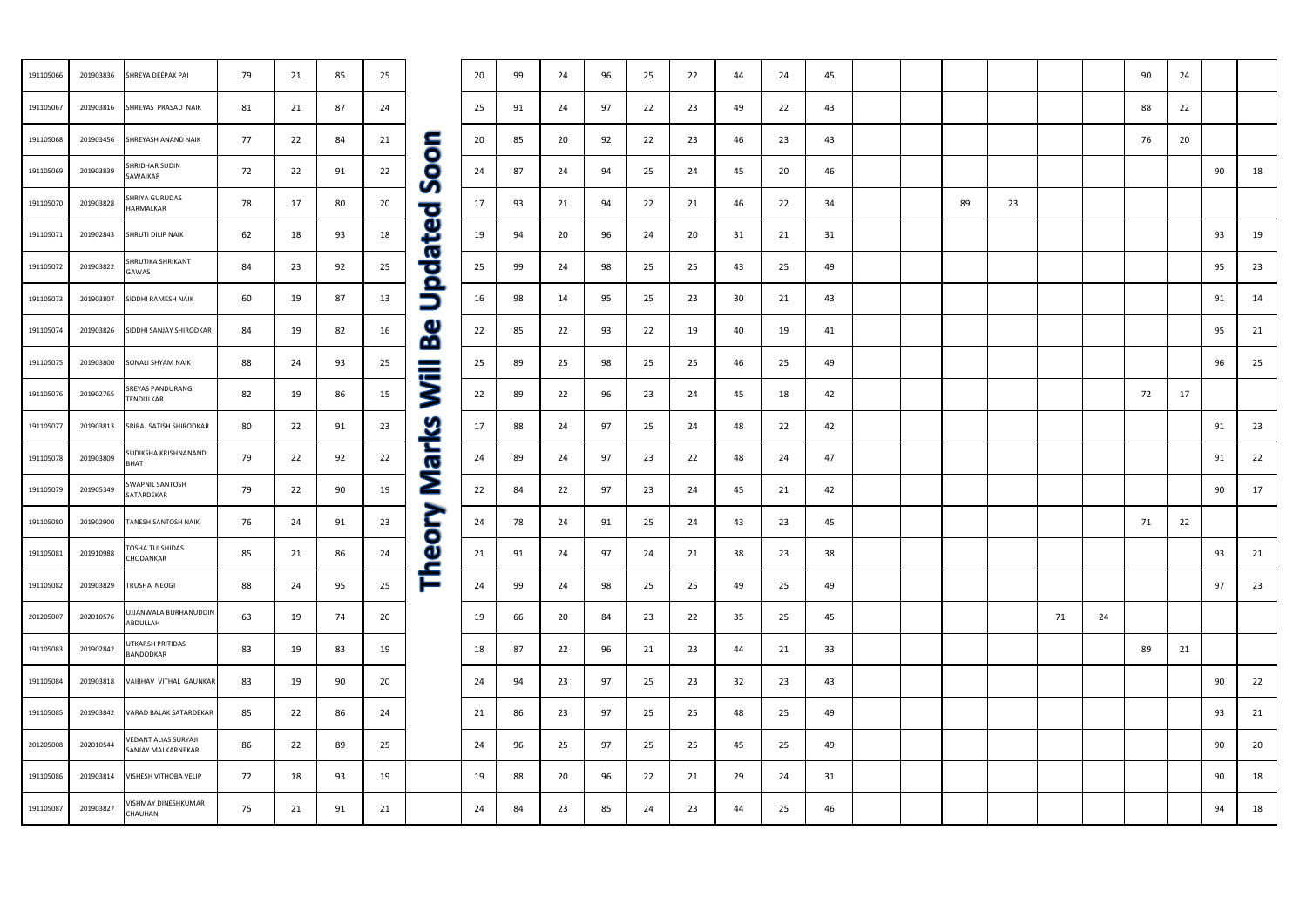| 191105066 | 201903836 | SHREYA DEEPAK PAI                          | 79 | 21 | 85 | 25 |                                    | 20 | 99 | 24 | 96 | 25 | 22 | 44 | 24 | 45 |  |    |    |    |    | 90 | 24 |    |    |
|-----------|-----------|--------------------------------------------|----|----|----|----|------------------------------------|----|----|----|----|----|----|----|----|----|--|----|----|----|----|----|----|----|----|
| 191105067 | 201903816 | SHREYAS PRASAD NAIK                        | 81 | 21 | 87 | 24 |                                    | 25 | 91 | 24 | 97 | 22 | 23 | 49 | 22 | 43 |  |    |    |    |    | 88 | 22 |    |    |
| 191105068 | 201903456 | SHREYASH ANAND NAIK                        | 77 | 22 | 84 | 21 |                                    | 20 | 85 | 20 | 92 | 22 | 23 | 46 | 23 | 43 |  |    |    |    |    | 76 | 20 |    |    |
| 191105069 | 201903839 | SHRIDHAR SUDIN<br>SAWAIKAR                 | 72 | 22 | 91 | 22 | <b>DOD</b>                         | 24 | 87 | 24 | 94 | 25 | 24 | 45 | 20 | 46 |  |    |    |    |    |    |    | 90 | 18 |
| 191105070 | 201903828 | SHRIYA GURUDAS<br>HARMALKAR                | 78 | 17 | 80 | 20 | S<br>$\overline{\mathbf{C}}$       | 17 | 93 | 21 | 94 | 22 | 21 | 46 | 22 | 34 |  | 89 | 23 |    |    |    |    |    |    |
| 191105071 | 201902843 | SHRUTI DILIP NAIK                          | 62 | 18 | 93 | 18 | $\mathbf \Theta$<br>ĕ              | 19 | 94 | 20 | 96 | 24 | 20 | 31 | 21 | 31 |  |    |    |    |    |    |    | 93 | 19 |
| 191105072 | 201903822 | SHRUTIKA SHRIKANT<br>GAWAS                 | 84 | 23 | 92 | 25 | $\boldsymbol{\sigma}$<br><b>DO</b> | 25 | 99 | 24 | 98 | 25 | 25 | 43 | 25 | 49 |  |    |    |    |    |    |    | 95 | 23 |
| 191105073 | 201903807 | SIDDHI RAMESH NAIK                         | 60 | 19 | 87 | 13 | $\Box$                             | 16 | 98 | 14 | 95 | 25 | 23 | 30 | 21 | 43 |  |    |    |    |    |    |    | 91 | 14 |
| 191105074 | 201903826 | SIDDHI SANJAY SHIRODKAR                    | 84 | 19 | 82 | 16 | $\mathbf \Phi$<br>œ                | 22 | 85 | 22 | 93 | 22 | 19 | 40 | 19 | 41 |  |    |    |    |    |    |    | 95 | 21 |
| 191105075 | 201903800 | SONALI SHYAM NAIK                          | 88 | 24 | 93 | 25 | $\equiv$                           | 25 | 89 | 25 | 98 | 25 | 25 | 46 | 25 | 49 |  |    |    |    |    |    |    | 96 | 25 |
| 191105076 | 201902765 | SREYAS PANDURANG<br>TENDULKAR              | 82 | 19 | 86 | 15 | $\ddot{\bm{z}}$                    | 22 | 89 | 22 | 96 | 23 | 24 | 45 | 18 | 42 |  |    |    |    |    | 72 | 17 |    |    |
| 191105077 | 201903813 | SRIRAJ SATISH SHIRODKAR                    | 80 | 22 | 91 | 23 | $\overline{\mathbf{2}}$            | 17 | 88 | 24 | 97 | 25 | 24 | 48 | 22 | 42 |  |    |    |    |    |    |    | 91 | 23 |
| 191105078 | 201903809 | SUDIKSHA KRISHNANAND<br>BHAT               | 79 | 22 | 92 | 22 |                                    | 24 | 89 | 24 | 97 | 23 | 22 | 48 | 24 | 47 |  |    |    |    |    |    |    | 91 | 22 |
| 191105079 | 201905349 | SWAPNIL SANTOSH<br>SATARDEKAR              | 79 | 22 | 90 | 19 | $\overline{\bf \Sigma}$            | 22 | 84 | 22 | 97 | 23 | 24 | 45 | 21 | 42 |  |    |    |    |    |    |    | 90 | 17 |
| 191105080 | 201902900 | TANESH SANTOSH NAIK                        | 76 | 24 | 91 | 23 | $\blacktriangleright$<br>i<br>O    | 24 | 78 | 24 | 91 | 25 | 24 | 43 | 23 | 45 |  |    |    |    |    | 71 | 22 |    |    |
| 191105081 | 201910988 | <b>TOSHA TULSHIDAS</b><br>CHODANKAR        | 85 | 21 | 86 | 24 | $\mathbf \Theta$                   | 21 | 91 | 24 | 97 | 24 | 21 | 38 | 23 | 38 |  |    |    |    |    |    |    | 93 | 21 |
| 191105082 | 201903829 | TRUSHA NEOGI                               | 88 | 24 | 95 | 25 | 흡                                  | 24 | 99 | 24 | 98 | 25 | 25 | 49 | 25 | 49 |  |    |    |    |    |    |    | 97 | 23 |
| 201205007 | 202010576 | <b>JJJANWALA BURHANUDDIN</b><br>ABDULLAH   | 63 | 19 | 74 | 20 |                                    | 19 | 66 | 20 | 84 | 23 | 22 | 35 | 25 | 45 |  |    |    | 71 | 24 |    |    |    |    |
| 191105083 | 201902842 | <b>JTKARSH PRITIDAS</b><br>BANDODKAR       | 83 | 19 | 83 | 19 |                                    | 18 | 87 | 22 | 96 | 21 | 23 | 44 | 21 | 33 |  |    |    |    |    | 89 | 21 |    |    |
| 191105084 | 201903818 | VAIBHAV VITHAL GAUNKAR                     | 83 | 19 | 90 | 20 |                                    | 24 | 94 | 23 | 97 | 25 | 23 | 32 | 23 | 43 |  |    |    |    |    |    |    | 90 | 22 |
| 191105085 | 201903842 | VARAD BALAK SATARDEKAR                     | 85 | 22 | 86 | 24 |                                    | 21 | 86 | 23 | 97 | 25 | 25 | 48 | 25 | 49 |  |    |    |    |    |    |    | 93 | 21 |
| 201205008 | 202010544 | VEDANT ALIAS SURYAJI<br>SANJAY MALKARNEKAR | 86 | 22 | 89 | 25 |                                    | 24 | 96 | 25 | 97 | 25 | 25 | 45 | 25 | 49 |  |    |    |    |    |    |    | 90 | 20 |
| 191105086 | 201903814 | VISHESH VITHOBA VELIP                      | 72 | 18 | 93 | 19 |                                    | 19 | 88 | 20 | 96 | 22 | 21 | 29 | 24 | 31 |  |    |    |    |    |    |    | 90 | 18 |
| 191105087 | 201903827 | VISHMAY DINESHKUMAR<br>CHAUHAN             | 75 | 21 | 91 | 21 |                                    | 24 | 84 | 23 | 85 | 24 | 23 | 44 | 25 | 46 |  |    |    |    |    |    |    | 94 | 18 |
|           |           |                                            |    |    |    |    |                                    |    |    |    |    |    |    |    |    |    |  |    |    |    |    |    |    |    |    |

| 81<br>24<br>201903816<br>21<br>87<br>191105067<br>SHREYAS PRASAD NAIK<br>201903456<br>77<br>22<br>84<br>21<br>191105068<br>SHREYASH ANAND NAIK<br><b>Updated Sool</b><br>SHRIDHAR SUDIN<br>72<br>22<br>91<br>22<br>201903839<br>191105069<br>SAWAIKAR<br>SHRIYA GURUDAS<br>78<br>20<br>80<br>191105070<br>201903828<br>17<br>HARMALKAR<br>62<br>191105071<br>201902843<br>SHRUTI DILIP NAIK<br>18<br>93<br>18<br>SHRUTIKA SHRIKANT<br>84<br>92<br>25<br>191105072<br>201903822<br>23<br>GAWAS<br>60<br>191105073<br>201903807<br>19<br>87<br>13<br>SIDDHI RAMESH NAIK<br><u>ယ</u><br>ဘ<br>84<br>191105074<br>201903826<br>SIDDHI SANJAY SHIRODKAR<br>19<br>82<br>16<br>88<br>24<br>93<br>25<br>191105075<br>201903800<br>SONALI SHYAM NAIK<br>ry Marks Will<br>SREYAS PANDURANG<br>82<br>201902765<br>19<br>86<br>15<br>191105076<br>TENDULKAR<br>80<br>23<br>201903813<br>SRIRAJ SATISH SHIRODKAR<br>22<br>91<br>191105077<br>SUDIKSHA KRISHNANAND<br>79<br>22<br>92<br>22<br>191105078<br>201903809<br><b>BHAT</b><br><b>SWAPNIL SANTOSH</b><br>79<br>191105079<br>201905349<br>22<br>90<br>19<br>SATARDEKAR<br>76<br>91<br>23<br>191105080<br>201902900<br>TANESH SANTOSH NAIK<br>24<br><b>TOSHA TULSHIDAS</b><br>85<br>86<br>24<br>21<br>191105081<br>201910988<br>CHODANKAR<br>88<br>25<br>191105082<br>201903829<br>TRUSHA NEOGI<br>24<br>95<br>UJJANWALA BURHANUDDIN<br>63<br>19<br>74<br>20<br>201205007<br>202010576<br>ABDULLAH<br>UTKARSH PRITIDAS<br>191105083<br>201902842<br>83<br>19<br>83<br>19<br>BANDODKAR<br>83<br>201903818<br>VAIBHAV VITHAL GAUNKAR<br>19<br>90<br>20<br>191105084<br>85<br>86<br>24<br>191105085<br>201903842<br>22<br>VARAD BALAK SATARDEKAR<br>VEDANT ALIAS SURYAJI<br>201205008<br>202010544<br>86<br>22<br>89<br>25<br>SANJAY MALKARNEKAR<br>72<br>201903814<br>18<br>93<br>19<br>191105086<br>VISHESH VITHOBA VELIP<br>VISHMAY DINESHKUMAR<br>75<br>91<br>21<br>21<br>191105087<br>201903827<br>CHAUHAN | 191105066 | 201903836 | SHREYA DEEPAK PAI | 79 | 21 | 85 | 25 |  |
|-----------------------------------------------------------------------------------------------------------------------------------------------------------------------------------------------------------------------------------------------------------------------------------------------------------------------------------------------------------------------------------------------------------------------------------------------------------------------------------------------------------------------------------------------------------------------------------------------------------------------------------------------------------------------------------------------------------------------------------------------------------------------------------------------------------------------------------------------------------------------------------------------------------------------------------------------------------------------------------------------------------------------------------------------------------------------------------------------------------------------------------------------------------------------------------------------------------------------------------------------------------------------------------------------------------------------------------------------------------------------------------------------------------------------------------------------------------------------------------------------------------------------------------------------------------------------------------------------------------------------------------------------------------------------------------------------------------------------------------------------------------------------------------------------------------------------------------------------------------------------------------------------------------------------------------------------------|-----------|-----------|-------------------|----|----|----|----|--|
|                                                                                                                                                                                                                                                                                                                                                                                                                                                                                                                                                                                                                                                                                                                                                                                                                                                                                                                                                                                                                                                                                                                                                                                                                                                                                                                                                                                                                                                                                                                                                                                                                                                                                                                                                                                                                                                                                                                                                     |           |           |                   |    |    |    |    |  |
|                                                                                                                                                                                                                                                                                                                                                                                                                                                                                                                                                                                                                                                                                                                                                                                                                                                                                                                                                                                                                                                                                                                                                                                                                                                                                                                                                                                                                                                                                                                                                                                                                                                                                                                                                                                                                                                                                                                                                     |           |           |                   |    |    |    |    |  |
|                                                                                                                                                                                                                                                                                                                                                                                                                                                                                                                                                                                                                                                                                                                                                                                                                                                                                                                                                                                                                                                                                                                                                                                                                                                                                                                                                                                                                                                                                                                                                                                                                                                                                                                                                                                                                                                                                                                                                     |           |           |                   |    |    |    |    |  |
|                                                                                                                                                                                                                                                                                                                                                                                                                                                                                                                                                                                                                                                                                                                                                                                                                                                                                                                                                                                                                                                                                                                                                                                                                                                                                                                                                                                                                                                                                                                                                                                                                                                                                                                                                                                                                                                                                                                                                     |           |           |                   |    |    |    |    |  |
|                                                                                                                                                                                                                                                                                                                                                                                                                                                                                                                                                                                                                                                                                                                                                                                                                                                                                                                                                                                                                                                                                                                                                                                                                                                                                                                                                                                                                                                                                                                                                                                                                                                                                                                                                                                                                                                                                                                                                     |           |           |                   |    |    |    |    |  |
|                                                                                                                                                                                                                                                                                                                                                                                                                                                                                                                                                                                                                                                                                                                                                                                                                                                                                                                                                                                                                                                                                                                                                                                                                                                                                                                                                                                                                                                                                                                                                                                                                                                                                                                                                                                                                                                                                                                                                     |           |           |                   |    |    |    |    |  |
|                                                                                                                                                                                                                                                                                                                                                                                                                                                                                                                                                                                                                                                                                                                                                                                                                                                                                                                                                                                                                                                                                                                                                                                                                                                                                                                                                                                                                                                                                                                                                                                                                                                                                                                                                                                                                                                                                                                                                     |           |           |                   |    |    |    |    |  |
|                                                                                                                                                                                                                                                                                                                                                                                                                                                                                                                                                                                                                                                                                                                                                                                                                                                                                                                                                                                                                                                                                                                                                                                                                                                                                                                                                                                                                                                                                                                                                                                                                                                                                                                                                                                                                                                                                                                                                     |           |           |                   |    |    |    |    |  |
|                                                                                                                                                                                                                                                                                                                                                                                                                                                                                                                                                                                                                                                                                                                                                                                                                                                                                                                                                                                                                                                                                                                                                                                                                                                                                                                                                                                                                                                                                                                                                                                                                                                                                                                                                                                                                                                                                                                                                     |           |           |                   |    |    |    |    |  |
|                                                                                                                                                                                                                                                                                                                                                                                                                                                                                                                                                                                                                                                                                                                                                                                                                                                                                                                                                                                                                                                                                                                                                                                                                                                                                                                                                                                                                                                                                                                                                                                                                                                                                                                                                                                                                                                                                                                                                     |           |           |                   |    |    |    |    |  |
|                                                                                                                                                                                                                                                                                                                                                                                                                                                                                                                                                                                                                                                                                                                                                                                                                                                                                                                                                                                                                                                                                                                                                                                                                                                                                                                                                                                                                                                                                                                                                                                                                                                                                                                                                                                                                                                                                                                                                     |           |           |                   |    |    |    |    |  |
|                                                                                                                                                                                                                                                                                                                                                                                                                                                                                                                                                                                                                                                                                                                                                                                                                                                                                                                                                                                                                                                                                                                                                                                                                                                                                                                                                                                                                                                                                                                                                                                                                                                                                                                                                                                                                                                                                                                                                     |           |           |                   |    |    |    |    |  |
|                                                                                                                                                                                                                                                                                                                                                                                                                                                                                                                                                                                                                                                                                                                                                                                                                                                                                                                                                                                                                                                                                                                                                                                                                                                                                                                                                                                                                                                                                                                                                                                                                                                                                                                                                                                                                                                                                                                                                     |           |           |                   |    |    |    |    |  |
|                                                                                                                                                                                                                                                                                                                                                                                                                                                                                                                                                                                                                                                                                                                                                                                                                                                                                                                                                                                                                                                                                                                                                                                                                                                                                                                                                                                                                                                                                                                                                                                                                                                                                                                                                                                                                                                                                                                                                     |           |           |                   |    |    |    |    |  |
|                                                                                                                                                                                                                                                                                                                                                                                                                                                                                                                                                                                                                                                                                                                                                                                                                                                                                                                                                                                                                                                                                                                                                                                                                                                                                                                                                                                                                                                                                                                                                                                                                                                                                                                                                                                                                                                                                                                                                     |           |           |                   |    |    |    |    |  |
|                                                                                                                                                                                                                                                                                                                                                                                                                                                                                                                                                                                                                                                                                                                                                                                                                                                                                                                                                                                                                                                                                                                                                                                                                                                                                                                                                                                                                                                                                                                                                                                                                                                                                                                                                                                                                                                                                                                                                     |           |           |                   |    |    |    |    |  |
|                                                                                                                                                                                                                                                                                                                                                                                                                                                                                                                                                                                                                                                                                                                                                                                                                                                                                                                                                                                                                                                                                                                                                                                                                                                                                                                                                                                                                                                                                                                                                                                                                                                                                                                                                                                                                                                                                                                                                     |           |           |                   |    |    |    |    |  |
|                                                                                                                                                                                                                                                                                                                                                                                                                                                                                                                                                                                                                                                                                                                                                                                                                                                                                                                                                                                                                                                                                                                                                                                                                                                                                                                                                                                                                                                                                                                                                                                                                                                                                                                                                                                                                                                                                                                                                     |           |           |                   |    |    |    |    |  |
|                                                                                                                                                                                                                                                                                                                                                                                                                                                                                                                                                                                                                                                                                                                                                                                                                                                                                                                                                                                                                                                                                                                                                                                                                                                                                                                                                                                                                                                                                                                                                                                                                                                                                                                                                                                                                                                                                                                                                     |           |           |                   |    |    |    |    |  |
|                                                                                                                                                                                                                                                                                                                                                                                                                                                                                                                                                                                                                                                                                                                                                                                                                                                                                                                                                                                                                                                                                                                                                                                                                                                                                                                                                                                                                                                                                                                                                                                                                                                                                                                                                                                                                                                                                                                                                     |           |           |                   |    |    |    |    |  |
|                                                                                                                                                                                                                                                                                                                                                                                                                                                                                                                                                                                                                                                                                                                                                                                                                                                                                                                                                                                                                                                                                                                                                                                                                                                                                                                                                                                                                                                                                                                                                                                                                                                                                                                                                                                                                                                                                                                                                     |           |           |                   |    |    |    |    |  |
|                                                                                                                                                                                                                                                                                                                                                                                                                                                                                                                                                                                                                                                                                                                                                                                                                                                                                                                                                                                                                                                                                                                                                                                                                                                                                                                                                                                                                                                                                                                                                                                                                                                                                                                                                                                                                                                                                                                                                     |           |           |                   |    |    |    |    |  |
|                                                                                                                                                                                                                                                                                                                                                                                                                                                                                                                                                                                                                                                                                                                                                                                                                                                                                                                                                                                                                                                                                                                                                                                                                                                                                                                                                                                                                                                                                                                                                                                                                                                                                                                                                                                                                                                                                                                                                     |           |           |                   |    |    |    |    |  |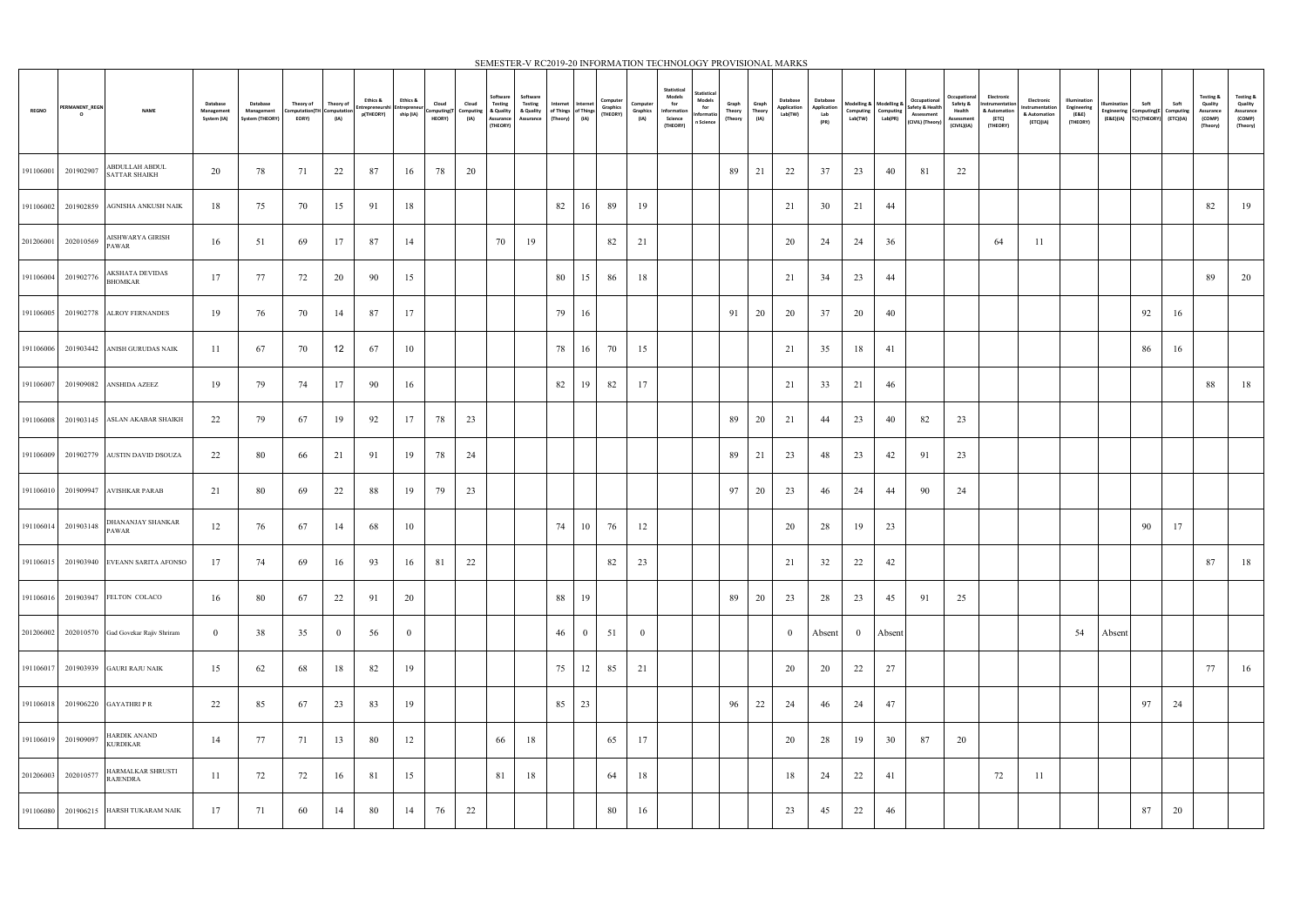|              |                           |                                               |                                              | SEMESTER-V RC2019-20 INFORMATION TECHNOLOGY PROVISIONAL MARKS |                                                  |                   |                                                      |                       |       |                                               |                                                                  |                                               |                                                               |              |          |                              |                                                                                                                                      |                            |                         |                                    |                                        |                                                           |         |                                                                   |                                                                 |                                                                    |                                                            |                                                  |                                         |                                                         |      |                                                         |                                                                    |
|--------------|---------------------------|-----------------------------------------------|----------------------------------------------|---------------------------------------------------------------|--------------------------------------------------|-------------------|------------------------------------------------------|-----------------------|-------|-----------------------------------------------|------------------------------------------------------------------|-----------------------------------------------|---------------------------------------------------------------|--------------|----------|------------------------------|--------------------------------------------------------------------------------------------------------------------------------------|----------------------------|-------------------------|------------------------------------|----------------------------------------|-----------------------------------------------------------|---------|-------------------------------------------------------------------|-----------------------------------------------------------------|--------------------------------------------------------------------|------------------------------------------------------------|--------------------------------------------------|-----------------------------------------|---------------------------------------------------------|------|---------------------------------------------------------|--------------------------------------------------------------------|
| <b>REGNO</b> | PERMANENT_REGN<br>$\circ$ | <b>NAME</b>                                   | <b>Database</b><br>Management<br>System (IA) | Database<br>Management<br>System (THEORY)                     | Theory of<br>Computation(TH Computation<br>EORY) | Theory of<br>(IA) | Ethics &<br>Entrepreneurshi Entrepreneu<br>p(THEORY) | Ethics &<br>ship (IA) | Cloud | Cloud<br>Computing(T Computing<br>HEORY) (IA) | Software<br><b>Testing</b><br>& Quality<br>Assurance<br>(THEORY) | Software<br>Testing<br>& Quality<br>Assurance | Internet Internet<br>of Things of Things (THEORY)<br>(Theory) | (IA)         | Computer | Computer<br>Graphics<br>(IA) | Statistical<br>Statistical<br><b>Models</b><br>Models<br>for<br>for<br>Information<br>Informatio<br>Science<br>n Science<br>(THEORY) | Graph<br>Theory<br>(Theory | Graph<br>Theory<br>(IA) | Database<br>Application<br>Lab(TW) | Database<br>Application<br>Lab<br>(PR) | Modelling & Modelling &<br>Computing Computing<br>Lab(TW) | Lab(PR) | Occupational<br>Safety & Health<br>Assessment<br>(CIVIL) (Theory) | Occupational<br>Safety &<br>Health<br>Assessment<br>(CIVIL)(IA) | Electronic<br>Instrumentation<br>& Automation<br>(ETC)<br>(THEORY) | Electronic<br>Instrumentation<br>& Automation<br>(ETC)(IA) | Illumination<br>Engineering<br>(E&E)<br>(THEORY) | llumination<br>Engineering<br>(E&E)(IA) | Soft<br>Computing(E Computing<br>TC) (THEORY) (ETC)(IA) | Soft | Testing &<br>Quality<br>Assurance<br>(COMP)<br>(Theory) | <b>Testing &amp;</b><br>Quality<br>Assurance<br>(COMP)<br>(Theory) |
| 191106001    | 201902907                 | <b>ABDULLAH ABDUL</b><br>SATTAR SHAIKH        | 20                                           | 78                                                            | 71                                               | 22                | 87                                                   | 16                    | 78    | 20                                            |                                                                  |                                               |                                                               |              |          |                              |                                                                                                                                      | 89                         | 21                      | 22                                 | 37                                     | 23                                                        | 40      | 81                                                                | 22                                                              |                                                                    |                                                            |                                                  |                                         |                                                         |      |                                                         |                                                                    |
| 191106002    |                           | 201902859 AGNISHA ANKUSH NAIK                 | 18                                           | 75                                                            | 70                                               | 15                | 91                                                   | 18                    |       |                                               |                                                                  |                                               | 82                                                            | 16           | 89       | 19                           |                                                                                                                                      |                            |                         | 21                                 | 30                                     | 21                                                        | 44      |                                                                   |                                                                 |                                                                    |                                                            |                                                  |                                         |                                                         |      | 82                                                      | 19                                                                 |
|              | 201206001 202010569       | AISHWARYA GIRISH<br><b>PAWAR</b>              | 16                                           | 51                                                            | 69                                               | 17                | 87                                                   | 14                    |       |                                               | 70                                                               | 19                                            |                                                               |              | 82       | 21                           |                                                                                                                                      |                            |                         | 20                                 | 24                                     | 24                                                        | 36      |                                                                   |                                                                 | 64                                                                 | -11                                                        |                                                  |                                         |                                                         |      |                                                         |                                                                    |
| 191106004    | 201902776                 | AKSHATA DEVIDAS<br><b>BHOMKAR</b>             | 17                                           | -77                                                           | 72                                               | 20                | 90                                                   | 15                    |       |                                               |                                                                  |                                               | 80                                                            | 15           | 86       | 18                           |                                                                                                                                      |                            |                         | 21                                 | 34                                     | 23                                                        | 44      |                                                                   |                                                                 |                                                                    |                                                            |                                                  |                                         |                                                         |      | 89                                                      | 20                                                                 |
|              |                           | 191106005 201902778 ALROY FERNANDES           | 19                                           | 76                                                            | 70                                               | 14                | 87                                                   | 17                    |       |                                               |                                                                  |                                               | 79                                                            | 16           |          |                              |                                                                                                                                      | 91                         | 20                      | 20                                 | 37                                     | 20                                                        | 40      |                                                                   |                                                                 |                                                                    |                                                            |                                                  |                                         | 92                                                      | 16   |                                                         |                                                                    |
| 191106006    |                           | 201903442 ANISH GURUDAS NAIK                  | 11                                           | -67                                                           | 70                                               | $12 \overline{ }$ | 67                                                   | 10                    |       |                                               |                                                                  |                                               | 78                                                            | 16           | 70       | 15                           |                                                                                                                                      |                            |                         | 21                                 | 35                                     | 18                                                        | 41      |                                                                   |                                                                 |                                                                    |                                                            |                                                  |                                         | 86                                                      | 16   |                                                         |                                                                    |
| 191106007    |                           | 201909082 ANSHIDA AZEEZ                       | 19                                           | 79                                                            | 74                                               | 17                | 90                                                   | 16                    |       |                                               |                                                                  |                                               | 82                                                            | 19           | 82       | 17                           |                                                                                                                                      |                            |                         | 21                                 | 33                                     | 21                                                        | 46      |                                                                   |                                                                 |                                                                    |                                                            |                                                  |                                         |                                                         |      | 88                                                      | 18                                                                 |
|              |                           | 191106008 201903145 ASLAN AKABAR SHAIKH       | 22                                           | 79                                                            | 67                                               | 19                | 92                                                   | 17                    | 78    | 23                                            |                                                                  |                                               |                                                               |              |          |                              |                                                                                                                                      | 89                         | 20                      | 21                                 | 44                                     | 23                                                        | 40      | 82                                                                | 23                                                              |                                                                    |                                                            |                                                  |                                         |                                                         |      |                                                         |                                                                    |
| 191106009    |                           | 201902779 AUSTIN DAVID DSOUZA                 | 22                                           | -80                                                           | 66                                               | 21                | 91                                                   | 19                    | 78    | 24                                            |                                                                  |                                               |                                                               |              |          |                              |                                                                                                                                      | 89                         | 21                      | 23                                 | 48                                     | 23                                                        | 42      | 91                                                                | 23                                                              |                                                                    |                                                            |                                                  |                                         |                                                         |      |                                                         |                                                                    |
|              |                           | 191106010 201909947 AVISHKAR PARAB            | 21                                           | 80                                                            | 69                                               | 22                | -88                                                  | 19                    | 79    | 23                                            |                                                                  |                                               |                                                               |              |          |                              |                                                                                                                                      | 97                         | 20                      | 23                                 | -46                                    | 24                                                        | 44      | 90                                                                | 24                                                              |                                                                    |                                                            |                                                  |                                         |                                                         |      |                                                         |                                                                    |
|              | 191106014 201903148       | DHANANJAY SHANKAR<br>PAWAR                    | 12                                           | 76                                                            | 67                                               | 14                | 68                                                   | 10                    |       |                                               |                                                                  |                                               | 74                                                            | 10           | 76       | 12                           |                                                                                                                                      |                            |                         | 20                                 | 28                                     | 19                                                        | 23      |                                                                   |                                                                 |                                                                    |                                                            |                                                  |                                         | 90                                                      | 17   |                                                         |                                                                    |
|              |                           | 191106015 201903940 EVEANN SARITA AFONSO      | 17                                           | 74                                                            | 69                                               | 16                | 93                                                   | 16                    | 81    | 22                                            |                                                                  |                                               |                                                               |              | 82       | 23                           |                                                                                                                                      |                            |                         | 21                                 | 32                                     | 22                                                        | 42      |                                                                   |                                                                 |                                                                    |                                                            |                                                  |                                         |                                                         |      | 87                                                      | 18                                                                 |
|              |                           | 191106016 201903947 FELTON COLACO             | 16                                           | 80                                                            | 67                                               | 22                | 91                                                   | 20                    |       |                                               |                                                                  |                                               | 88                                                            | 19           |          |                              |                                                                                                                                      | 89                         | 20                      | 23                                 | 28                                     | 23                                                        | 45      | 91                                                                | 25                                                              |                                                                    |                                                            |                                                  |                                         |                                                         |      |                                                         |                                                                    |
|              |                           | 201206002 202010570 Gad Govekar Rajiv Shriram | $\bf{0}$                                     | 38                                                            | 35                                               | $\overline{0}$    | 56                                                   | - 0                   |       |                                               |                                                                  |                                               | 46                                                            | $\mathbf{0}$ | 51       | $\overline{0}$               |                                                                                                                                      |                            |                         | $\overline{0}$                     | Absent                                 | $\bf{0}$                                                  | Absent  |                                                                   |                                                                 |                                                                    |                                                            | 54                                               | Absent                                  |                                                         |      |                                                         |                                                                    |
|              |                           | 191106017 201903939 GAURI RAJU NAIK           | 15                                           | 62                                                            | 68                                               | 18                | 82                                                   | 19                    |       |                                               |                                                                  |                                               | 75                                                            | 12           | 85       | 21                           |                                                                                                                                      |                            |                         | 20                                 | 20                                     | 22                                                        | 27      |                                                                   |                                                                 |                                                                    |                                                            |                                                  |                                         |                                                         |      | 77                                                      | 16                                                                 |
|              |                           | 191106018 201906220 GAYATHRI P R              | 22                                           | 85                                                            | 67                                               | 23                | 83                                                   | 19                    |       |                                               |                                                                  |                                               | 85                                                            | 23           |          |                              |                                                                                                                                      | 96                         | 22                      | 24                                 | 46                                     | 24                                                        | 47      |                                                                   |                                                                 |                                                                    |                                                            |                                                  |                                         | 97                                                      | 24   |                                                         |                                                                    |
| 191106019    | 201909097                 | HARDIK ANAND<br><b>KURDIKAR</b>               | 14                                           | -77                                                           | 71                                               | 13                | 80                                                   | 12                    |       |                                               | 66                                                               | 18                                            |                                                               |              | 65       | 17                           |                                                                                                                                      |                            |                         | 20                                 | 28                                     | 19                                                        | 30      | 87                                                                | 20                                                              |                                                                    |                                                            |                                                  |                                         |                                                         |      |                                                         |                                                                    |
|              | 201206003 202010577       | HARMALKAR SHRUSTI<br>RAJENDRA                 | 11                                           | 72                                                            | 72                                               | 16                | 81                                                   | 15                    |       |                                               | 81                                                               | 18                                            |                                                               |              | 64       | 18                           |                                                                                                                                      |                            |                         | 18                                 | 24                                     | 22                                                        | 41      |                                                                   |                                                                 | 72                                                                 | -11                                                        |                                                  |                                         |                                                         |      |                                                         |                                                                    |
|              |                           | 191106080 201906215 HARSH TUKARAM NAIK        | 17                                           | 71                                                            | 60                                               | 14                | 80                                                   | 14                    | 76    | 22                                            |                                                                  |                                               |                                                               |              | 80       | 16                           |                                                                                                                                      |                            |                         | 23                                 | 45                                     | 22                                                        | 46      |                                                                   |                                                                 |                                                                    |                                                            |                                                  |                                         | 87                                                      | 20   |                                                         |                                                                    |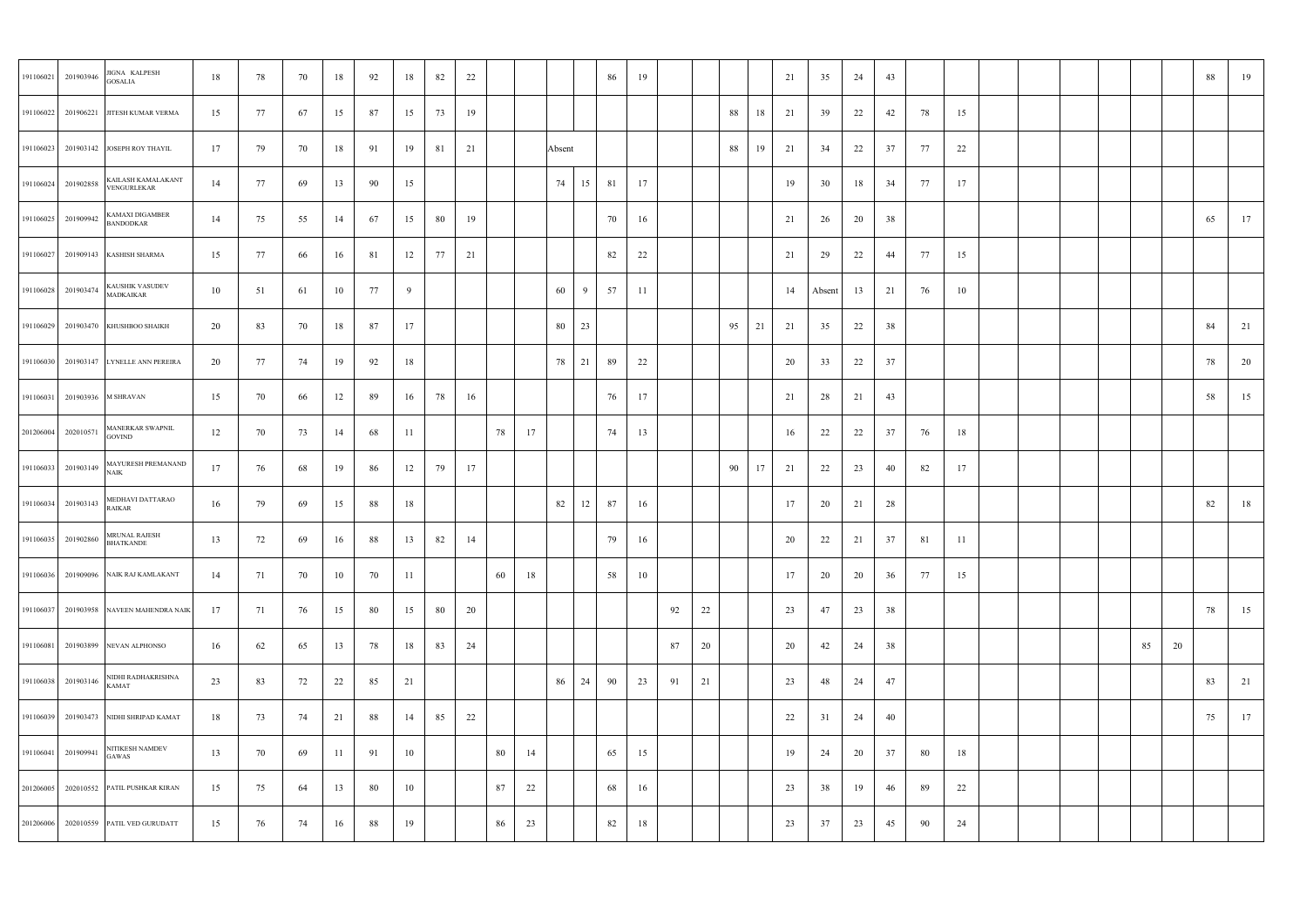| 191106021 201903946           | JIGNA KALPESH<br><b>GOSALIA</b>          | 18 | 78  | 70 | 18 | 92 | 18 | 82   | 22 |    |    |        |    | 86 | 19 |    |    |           |    | 21 | 35     | 24 | 43 |     |     |  |    |    | 88 | 19 |
|-------------------------------|------------------------------------------|----|-----|----|----|----|----|------|----|----|----|--------|----|----|----|----|----|-----------|----|----|--------|----|----|-----|-----|--|----|----|----|----|
|                               | 191106022 201906221 JITESH KUMAR VERMA   | 15 | 77  | 67 | 15 | 87 | 15 | 73   | 19 |    |    |        |    |    |    |    |    | 88        | 18 | 21 | 39     | 22 | 42 | 78  | 15  |  |    |    |    |    |
|                               | 191106023 201903142 JOSEPH ROY THAYIL    | 17 | 79  | 70 | 18 | 91 | 19 | 81   | 21 |    |    | Absent |    |    |    |    |    | 88        | 19 | 21 | 34     | 22 | 37 | 77  | 22  |  |    |    |    |    |
| 191106024 201902858           | KAILASH KAMALAKANT<br>VENGURLEKAR        | 14 | -77 | 69 | 13 | 90 | 15 |      |    |    |    | 74     | 15 | 81 | 17 |    |    |           |    | 19 | 30     | 18 | 34 | 77  | 17  |  |    |    |    |    |
| 191106025 201909942           | KAMAXI DIGAMBER<br><b>BANDODKAR</b>      | 14 | 75  | 55 | 14 | 67 | 15 | - 80 | 19 |    |    |        |    | 70 | 16 |    |    |           |    | 21 | 26     | 20 | 38 |     |     |  |    |    | 65 | 17 |
|                               | 191106027 201909143 KASHISH SHARMA       | 15 | 77  | 66 | 16 | 81 | 12 | 77   | 21 |    |    |        |    | 82 | 22 |    |    |           |    | 21 | 29     | 22 | 44 | 77  | 15  |  |    |    |    |    |
| 191106028 201903474           | KAUSHIK VASUDEV<br><b>MADKAIKAR</b>      | 10 | 51  | 61 | 10 | 77 | 9  |      |    |    |    | 60     | 9  | 57 | 11 |    |    |           |    | 14 | Absent | 13 | 21 | 76  | 10  |  |    |    |    |    |
|                               | 191106029 201903470 KHUSHBOO SHAIKH      | 20 | 83  | 70 | 18 | 87 | 17 |      |    |    |    | 80     | 23 |    |    |    |    | $95$   21 |    | 21 | 35     | 22 | 38 |     |     |  |    |    | 84 | 21 |
|                               | 191106030 201903147 LYNELLE ANN PEREIRA  | 20 | -77 | 74 | 19 | 92 | 18 |      |    |    |    | 78     | 21 | 89 | 22 |    |    |           |    | 20 | 33     | 22 | 37 |     |     |  |    |    | 78 | 20 |
| 191106031 201903936 M SHRAVAN |                                          | 15 | 70  | 66 | 12 | 89 | 16 | 78   | 16 |    |    |        |    | 76 | 17 |    |    |           |    | 21 | 28     | 21 | 43 |     |     |  |    |    | 58 | 15 |
| 201206004 202010571           | MANERKAR SWAPNIL<br><b>GOVIND</b>        | 12 | 70  | 73 | 14 | 68 | 11 |      |    | 78 | 17 |        |    | 74 | 13 |    |    |           |    | 16 | 22     | 22 | 37 | 76  | 18  |  |    |    |    |    |
| 191106033 201903149           | MAYURESH PREMANAND<br><b>NAIK</b>        | 17 | 76  | 68 | 19 | 86 | 12 | 79   | 17 |    |    |        |    |    |    |    |    | 90        | 17 | 21 | 22     | 23 | 40 | 82  | 17  |  |    |    |    |    |
| 191106034 201903143           | MEDHAVI DATTARAO<br><b>RAIKAR</b>        | 16 | 79  | 69 | 15 | 88 | 18 |      |    |    |    | 82     | 12 | 87 | 16 |    |    |           |    | 17 | 20     | 21 | 28 |     |     |  |    |    | 82 | 18 |
| 191106035 201902860           | MRUNAL RAJESH<br><b>BHATKANDE</b>        | 13 | 72  | 69 | 16 | 88 | 13 | 82   | 14 |    |    |        |    | 79 | 16 |    |    |           |    | 20 | 22     | 21 | 37 | 81  | -11 |  |    |    |    |    |
|                               | 191106036 201909096 NAIK RAJ KAMLAKANT   | 14 | 71  | 70 | 10 | 70 | 11 |      |    | 60 | 18 |        |    | 58 | 10 |    |    |           |    | 17 | 20     | 20 | 36 | 77  | 15  |  |    |    |    |    |
|                               | 191106037 201903958 NAVEEN MAHENDRA NAIK | 17 | 71  | 76 | 15 | 80 | 15 | - 80 | 20 |    |    |        |    |    |    | 92 | 22 |           |    | 23 | 47     | 23 | 38 |     |     |  |    |    | 78 | 15 |
|                               | 191106081 201903899 NEVAN ALPHONSO       | 16 | 62  | 65 | 13 | 78 | 18 | 83   | 24 |    |    |        |    |    |    | 87 | 20 |           |    | 20 | 42     | 24 | 38 |     |     |  | 85 | 20 |    |    |
| 191106038 201903146           | NIDHI RADHAKRISHNA<br>KAMAT              | 23 | 83  | 72 | 22 | 85 | 21 |      |    |    |    | 86     | 24 | 90 | 23 | 91 | 21 |           |    | 23 | 48     | 24 | 47 |     |     |  |    |    | 83 | 21 |
|                               | 191106039 201903473 NIDHI SHRIPAD KAMAT  | 18 | 73  | 74 | 21 | 88 | 14 | 85   | 22 |    |    |        |    |    |    |    |    |           |    | 22 | 31     | 24 | 40 |     |     |  |    |    | 75 | 17 |
| 191106041 201909941           | NITIKESH NAMDEV<br>GAWAS                 | 13 | 70  | 69 | 11 | 91 | 10 |      |    | 80 | 14 |        |    | 65 | 15 |    |    |           |    | 19 | 24     | 20 | 37 | 80  | 18  |  |    |    |    |    |
|                               | 201206005 202010552 PATIL PUSHKAR KIRAN  | 15 | 75  | 64 | 13 | 80 | 10 |      |    | 87 | 22 |        |    | 68 | 16 |    |    |           |    | 23 | 38     | 19 | 46 | -89 | 22  |  |    |    |    |    |
|                               | 201206006 202010559 PATIL VED GURUDATT   | 15 | 76  | 74 | 16 | 88 | 19 |      |    | 86 | 23 |        |    | 82 | 18 |    |    |           |    | 23 | 37     | 23 | 45 | 90  | 24  |  |    |    |    |    |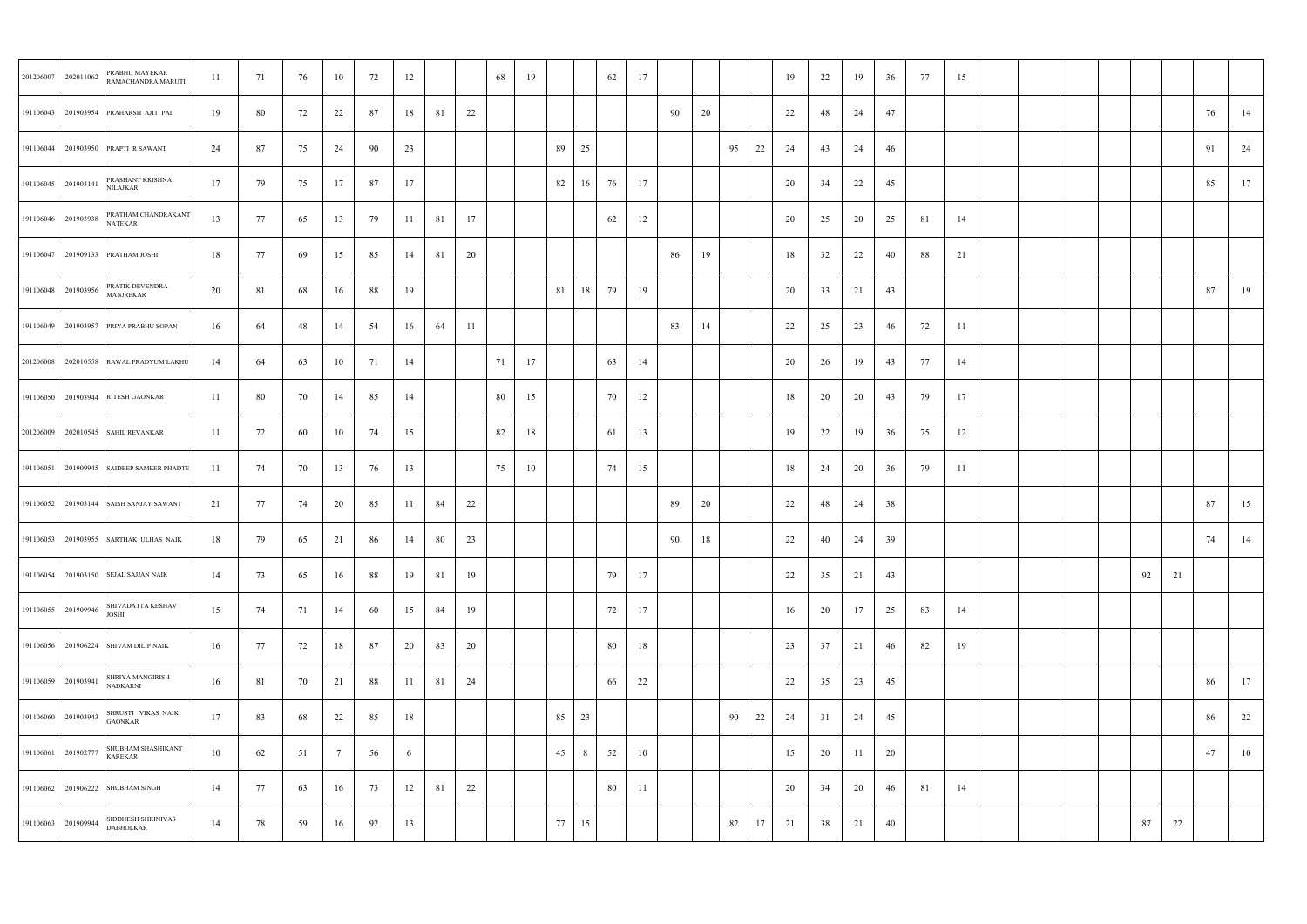| 201206007 | 202011062           | PRABHU MAYEKAR<br>RAMACHANDRA MARUTI      | 11  | 71   | 76 | 10 | 72 | 12  |    |    | 68 | 19 |        | 62       | 17 |    |    |    |    | 19 | 22 | 19  | 36 | 77 | 15  |  |    |    |    |    |
|-----------|---------------------|-------------------------------------------|-----|------|----|----|----|-----|----|----|----|----|--------|----------|----|----|----|----|----|----|----|-----|----|----|-----|--|----|----|----|----|
|           |                     | 191106043 201903954 PRAHARSH AJIT PAI     | 19  | -80  | 72 | 22 | 87 | 18  | 81 | 22 |    |    |        |          |    | 90 | 20 |    |    | 22 | 48 | 24  | 47 |    |     |  |    |    | 76 | 14 |
|           |                     | 191106044 201903950 PRAPTI R SAWANT       | 24  | 87   | 75 | 24 | 90 | 23  |    |    |    |    | 89     | 25       |    |    |    | 95 | 22 | 24 | 43 | 24  | 46 |    |     |  |    |    | 91 | 24 |
|           | 191106045 201903141 | PRASHANT KRISHNA<br>NILAJKAR              | 17  | 79   | 75 | 17 | 87 | 17  |    |    |    |    | 82     | 16<br>76 | 17 |    |    |    |    | 20 | 34 | 22  | 45 |    |     |  |    |    | 85 | 17 |
|           | 191106046 201903938 | PRATHAM CHANDRAKANT<br>NATEKAR            | 13  | 77   | 65 | 13 | 79 | -11 | 81 | 17 |    |    |        | 62       | 12 |    |    |    |    | 20 | 25 | 20  | 25 | 81 | 14  |  |    |    |    |    |
|           |                     | 191106047 201909133 PRATHAM JOSHI         | 18  | - 77 | 69 | 15 | 85 | 14  | 81 | 20 |    |    |        |          |    | 86 | 19 |    |    | 18 | 32 | 22  | 40 | 88 | 21  |  |    |    |    |    |
|           | 191106048 201903956 | PRATIK DEVENDRA<br><b>MANJREKAR</b>       | 20  | 81   | 68 | 16 | 88 | 19  |    |    |    |    | 81     | 18<br>79 | 19 |    |    |    |    | 20 | 33 | 21  | 43 |    |     |  |    |    | 87 | 19 |
|           |                     | 191106049 201903957 PRIYA PRABHU SOPAN    | 16  | 64   | 48 | 14 | 54 | 16  | 64 | 11 |    |    |        |          |    | 83 | 14 |    |    | 22 | 25 | 23  | 46 | 72 | -11 |  |    |    |    |    |
|           |                     | 201206008 202010558 RAWAL PRADYUM LAKHU   | 14  | 64   | 63 | 10 | 71 | 14  |    |    | 71 | 17 |        | 63       | 14 |    |    |    |    | 20 | 26 | 19  | 43 | 77 | 14  |  |    |    |    |    |
|           |                     | 191106050 201903944 RITESH GAONKAR        | 11  | 80   | 70 | 14 | 85 | 14  |    |    | 80 | 15 |        | 70       | 12 |    |    |    |    | 18 | 20 | 20  | 43 | 79 | 17  |  |    |    |    |    |
|           |                     | 201206009 202010545 SAHIL REVANKAR        | 11  | 72   | 60 | 10 | 74 | 15  |    |    | 82 | 18 |        | 61       | 13 |    |    |    |    | 19 | 22 | 19  | 36 | 75 | 12  |  |    |    |    |    |
|           |                     | 191106051 201909945 SAIDEEP SAMEER PHADTE | -11 | 74   | 70 | 13 | 76 | 13  |    |    | 75 | 10 |        | 74       | 15 |    |    |    |    | 18 | 24 | 20  | 36 | 79 | -11 |  |    |    |    |    |
|           |                     | 191106052 201903144 SAISH SANJAY SAWANT   | 21  | 77   | 74 | 20 | 85 | 11  | 84 | 22 |    |    |        |          |    | 89 | 20 |    |    | 22 | 48 | 24  | 38 |    |     |  |    |    | 87 | 15 |
|           |                     | 191106053 201903955 SARTHAK ULHAS NAIK    | 18  | 79   | 65 | 21 | 86 | 14  | 80 | 23 |    |    |        |          |    | 90 | 18 |    |    | 22 | 40 | 24  | 39 |    |     |  |    |    | 74 | 14 |
|           |                     | 191106054 201903150 SEJAL SAJJAN NAIK     | 14  | 73   | 65 | 16 | 88 | 19  | 81 | 19 |    |    |        | 79       | 17 |    |    |    |    | 22 | 35 | 21  | 43 |    |     |  | 92 | 21 |    |    |
|           | 191106055 201909946 | SHIVADATTA KESHAV<br>JOSHI                | 15  | 74   | 71 | 14 | 60 | 15  | 84 | 19 |    |    |        | 72       | 17 |    |    |    |    | 16 | 20 | 17  | 25 | 83 | 14  |  |    |    |    |    |
|           |                     | 191106056 201906224 SHIVAM DILIP NAIK     | 16  | 77   | 72 | 18 | 87 | 20  | 83 | 20 |    |    |        | 80       | 18 |    |    |    |    | 23 | 37 | 21  | 46 | 82 | 19  |  |    |    |    |    |
|           | 191106059 201903941 | SHRIYA MANGIRISH<br>NADKARNI              | 16  | 81   | 70 | 21 | 88 | 11  | 81 | 24 |    |    |        | 66       | 22 |    |    |    |    | 22 | 35 | 23  | 45 |    |     |  |    |    | 86 | 17 |
|           | 191106060 201903943 | SHRUSTI VIKAS NAIK<br><b>GAONKAR</b>      | 17  | 83   | 68 | 22 | 85 | 18  |    |    |    |    | 85     | 23       |    |    |    | 90 | 22 | 24 | 31 | 24  | 45 |    |     |  |    |    | 86 | 22 |
|           | 191106061 201902777 | SHUBHAM SHASHIKANT<br><b>KAREKAR</b>      | 10  | 62   | 51 | 7  | 56 | 6   |    |    |    |    | 45     | 8<br>52  | 10 |    |    |    |    | 15 | 20 | -11 | 20 |    |     |  |    |    | 47 | 10 |
|           |                     | 191106062 201906222 SHUBHAM SINGH         | 14  | 77   | 63 | 16 | 73 | 12  | 81 | 22 |    |    |        | 80       | 11 |    |    |    |    | 20 | 34 | 20  | 46 | 81 | 14  |  |    |    |    |    |
|           | 191106063 201909944 | SIDDHESH SHRINIVAS<br><b>DABHOLKAR</b>    | 14  | 78   | 59 | 16 | 92 | 13  |    |    |    |    | $77\,$ | 15       |    |    |    | 82 | 17 | 21 | 38 | 21  | 40 |    |     |  | 87 | 22 |    |    |